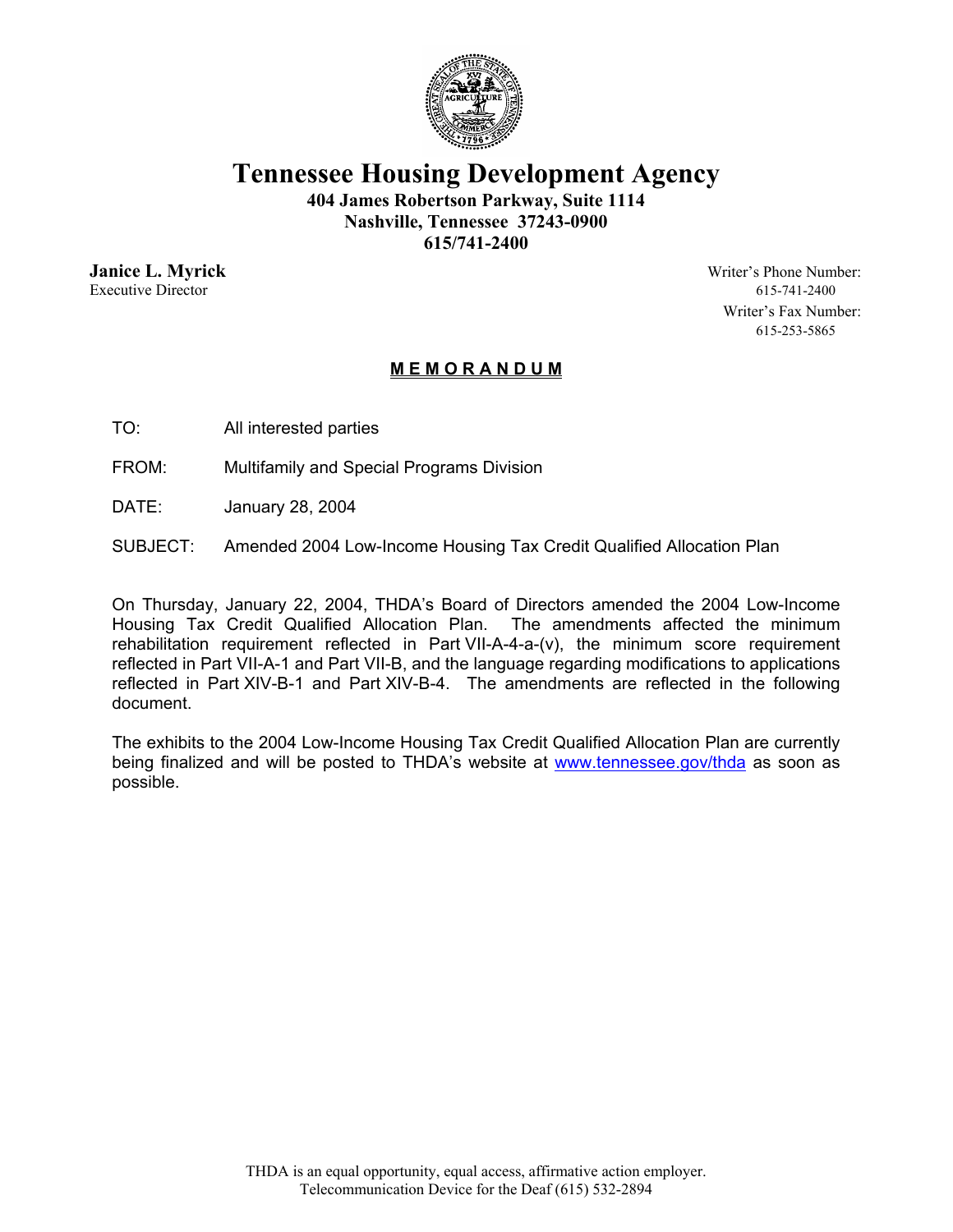

**Tennessee Housing Development Agency** 

**404 James Robertson Parkway, Suite 1114 Nashville, Tennessee 37243-0900 615/741-2400** 

Executive Director 615-741-2400

**Janice L. Myrick** Writer's Phone Number: Writer's Fax Number: 615-253-5865

## **M E M O R A N D U M**

- TO: All interested parties
- FROM: Multifamily and Special Programs Division
- DATE: January 28, 2004
- SUBJECT: Amended 2004 Low-Income Housing Tax Credit Qualified Allocation Plan

On Thursday, January 22, 2004, THDA's Board of Directors amended the 2004 Low-Income Housing Tax Credit Qualified Allocation Plan. The amendments affected the minimum rehabilitation requirement reflected in Part VII-A-4-a-(v), the minimum score requirement reflected in Part VII-A-1 and Part VII-B, and the language regarding modifications to applications reflected in Part XIV-B-1 and Part XIV-B-4. The amendments are reflected in the following document.

The exhibits to the 2004 Low-Income Housing Tax Credit Qualified Allocation Plan are currently being finalized and will be posted to THDA's website at www.tennessee.gov/thda as soon as possible.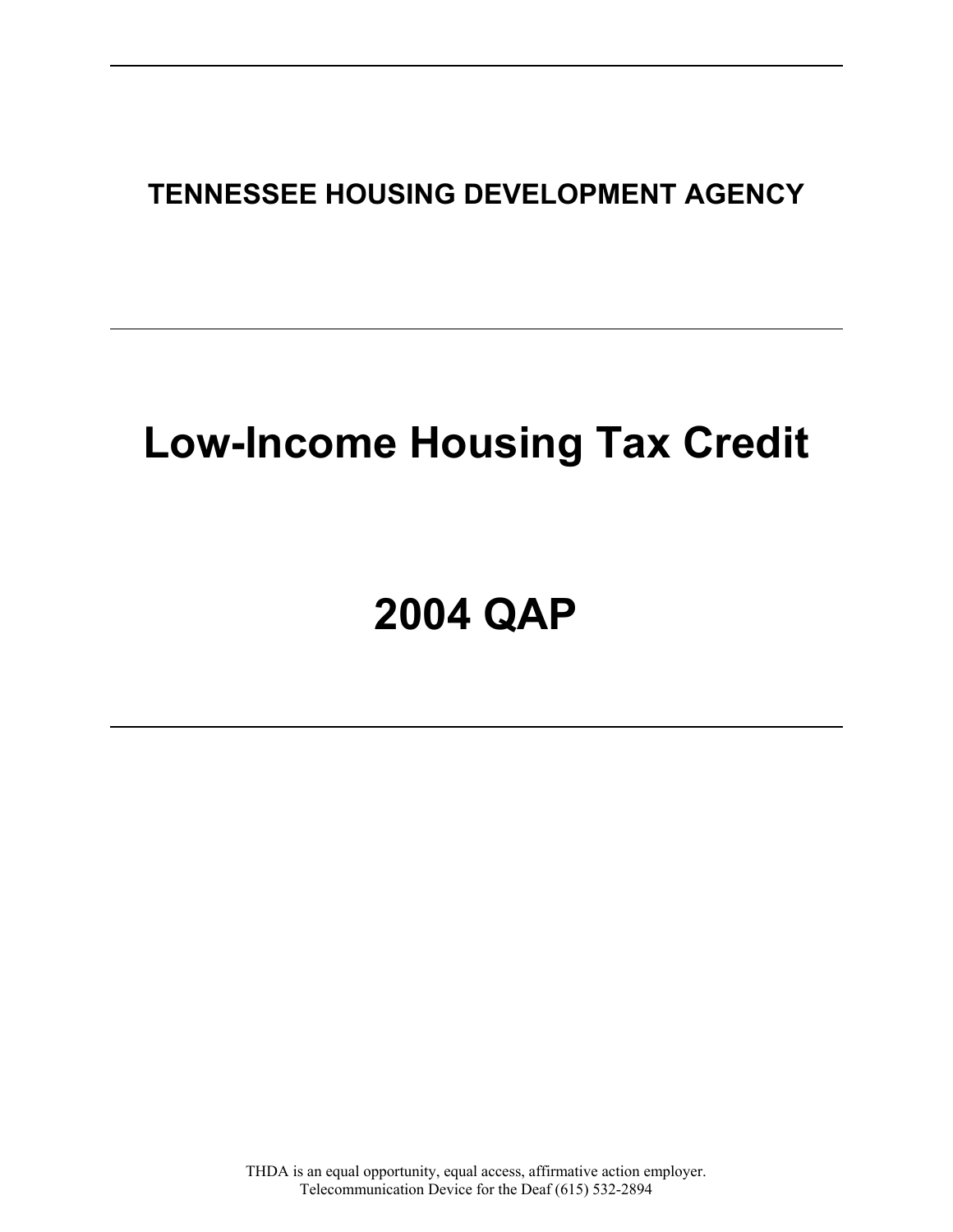**TENNESSEE HOUSING DEVELOPMENT AGENCY** 

# **Low-Income Housing Tax Credit**

# **2004 QAP**

THDA is an equal opportunity, equal access, affirmative action employer. Telecommunication Device for the Deaf (615) 532-2894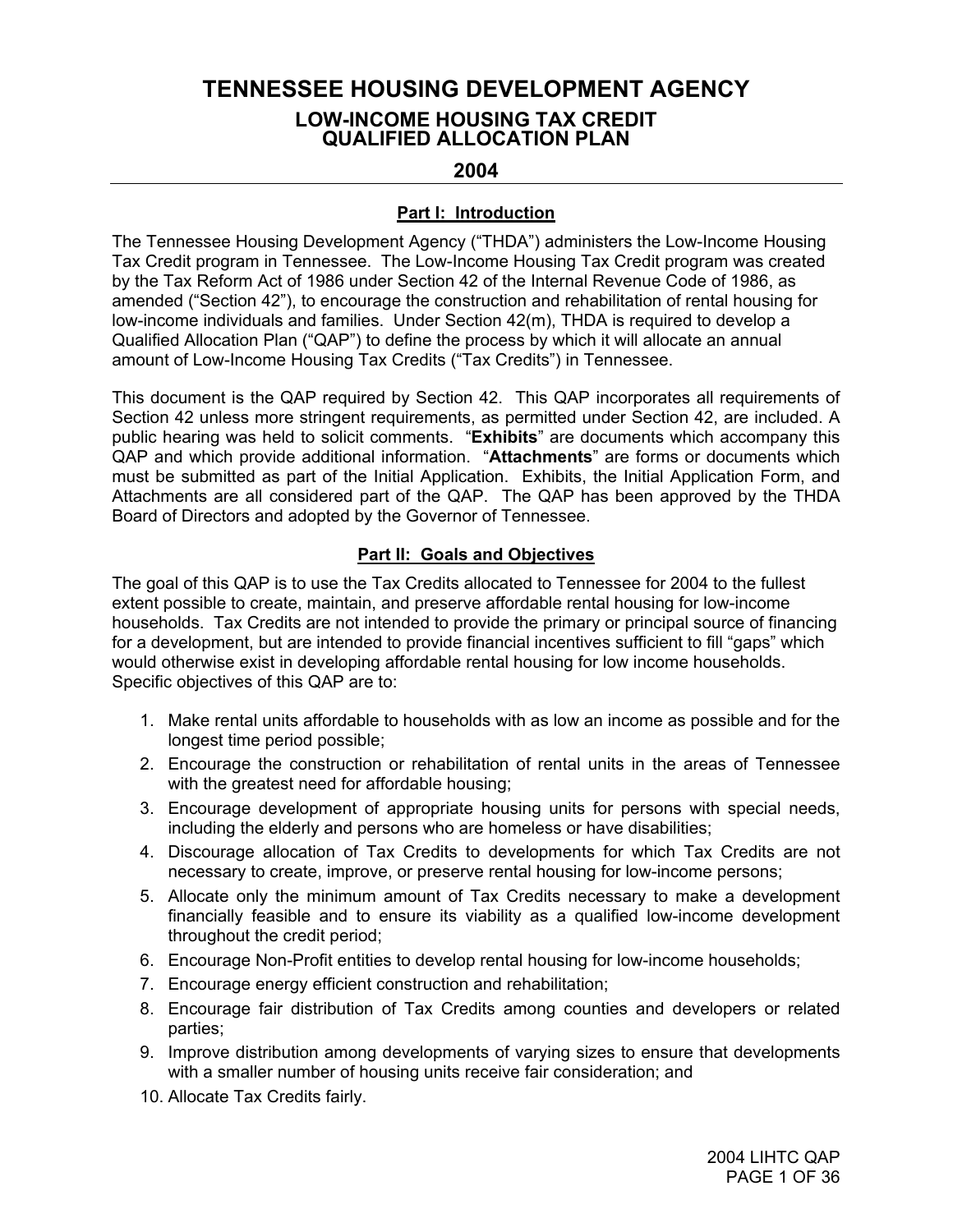# **TENNESSEE HOUSING DEVELOPMENT AGENCY LOW-INCOME HOUSING TAX CREDIT QUALIFIED ALLOCATION PLAN**

## **2004**

#### **Part I: Introduction**

The Tennessee Housing Development Agency ("THDA") administers the Low-Income Housing Tax Credit program in Tennessee. The Low-Income Housing Tax Credit program was created by the Tax Reform Act of 1986 under Section 42 of the Internal Revenue Code of 1986, as amended ("Section 42"), to encourage the construction and rehabilitation of rental housing for low-income individuals and families. Under Section 42(m), THDA is required to develop a Qualified Allocation Plan ("QAP") to define the process by which it will allocate an annual amount of Low-Income Housing Tax Credits ("Tax Credits") in Tennessee.

This document is the QAP required by Section 42. This QAP incorporates all requirements of Section 42 unless more stringent requirements, as permitted under Section 42, are included. A public hearing was held to solicit comments. "**Exhibits**" are documents which accompany this QAP and which provide additional information. "**Attachments**" are forms or documents which must be submitted as part of the Initial Application. Exhibits, the Initial Application Form, and Attachments are all considered part of the QAP. The QAP has been approved by the THDA Board of Directors and adopted by the Governor of Tennessee.

#### **Part II: Goals and Objectives**

The goal of this QAP is to use the Tax Credits allocated to Tennessee for 2004 to the fullest extent possible to create, maintain, and preserve affordable rental housing for low-income households. Tax Credits are not intended to provide the primary or principal source of financing for a development, but are intended to provide financial incentives sufficient to fill "gaps" which would otherwise exist in developing affordable rental housing for low income households. Specific objectives of this QAP are to:

- 1. Make rental units affordable to households with as low an income as possible and for the longest time period possible;
- 2. Encourage the construction or rehabilitation of rental units in the areas of Tennessee with the greatest need for affordable housing;
- 3. Encourage development of appropriate housing units for persons with special needs, including the elderly and persons who are homeless or have disabilities;
- 4. Discourage allocation of Tax Credits to developments for which Tax Credits are not necessary to create, improve, or preserve rental housing for low-income persons;
- 5. Allocate only the minimum amount of Tax Credits necessary to make a development financially feasible and to ensure its viability as a qualified low-income development throughout the credit period;
- 6. Encourage Non-Profit entities to develop rental housing for low-income households;
- 7. Encourage energy efficient construction and rehabilitation;
- 8. Encourage fair distribution of Tax Credits among counties and developers or related parties;
- 9. Improve distribution among developments of varying sizes to ensure that developments with a smaller number of housing units receive fair consideration; and
- 10. Allocate Tax Credits fairly.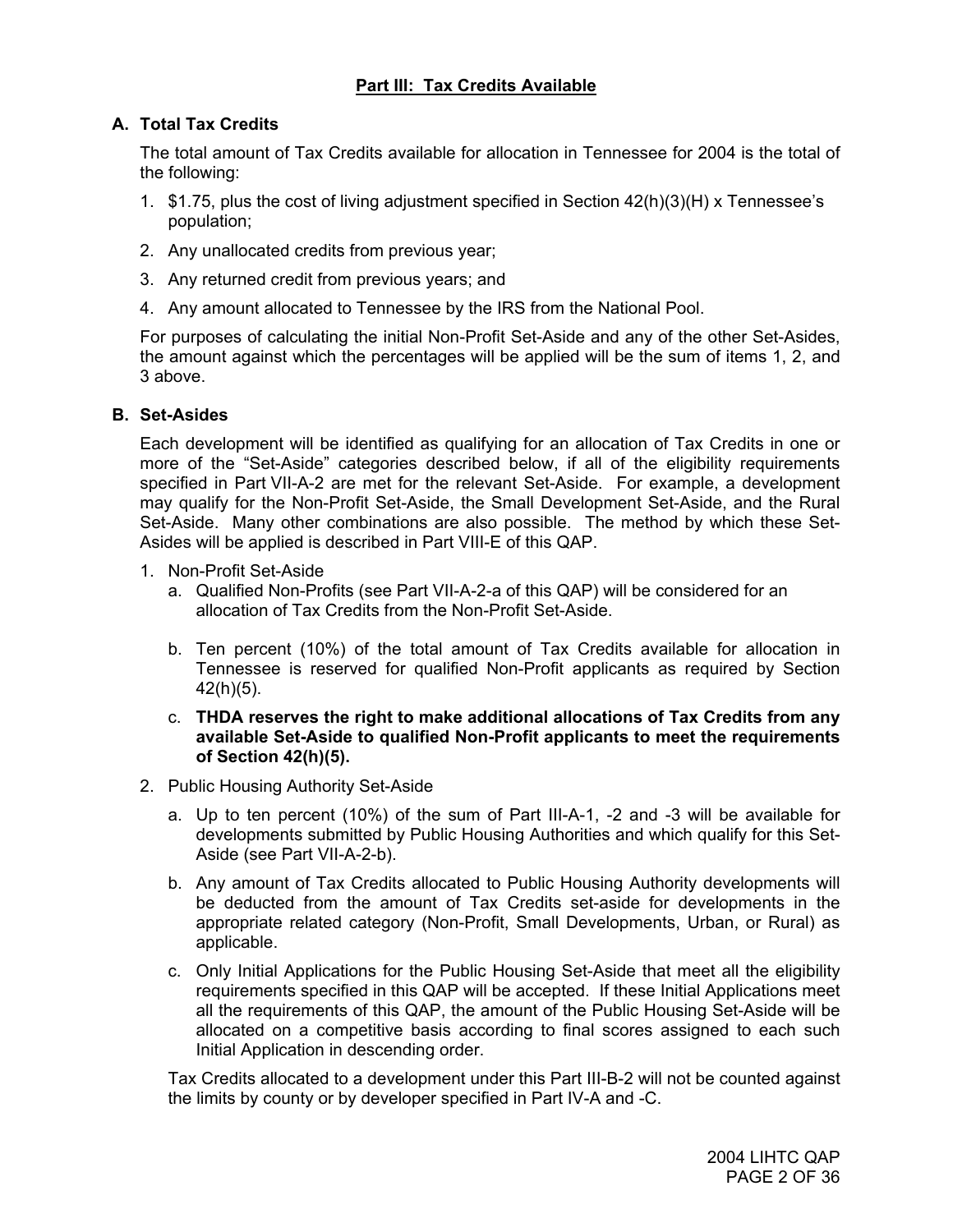## **Part III: Tax Credits Available**

## **A. Total Tax Credits**

The total amount of Tax Credits available for allocation in Tennessee for 2004 is the total of the following:

- 1. \$1.75, plus the cost of living adjustment specified in Section 42(h)(3)(H) x Tennessee's population;
- 2. Any unallocated credits from previous year;
- 3. Any returned credit from previous years; and
- 4. Any amount allocated to Tennessee by the IRS from the National Pool.

For purposes of calculating the initial Non-Profit Set-Aside and any of the other Set-Asides, the amount against which the percentages will be applied will be the sum of items 1, 2, and 3 above.

#### **B. Set-Asides**

Each development will be identified as qualifying for an allocation of Tax Credits in one or more of the "Set-Aside" categories described below, if all of the eligibility requirements specified in Part VII-A-2 are met for the relevant Set-Aside. For example, a development may qualify for the Non-Profit Set-Aside, the Small Development Set-Aside, and the Rural Set-Aside. Many other combinations are also possible. The method by which these Set-Asides will be applied is described in Part VIII-E of this QAP.

- 1. Non-Profit Set-Aside
	- a. Qualified Non-Profits (see Part VII-A-2-a of this QAP) will be considered for an allocation of Tax Credits from the Non-Profit Set-Aside.
	- b. Ten percent (10%) of the total amount of Tax Credits available for allocation in Tennessee is reserved for qualified Non-Profit applicants as required by Section 42(h)(5).
	- c. **THDA reserves the right to make additional allocations of Tax Credits from any available Set-Aside to qualified Non-Profit applicants to meet the requirements of Section 42(h)(5).**
- 2. Public Housing Authority Set-Aside
	- a. Up to ten percent (10%) of the sum of Part III-A-1, -2 and -3 will be available for developments submitted by Public Housing Authorities and which qualify for this Set-Aside (see Part VII-A-2-b).
	- b. Any amount of Tax Credits allocated to Public Housing Authority developments will be deducted from the amount of Tax Credits set-aside for developments in the appropriate related category (Non-Profit, Small Developments, Urban, or Rural) as applicable.
	- c. Only Initial Applications for the Public Housing Set-Aside that meet all the eligibility requirements specified in this QAP will be accepted. If these Initial Applications meet all the requirements of this QAP, the amount of the Public Housing Set-Aside will be allocated on a competitive basis according to final scores assigned to each such Initial Application in descending order.

Tax Credits allocated to a development under this Part III-B-2 will not be counted against the limits by county or by developer specified in Part IV-A and -C.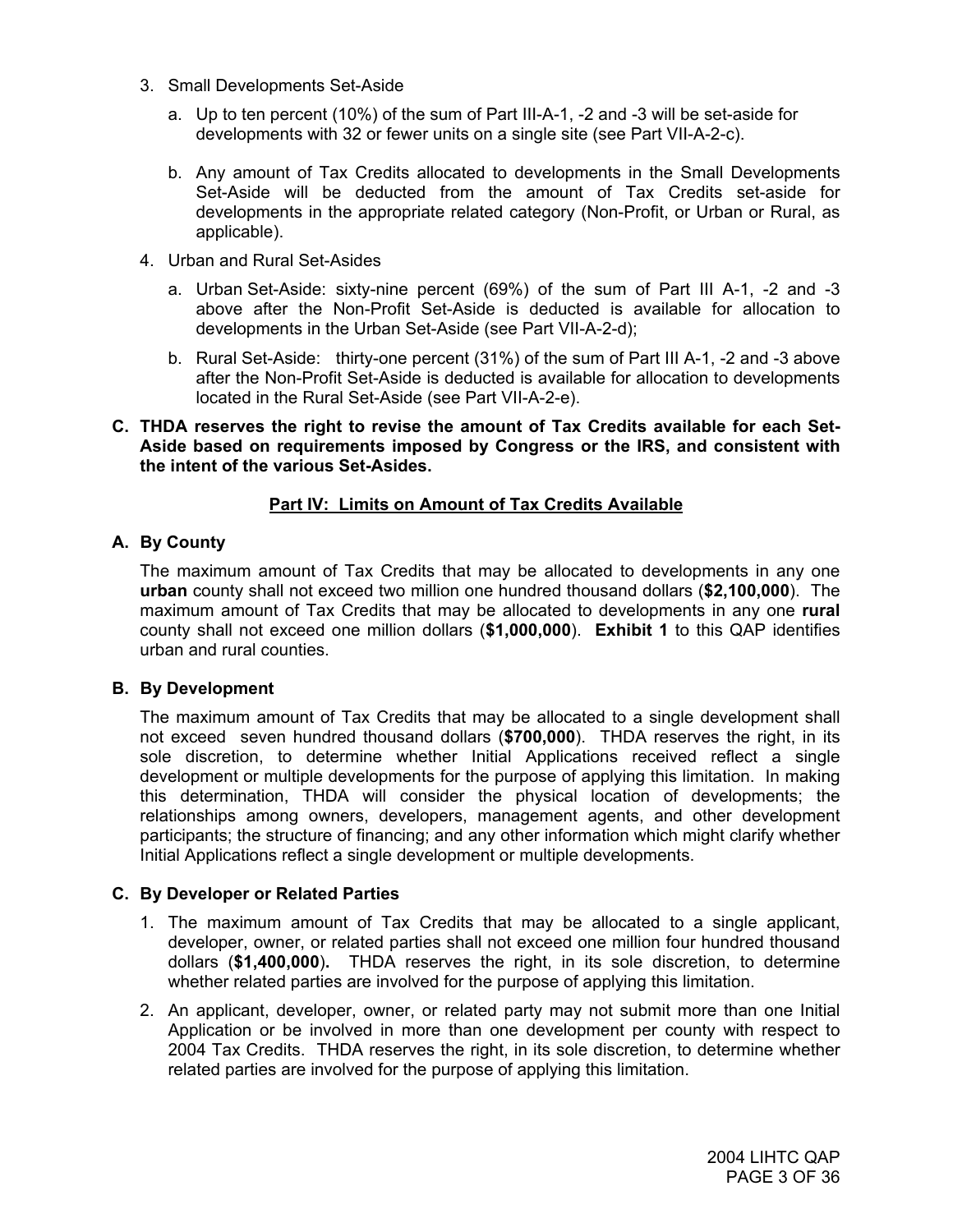- 3. Small Developments Set-Aside
	- a. Up to ten percent (10%) of the sum of Part III-A-1, -2 and -3 will be set-aside for developments with 32 or fewer units on a single site (see Part VII-A-2-c).
	- b. Any amount of Tax Credits allocated to developments in the Small Developments Set-Aside will be deducted from the amount of Tax Credits set-aside for developments in the appropriate related category (Non-Profit, or Urban or Rural, as applicable).
- 4. Urban and Rural Set-Asides
	- a. Urban Set-Aside: sixty-nine percent (69%) of the sum of Part III A-1, -2 and -3 above after the Non-Profit Set-Aside is deducted is available for allocation to developments in the Urban Set-Aside (see Part VII-A-2-d);
	- b. Rural Set-Aside: thirty-one percent (31%) of the sum of Part III A-1, -2 and -3 above after the Non-Profit Set-Aside is deducted is available for allocation to developments located in the Rural Set-Aside (see Part VII-A-2-e).

#### **C. THDA reserves the right to revise the amount of Tax Credits available for each Set-Aside based on requirements imposed by Congress or the IRS, and consistent with the intent of the various Set-Asides.**

## **Part IV: Limits on Amount of Tax Credits Available**

## **A. By County**

The maximum amount of Tax Credits that may be allocated to developments in any one **urban** county shall not exceed two million one hundred thousand dollars (**\$2,100,000**). The maximum amount of Tax Credits that may be allocated to developments in any one **rural** county shall not exceed one million dollars (**\$1,000,000**). **Exhibit 1** to this QAP identifies urban and rural counties.

## **B. By Development**

The maximum amount of Tax Credits that may be allocated to a single development shall not exceed seven hundred thousand dollars (**\$700,000**). THDA reserves the right, in its sole discretion, to determine whether Initial Applications received reflect a single development or multiple developments for the purpose of applying this limitation. In making this determination, THDA will consider the physical location of developments; the relationships among owners, developers, management agents, and other development participants; the structure of financing; and any other information which might clarify whether Initial Applications reflect a single development or multiple developments.

## **C. By Developer or Related Parties**

- 1. The maximum amount of Tax Credits that may be allocated to a single applicant, developer, owner, or related parties shall not exceed one million four hundred thousand dollars (**\$1,400,000**)**.** THDA reserves the right, in its sole discretion, to determine whether related parties are involved for the purpose of applying this limitation.
- 2. An applicant, developer, owner, or related party may not submit more than one Initial Application or be involved in more than one development per county with respect to 2004 Tax Credits. THDA reserves the right, in its sole discretion, to determine whether related parties are involved for the purpose of applying this limitation.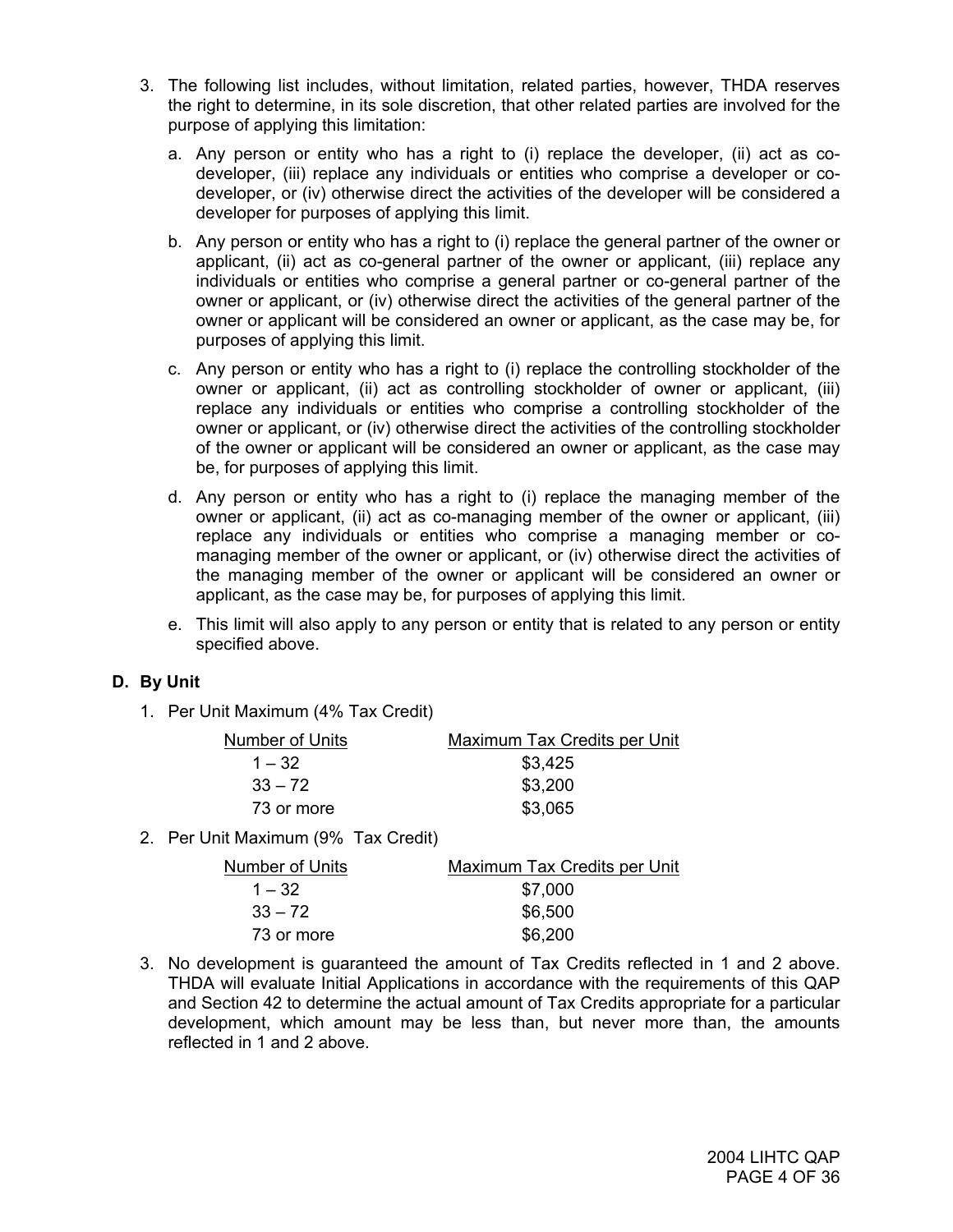- 3. The following list includes, without limitation, related parties, however, THDA reserves the right to determine, in its sole discretion, that other related parties are involved for the purpose of applying this limitation:
	- a. Any person or entity who has a right to (i) replace the developer, (ii) act as codeveloper, (iii) replace any individuals or entities who comprise a developer or codeveloper, or (iv) otherwise direct the activities of the developer will be considered a developer for purposes of applying this limit.
	- b. Any person or entity who has a right to (i) replace the general partner of the owner or applicant, (ii) act as co-general partner of the owner or applicant, (iii) replace any individuals or entities who comprise a general partner or co-general partner of the owner or applicant, or (iv) otherwise direct the activities of the general partner of the owner or applicant will be considered an owner or applicant, as the case may be, for purposes of applying this limit.
	- c. Any person or entity who has a right to (i) replace the controlling stockholder of the owner or applicant, (ii) act as controlling stockholder of owner or applicant, (iii) replace any individuals or entities who comprise a controlling stockholder of the owner or applicant, or (iv) otherwise direct the activities of the controlling stockholder of the owner or applicant will be considered an owner or applicant, as the case may be, for purposes of applying this limit.
	- d. Any person or entity who has a right to (i) replace the managing member of the owner or applicant, (ii) act as co-managing member of the owner or applicant, (iii) replace any individuals or entities who comprise a managing member or comanaging member of the owner or applicant, or (iv) otherwise direct the activities of the managing member of the owner or applicant will be considered an owner or applicant, as the case may be, for purposes of applying this limit.
	- e. This limit will also apply to any person or entity that is related to any person or entity specified above.

## **D. By Unit**

1. Per Unit Maximum (4% Tax Credit)

| Number of Units | Maximum Tax Credits per Unit |
|-----------------|------------------------------|
| $1 - 32$        | \$3,425                      |
| $33 - 72$       | \$3,200                      |
| 73 or more      | \$3,065                      |

2. Per Unit Maximum (9% Tax Credit)

| Number of Units | Maximum Tax Credits per Unit |
|-----------------|------------------------------|
| $1 - 32$        | \$7,000                      |
| $33 - 72$       | \$6,500                      |
| 73 or more      | \$6,200                      |

3. No development is guaranteed the amount of Tax Credits reflected in 1 and 2 above. THDA will evaluate Initial Applications in accordance with the requirements of this QAP and Section 42 to determine the actual amount of Tax Credits appropriate for a particular development, which amount may be less than, but never more than, the amounts reflected in 1 and 2 above.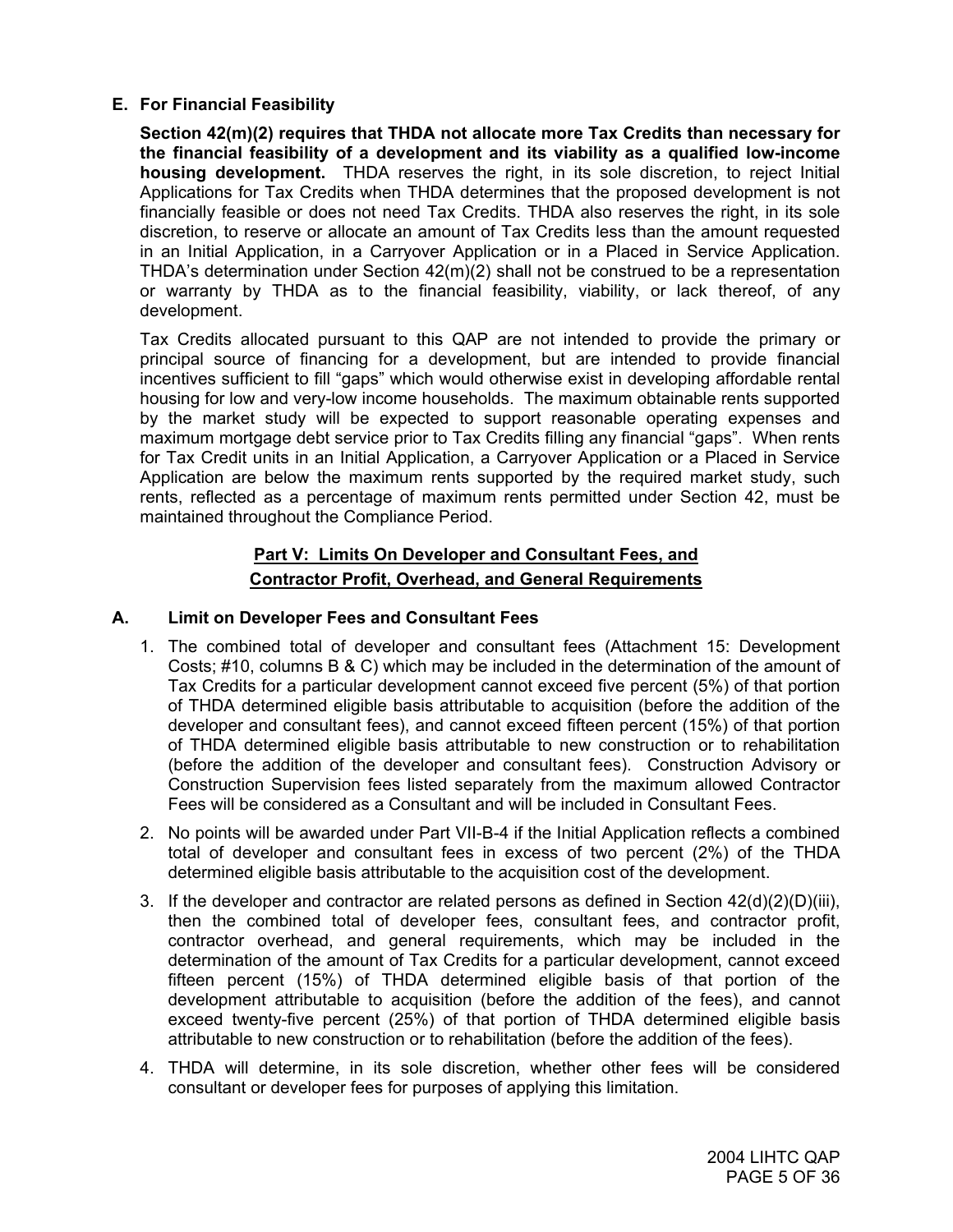## **E. For Financial Feasibility**

**Section 42(m)(2) requires that THDA not allocate more Tax Credits than necessary for the financial feasibility of a development and its viability as a qualified low-income housing development.** THDA reserves the right, in its sole discretion, to reject Initial Applications for Tax Credits when THDA determines that the proposed development is not financially feasible or does not need Tax Credits. THDA also reserves the right, in its sole discretion, to reserve or allocate an amount of Tax Credits less than the amount requested in an Initial Application, in a Carryover Application or in a Placed in Service Application. THDA's determination under Section 42(m)(2) shall not be construed to be a representation or warranty by THDA as to the financial feasibility, viability, or lack thereof, of any development.

Tax Credits allocated pursuant to this QAP are not intended to provide the primary or principal source of financing for a development, but are intended to provide financial incentives sufficient to fill "gaps" which would otherwise exist in developing affordable rental housing for low and very-low income households. The maximum obtainable rents supported by the market study will be expected to support reasonable operating expenses and maximum mortgage debt service prior to Tax Credits filling any financial "gaps". When rents for Tax Credit units in an Initial Application, a Carryover Application or a Placed in Service Application are below the maximum rents supported by the required market study, such rents, reflected as a percentage of maximum rents permitted under Section 42, must be maintained throughout the Compliance Period.

## **Part V: Limits On Developer and Consultant Fees, and Contractor Profit, Overhead, and General Requirements**

## **A. Limit on Developer Fees and Consultant Fees**

- 1. The combined total of developer and consultant fees (Attachment 15: Development Costs; #10, columns B & C) which may be included in the determination of the amount of Tax Credits for a particular development cannot exceed five percent (5%) of that portion of THDA determined eligible basis attributable to acquisition (before the addition of the developer and consultant fees), and cannot exceed fifteen percent (15%) of that portion of THDA determined eligible basis attributable to new construction or to rehabilitation (before the addition of the developer and consultant fees). Construction Advisory or Construction Supervision fees listed separately from the maximum allowed Contractor Fees will be considered as a Consultant and will be included in Consultant Fees.
- 2. No points will be awarded under Part VII-B-4 if the Initial Application reflects a combined total of developer and consultant fees in excess of two percent (2%) of the THDA determined eligible basis attributable to the acquisition cost of the development.
- 3. If the developer and contractor are related persons as defined in Section 42(d)(2)(D)(iii), then the combined total of developer fees, consultant fees, and contractor profit, contractor overhead, and general requirements, which may be included in the determination of the amount of Tax Credits for a particular development, cannot exceed fifteen percent (15%) of THDA determined eligible basis of that portion of the development attributable to acquisition (before the addition of the fees), and cannot exceed twenty-five percent (25%) of that portion of THDA determined eligible basis attributable to new construction or to rehabilitation (before the addition of the fees).
- 4. THDA will determine, in its sole discretion, whether other fees will be considered consultant or developer fees for purposes of applying this limitation.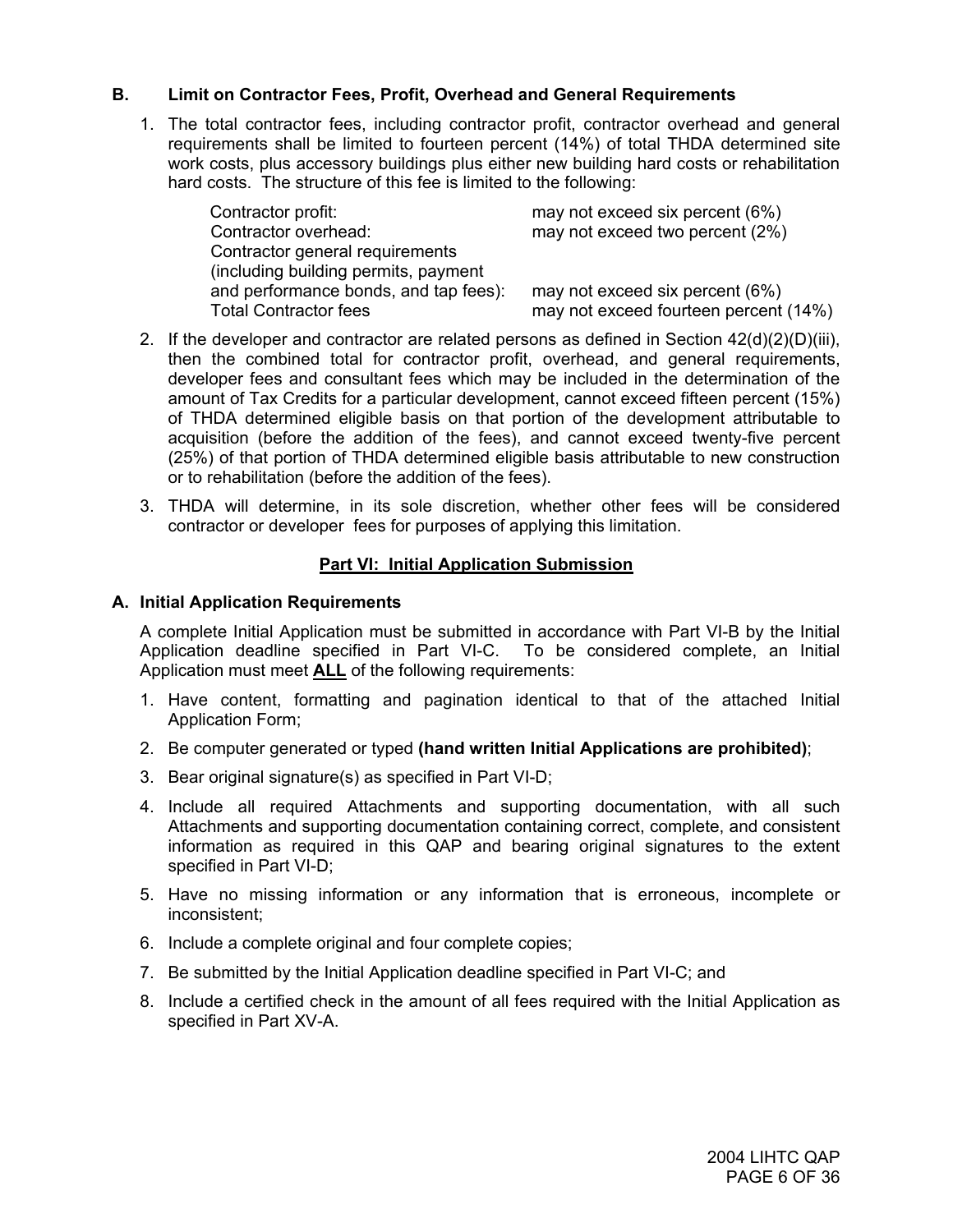## **B. Limit on Contractor Fees, Profit, Overhead and General Requirements**

1. The total contractor fees, including contractor profit, contractor overhead and general requirements shall be limited to fourteen percent (14%) of total THDA determined site work costs, plus accessory buildings plus either new building hard costs or rehabilitation hard costs. The structure of this fee is limited to the following:

| Contractor profit:                    | may not exceed six percent (6%)       |
|---------------------------------------|---------------------------------------|
| Contractor overhead:                  | may not exceed two percent (2%)       |
| Contractor general requirements       |                                       |
| (including building permits, payment  |                                       |
| and performance bonds, and tap fees): | may not exceed six percent (6%)       |
| <b>Total Contractor fees</b>          | may not exceed fourteen percent (14%) |

- 2. If the developer and contractor are related persons as defined in Section  $42(d)(2)(D)(iii)$ , then the combined total for contractor profit, overhead, and general requirements, developer fees and consultant fees which may be included in the determination of the amount of Tax Credits for a particular development, cannot exceed fifteen percent (15%) of THDA determined eligible basis on that portion of the development attributable to acquisition (before the addition of the fees), and cannot exceed twenty-five percent (25%) of that portion of THDA determined eligible basis attributable to new construction or to rehabilitation (before the addition of the fees).
- 3. THDA will determine, in its sole discretion, whether other fees will be considered contractor or developer fees for purposes of applying this limitation.

## **Part VI: Initial Application Submission**

#### **A. Initial Application Requirements**

A complete Initial Application must be submitted in accordance with Part VI-B by the Initial Application deadline specified in Part VI-C. To be considered complete, an Initial Application must meet **ALL** of the following requirements:

- 1. Have content, formatting and pagination identical to that of the attached Initial Application Form;
- 2. Be computer generated or typed **(hand written Initial Applications are prohibited)**;
- 3. Bear original signature(s) as specified in Part VI-D;
- 4. Include all required Attachments and supporting documentation, with all such Attachments and supporting documentation containing correct, complete, and consistent information as required in this QAP and bearing original signatures to the extent specified in Part VI-D;
- 5. Have no missing information or any information that is erroneous, incomplete or inconsistent;
- 6. Include a complete original and four complete copies;
- 7. Be submitted by the Initial Application deadline specified in Part VI-C; and
- 8. Include a certified check in the amount of all fees required with the Initial Application as specified in Part XV-A.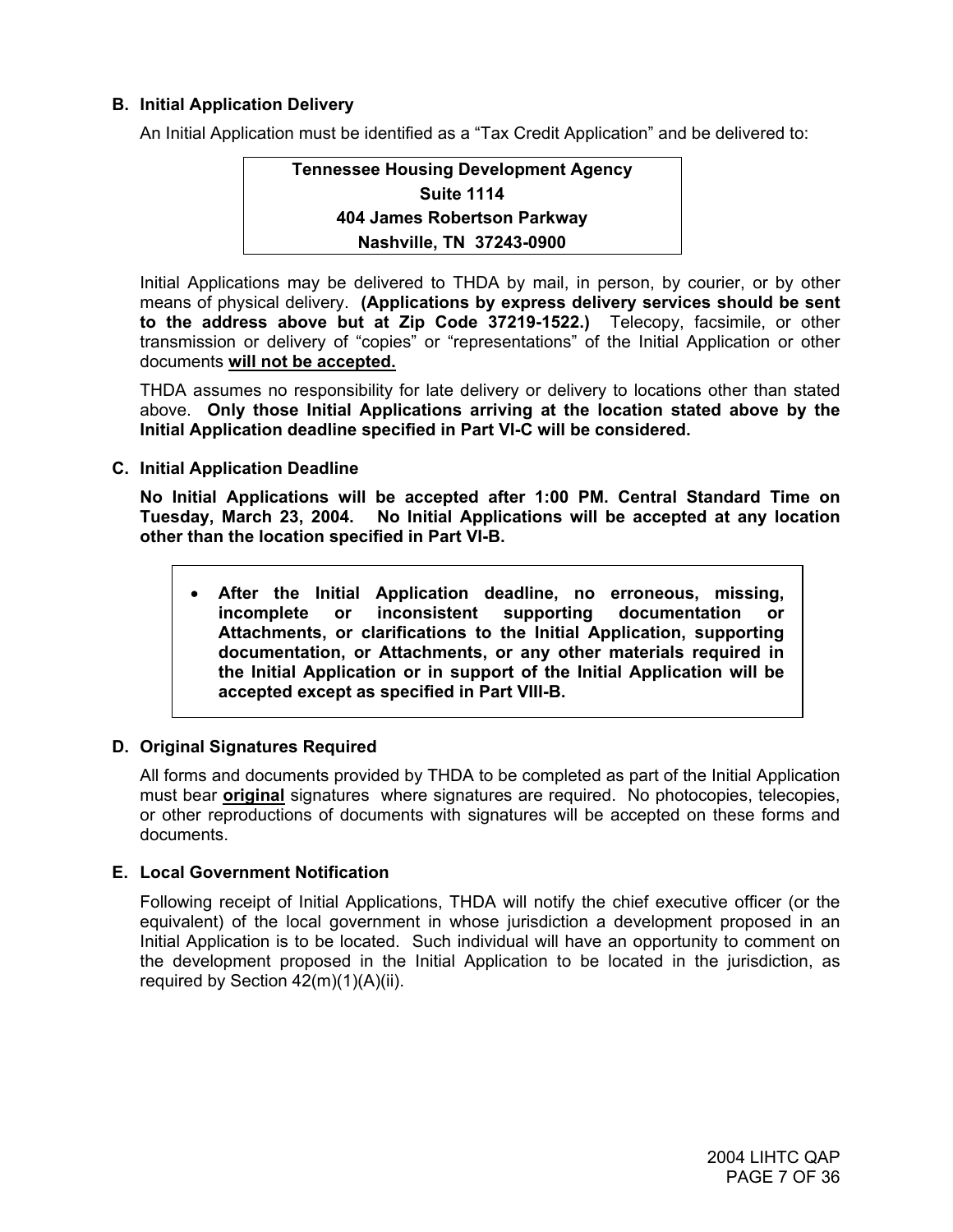## **B. Initial Application Delivery**

An Initial Application must be identified as a "Tax Credit Application" and be delivered to:

## **Tennessee Housing Development Agency Suite 1114 404 James Robertson Parkway Nashville, TN 37243-0900**

Initial Applications may be delivered to THDA by mail, in person, by courier, or by other means of physical delivery. **(Applications by express delivery services should be sent to the address above but at Zip Code 37219-1522.)** Telecopy, facsimile, or other transmission or delivery of "copies" or "representations" of the Initial Application or other documents **will not be accepted.**

THDA assumes no responsibility for late delivery or delivery to locations other than stated above. **Only those Initial Applications arriving at the location stated above by the Initial Application deadline specified in Part VI-C will be considered.** 

**C. Initial Application Deadline** 

**No Initial Applications will be accepted after 1:00 PM. Central Standard Time on Tuesday, March 23, 2004. No Initial Applications will be accepted at any location other than the location specified in Part VI-B.** 

• **After the Initial Application deadline, no erroneous, missing, incomplete or inconsistent supporting documentation or Attachments, or clarifications to the Initial Application, supporting documentation, or Attachments, or any other materials required in the Initial Application or in support of the Initial Application will be accepted except as specified in Part VIII-B.** 

## **D. Original Signatures Required**

All forms and documents provided by THDA to be completed as part of the Initial Application must bear **original** signatures where signatures are required. No photocopies, telecopies, or other reproductions of documents with signatures will be accepted on these forms and documents.

## **E. Local Government Notification**

Following receipt of Initial Applications, THDA will notify the chief executive officer (or the equivalent) of the local government in whose jurisdiction a development proposed in an Initial Application is to be located. Such individual will have an opportunity to comment on the development proposed in the Initial Application to be located in the jurisdiction, as required by Section  $42(m)(1)(A)(ii)$ .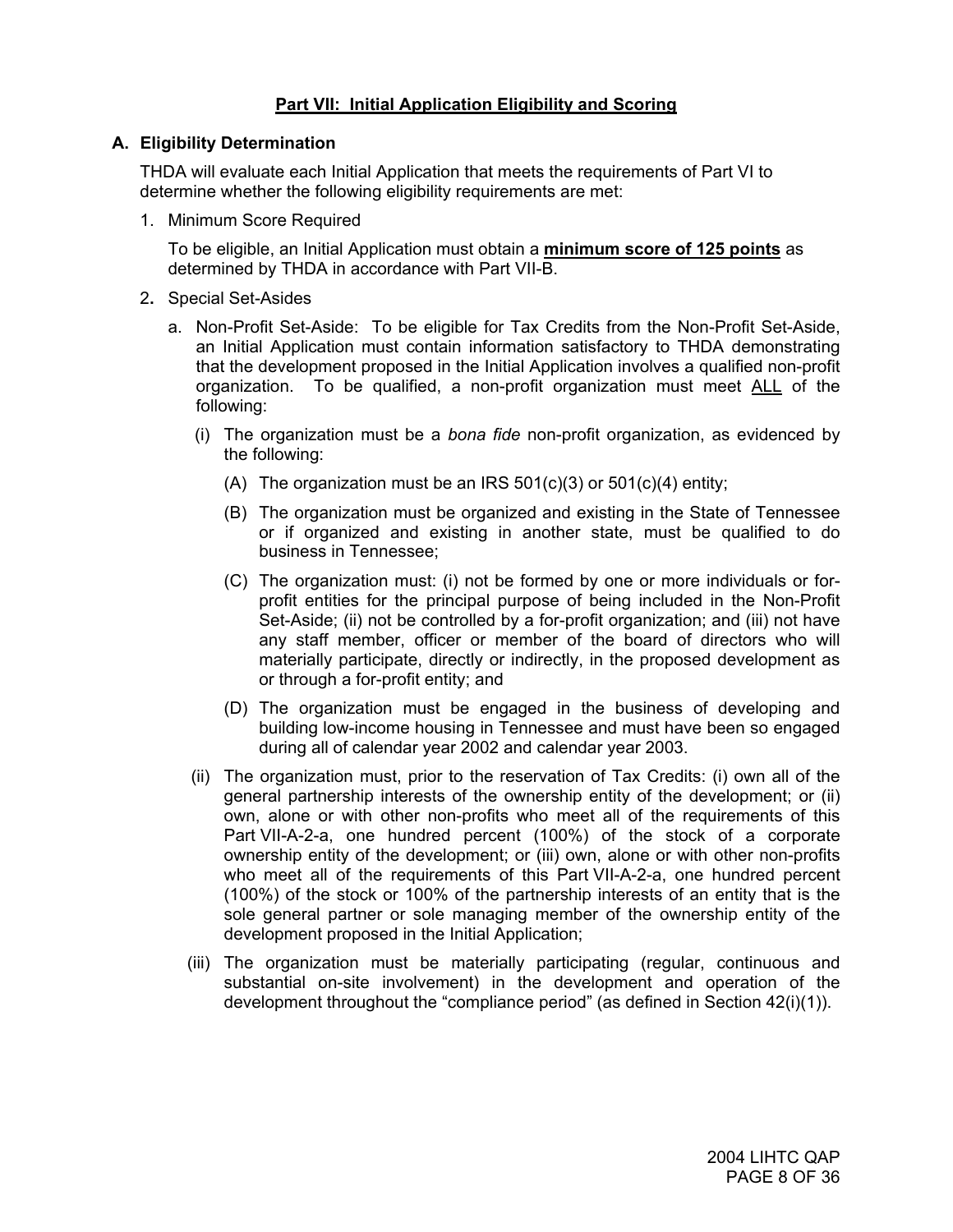## **Part VII: Initial Application Eligibility and Scoring**

#### **A. Eligibility Determination**

THDA will evaluate each Initial Application that meets the requirements of Part VI to determine whether the following eligibility requirements are met:

1. Minimum Score Required

To be eligible, an Initial Application must obtain a **minimum score of 125 points** as determined by THDA in accordance with Part VII-B.

- 2**.** Special Set-Asides
	- a. Non-Profit Set-Aside: To be eligible for Tax Credits from the Non-Profit Set-Aside, an Initial Application must contain information satisfactory to THDA demonstrating that the development proposed in the Initial Application involves a qualified non-profit organization. To be qualified, a non-profit organization must meet ALL of the following:
		- (i) The organization must be a *bona fide* non-profit organization, as evidenced by the following:
			- (A) The organization must be an IRS  $501(c)(3)$  or  $501(c)(4)$  entity;
			- (B) The organization must be organized and existing in the State of Tennessee or if organized and existing in another state, must be qualified to do business in Tennessee;
			- (C) The organization must: (i) not be formed by one or more individuals or forprofit entities for the principal purpose of being included in the Non-Profit Set-Aside; (ii) not be controlled by a for-profit organization; and (iii) not have any staff member, officer or member of the board of directors who will materially participate, directly or indirectly, in the proposed development as or through a for-profit entity; and
			- (D) The organization must be engaged in the business of developing and building low-income housing in Tennessee and must have been so engaged during all of calendar year 2002 and calendar year 2003.
		- (ii) The organization must, prior to the reservation of Tax Credits: (i) own all of the general partnership interests of the ownership entity of the development; or (ii) own, alone or with other non-profits who meet all of the requirements of this Part VII-A-2-a, one hundred percent (100%) of the stock of a corporate ownership entity of the development; or (iii) own, alone or with other non-profits who meet all of the requirements of this Part VII-A-2-a, one hundred percent (100%) of the stock or 100% of the partnership interests of an entity that is the sole general partner or sole managing member of the ownership entity of the development proposed in the Initial Application;
		- (iii) The organization must be materially participating (regular, continuous and substantial on-site involvement) in the development and operation of the development throughout the "compliance period" (as defined in Section 42(i)(1)).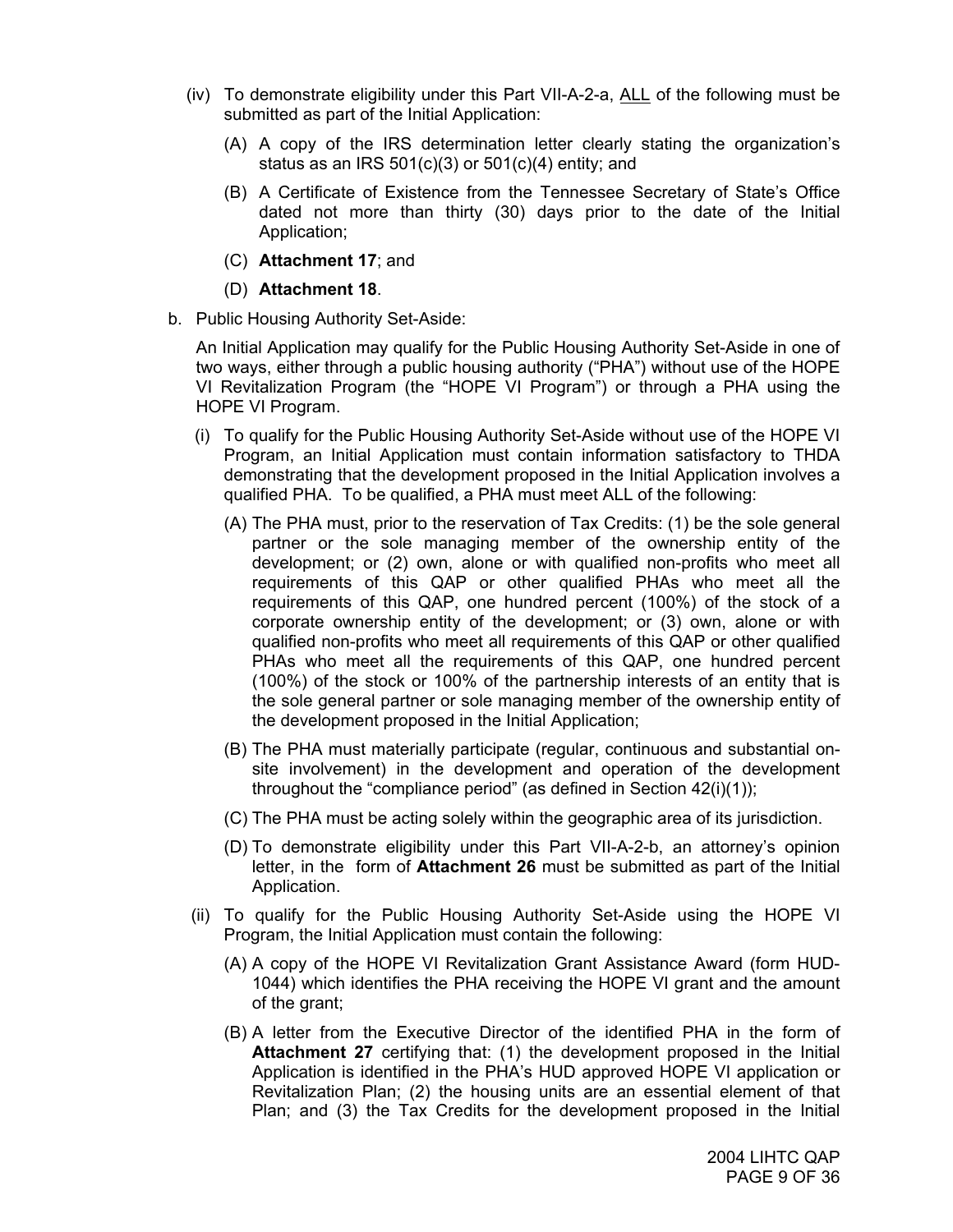- (iv) To demonstrate eligibility under this Part VII-A-2-a, ALL of the following must be submitted as part of the Initial Application:
	- (A) A copy of the IRS determination letter clearly stating the organization's status as an IRS  $501(c)(3)$  or  $501(c)(4)$  entity; and
	- (B) A Certificate of Existence from the Tennessee Secretary of State's Office dated not more than thirty (30) days prior to the date of the Initial Application;
	- (C) **Attachment 17**; and
	- (D) **Attachment 18**.
- b. Public Housing Authority Set-Aside:

An Initial Application may qualify for the Public Housing Authority Set-Aside in one of two ways, either through a public housing authority ("PHA") without use of the HOPE VI Revitalization Program (the "HOPE VI Program") or through a PHA using the HOPE VI Program.

- (i) To qualify for the Public Housing Authority Set-Aside without use of the HOPE VI Program, an Initial Application must contain information satisfactory to THDA demonstrating that the development proposed in the Initial Application involves a qualified PHA. To be qualified, a PHA must meet ALL of the following:
	- (A) The PHA must, prior to the reservation of Tax Credits: (1) be the sole general partner or the sole managing member of the ownership entity of the development; or (2) own, alone or with qualified non-profits who meet all requirements of this QAP or other qualified PHAs who meet all the requirements of this QAP, one hundred percent (100%) of the stock of a corporate ownership entity of the development; or (3) own, alone or with qualified non-profits who meet all requirements of this QAP or other qualified PHAs who meet all the requirements of this QAP, one hundred percent (100%) of the stock or 100% of the partnership interests of an entity that is the sole general partner or sole managing member of the ownership entity of the development proposed in the Initial Application;
	- (B) The PHA must materially participate (regular, continuous and substantial onsite involvement) in the development and operation of the development throughout the "compliance period" (as defined in Section 42(i)(1));
	- (C) The PHA must be acting solely within the geographic area of its jurisdiction.
	- (D) To demonstrate eligibility under this Part VII-A-2-b, an attorney's opinion letter, in the form of **Attachment 26** must be submitted as part of the Initial Application.
- (ii) To qualify for the Public Housing Authority Set-Aside using the HOPE VI Program, the Initial Application must contain the following:
	- (A) A copy of the HOPE VI Revitalization Grant Assistance Award (form HUD-1044) which identifies the PHA receiving the HOPE VI grant and the amount of the grant;
	- (B) A letter from the Executive Director of the identified PHA in the form of **Attachment 27** certifying that: (1) the development proposed in the Initial Application is identified in the PHA's HUD approved HOPE VI application or Revitalization Plan; (2) the housing units are an essential element of that Plan; and (3) the Tax Credits for the development proposed in the Initial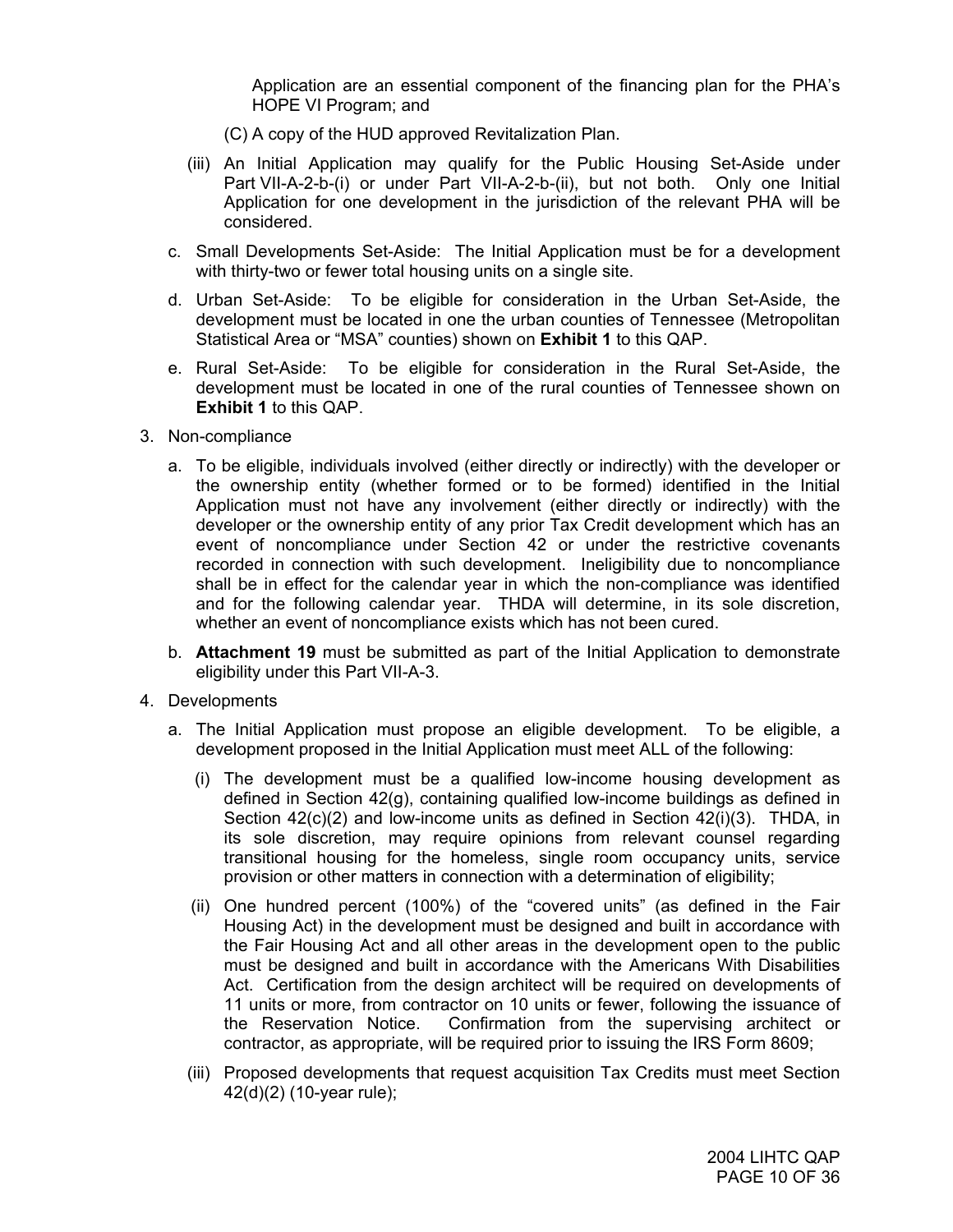Application are an essential component of the financing plan for the PHA's HOPE VI Program; and

- (C) A copy of the HUD approved Revitalization Plan.
- (iii) An Initial Application may qualify for the Public Housing Set-Aside under Part VII-A-2-b-(i) or under Part VII-A-2-b-(ii), but not both. Only one Initial Application for one development in the jurisdiction of the relevant PHA will be considered.
- c. Small Developments Set-Aside: The Initial Application must be for a development with thirty-two or fewer total housing units on a single site.
- d. Urban Set-Aside: To be eligible for consideration in the Urban Set-Aside, the development must be located in one the urban counties of Tennessee (Metropolitan Statistical Area or "MSA" counties) shown on **Exhibit 1** to this QAP.
- e. Rural Set-Aside: To be eligible for consideration in the Rural Set-Aside, the development must be located in one of the rural counties of Tennessee shown on **Exhibit 1** to this QAP.
- 3. Non-compliance
	- a. To be eligible, individuals involved (either directly or indirectly) with the developer or the ownership entity (whether formed or to be formed) identified in the Initial Application must not have any involvement (either directly or indirectly) with the developer or the ownership entity of any prior Tax Credit development which has an event of noncompliance under Section 42 or under the restrictive covenants recorded in connection with such development. Ineligibility due to noncompliance shall be in effect for the calendar year in which the non-compliance was identified and for the following calendar year. THDA will determine, in its sole discretion, whether an event of noncompliance exists which has not been cured.
	- b. **Attachment 19** must be submitted as part of the Initial Application to demonstrate eligibility under this Part VII-A-3.
- 4. Developments
	- a. The Initial Application must propose an eligible development. To be eligible, a development proposed in the Initial Application must meet ALL of the following:
		- (i) The development must be a qualified low-income housing development as defined in Section 42(g), containing qualified low-income buildings as defined in Section 42(c)(2) and low-income units as defined in Section 42(i)(3). THDA, in its sole discretion, may require opinions from relevant counsel regarding transitional housing for the homeless, single room occupancy units, service provision or other matters in connection with a determination of eligibility;
		- (ii) One hundred percent (100%) of the "covered units" (as defined in the Fair Housing Act) in the development must be designed and built in accordance with the Fair Housing Act and all other areas in the development open to the public must be designed and built in accordance with the Americans With Disabilities Act. Certification from the design architect will be required on developments of 11 units or more, from contractor on 10 units or fewer, following the issuance of the Reservation Notice. Confirmation from the supervising architect or contractor, as appropriate, will be required prior to issuing the IRS Form 8609;
		- (iii) Proposed developments that request acquisition Tax Credits must meet Section 42(d)(2) (10-year rule);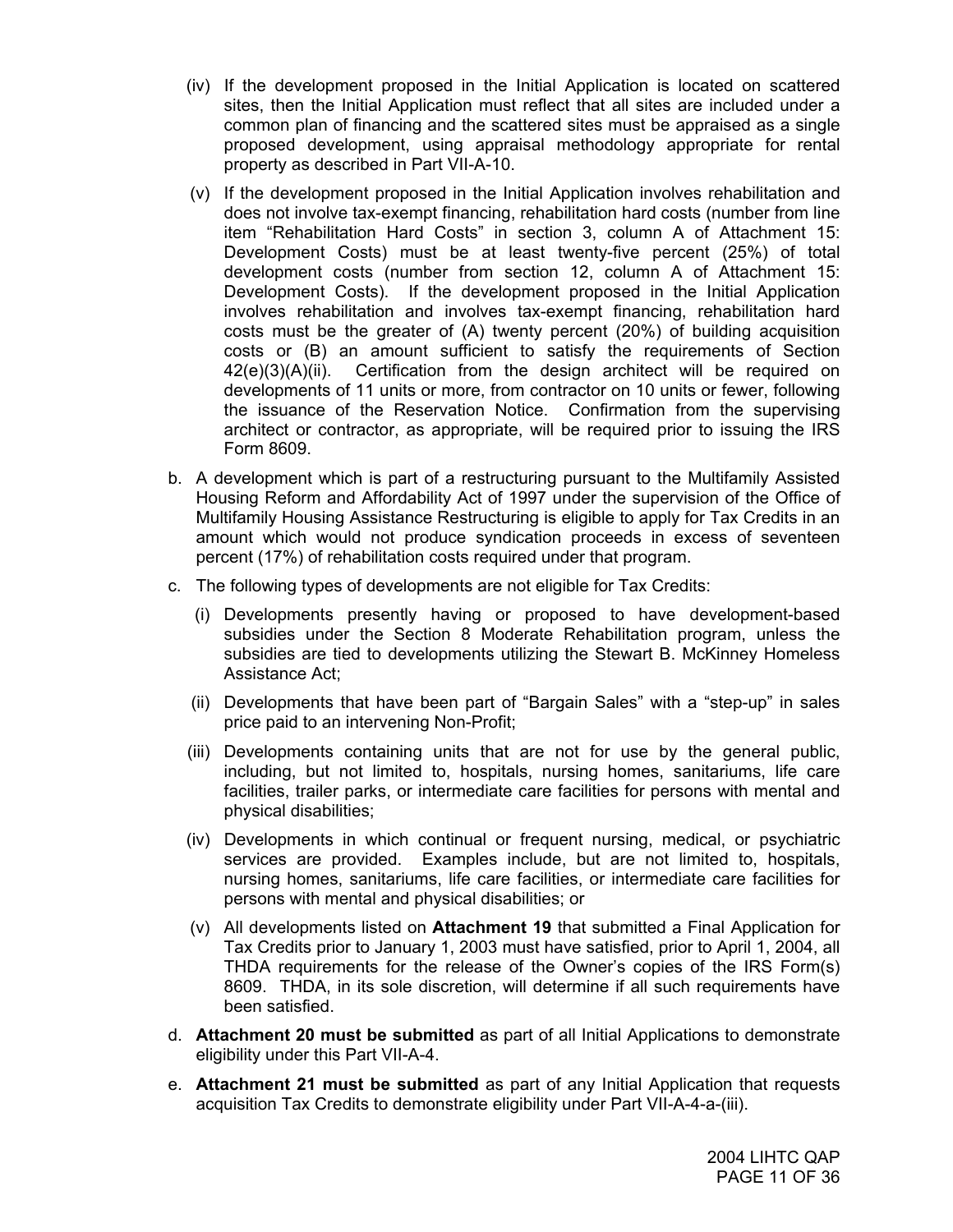- (iv) If the development proposed in the Initial Application is located on scattered sites, then the Initial Application must reflect that all sites are included under a common plan of financing and the scattered sites must be appraised as a single proposed development, using appraisal methodology appropriate for rental property as described in Part VII-A-10.
- (v) If the development proposed in the Initial Application involves rehabilitation and does not involve tax-exempt financing, rehabilitation hard costs (number from line item "Rehabilitation Hard Costs" in section 3, column A of Attachment 15: Development Costs) must be at least twenty-five percent (25%) of total development costs (number from section 12, column A of Attachment 15: Development Costs). If the development proposed in the Initial Application involves rehabilitation and involves tax-exempt financing, rehabilitation hard costs must be the greater of (A) twenty percent (20%) of building acquisition costs or (B) an amount sufficient to satisfy the requirements of Section  $42(e)(3)(A)(ii)$ . Certification from the design architect will be required on developments of 11 units or more, from contractor on 10 units or fewer, following the issuance of the Reservation Notice. Confirmation from the supervising architect or contractor, as appropriate, will be required prior to issuing the IRS Form 8609.
- b. A development which is part of a restructuring pursuant to the Multifamily Assisted Housing Reform and Affordability Act of 1997 under the supervision of the Office of Multifamily Housing Assistance Restructuring is eligible to apply for Tax Credits in an amount which would not produce syndication proceeds in excess of seventeen percent (17%) of rehabilitation costs required under that program.
- c. The following types of developments are not eligible for Tax Credits:
	- (i) Developments presently having or proposed to have development-based subsidies under the Section 8 Moderate Rehabilitation program, unless the subsidies are tied to developments utilizing the Stewart B. McKinney Homeless Assistance Act;
	- (ii) Developments that have been part of "Bargain Sales" with a "step-up" in sales price paid to an intervening Non-Profit;
	- (iii) Developments containing units that are not for use by the general public, including, but not limited to, hospitals, nursing homes, sanitariums, life care facilities, trailer parks, or intermediate care facilities for persons with mental and physical disabilities;
	- (iv) Developments in which continual or frequent nursing, medical, or psychiatric services are provided. Examples include, but are not limited to, hospitals, nursing homes, sanitariums, life care facilities, or intermediate care facilities for persons with mental and physical disabilities; or
	- (v) All developments listed on **Attachment 19** that submitted a Final Application for Tax Credits prior to January 1, 2003 must have satisfied, prior to April 1, 2004, all THDA requirements for the release of the Owner's copies of the IRS Form(s) 8609. THDA, in its sole discretion, will determine if all such requirements have been satisfied.
- d. **Attachment 20 must be submitted** as part of all Initial Applications to demonstrate eligibility under this Part VII-A-4.
- e. **Attachment 21 must be submitted** as part of any Initial Application that requests acquisition Tax Credits to demonstrate eligibility under Part VII-A-4-a-(iii).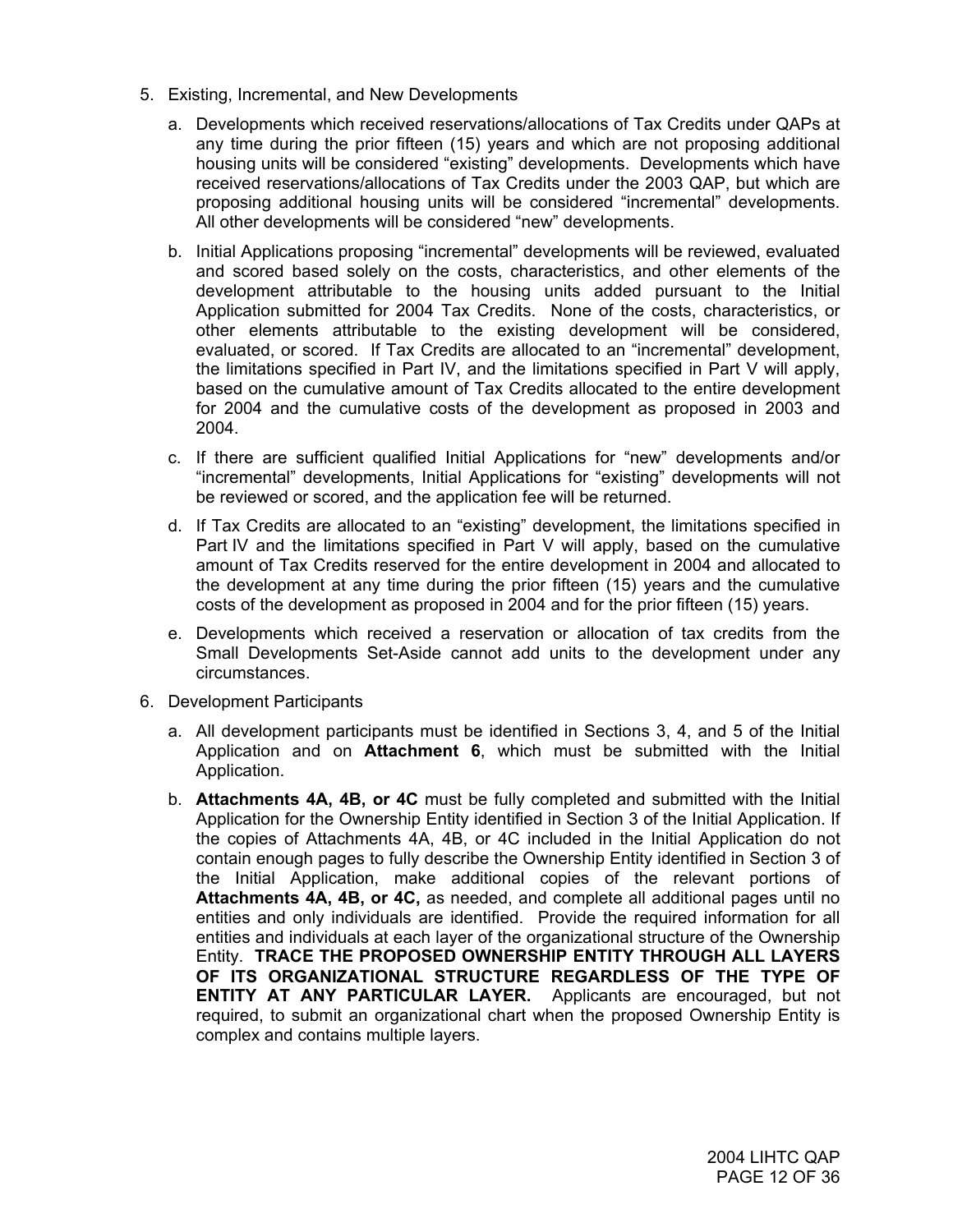- 5. Existing, Incremental, and New Developments
	- a. Developments which received reservations/allocations of Tax Credits under QAPs at any time during the prior fifteen (15) years and which are not proposing additional housing units will be considered "existing" developments. Developments which have received reservations/allocations of Tax Credits under the 2003 QAP, but which are proposing additional housing units will be considered "incremental" developments. All other developments will be considered "new" developments.
	- b. Initial Applications proposing "incremental" developments will be reviewed, evaluated and scored based solely on the costs, characteristics, and other elements of the development attributable to the housing units added pursuant to the Initial Application submitted for 2004 Tax Credits. None of the costs, characteristics, or other elements attributable to the existing development will be considered, evaluated, or scored. If Tax Credits are allocated to an "incremental" development, the limitations specified in Part IV, and the limitations specified in Part V will apply, based on the cumulative amount of Tax Credits allocated to the entire development for 2004 and the cumulative costs of the development as proposed in 2003 and 2004.
	- c. If there are sufficient qualified Initial Applications for "new" developments and/or "incremental" developments, Initial Applications for "existing" developments will not be reviewed or scored, and the application fee will be returned.
	- d. If Tax Credits are allocated to an "existing" development, the limitations specified in Part IV and the limitations specified in Part V will apply, based on the cumulative amount of Tax Credits reserved for the entire development in 2004 and allocated to the development at any time during the prior fifteen (15) years and the cumulative costs of the development as proposed in 2004 and for the prior fifteen (15) years.
	- e. Developments which received a reservation or allocation of tax credits from the Small Developments Set-Aside cannot add units to the development under any circumstances.
- 6. Development Participants
	- a. All development participants must be identified in Sections 3, 4, and 5 of the Initial Application and on **Attachment 6**, which must be submitted with the Initial Application.
	- b. **Attachments 4A, 4B, or 4C** must be fully completed and submitted with the Initial Application for the Ownership Entity identified in Section 3 of the Initial Application. If the copies of Attachments 4A, 4B, or 4C included in the Initial Application do not contain enough pages to fully describe the Ownership Entity identified in Section 3 of the Initial Application, make additional copies of the relevant portions of **Attachments 4A, 4B, or 4C,** as needed, and complete all additional pages until no entities and only individuals are identified. Provide the required information for all entities and individuals at each layer of the organizational structure of the Ownership Entity. **TRACE THE PROPOSED OWNERSHIP ENTITY THROUGH ALL LAYERS OF ITS ORGANIZATIONAL STRUCTURE REGARDLESS OF THE TYPE OF ENTITY AT ANY PARTICULAR LAYER.** Applicants are encouraged, but not required, to submit an organizational chart when the proposed Ownership Entity is complex and contains multiple layers.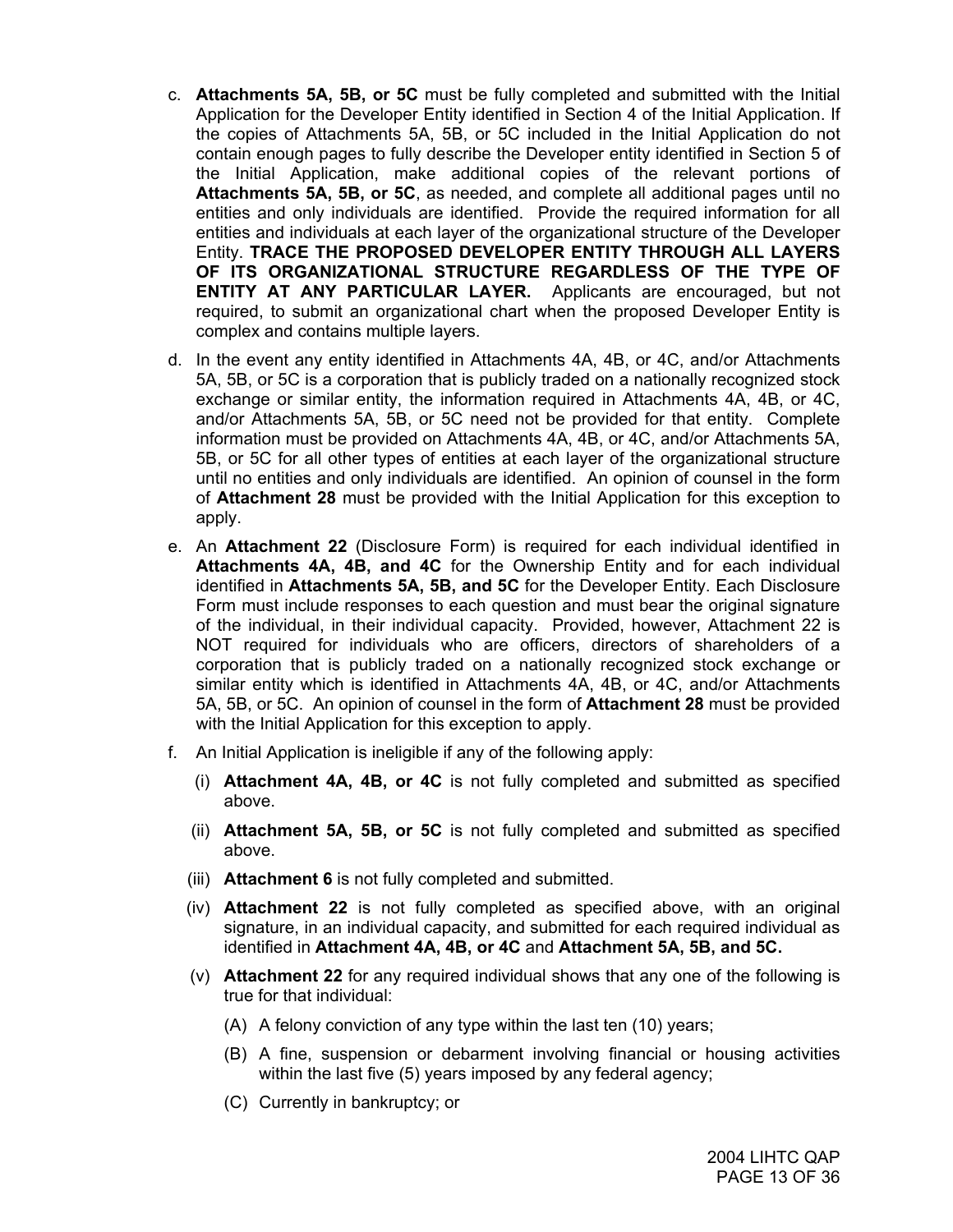- c. **Attachments 5A, 5B, or 5C** must be fully completed and submitted with the Initial Application for the Developer Entity identified in Section 4 of the Initial Application. If the copies of Attachments 5A, 5B, or 5C included in the Initial Application do not contain enough pages to fully describe the Developer entity identified in Section 5 of the Initial Application, make additional copies of the relevant portions of **Attachments 5A, 5B, or 5C**, as needed, and complete all additional pages until no entities and only individuals are identified. Provide the required information for all entities and individuals at each layer of the organizational structure of the Developer Entity. **TRACE THE PROPOSED DEVELOPER ENTITY THROUGH ALL LAYERS OF ITS ORGANIZATIONAL STRUCTURE REGARDLESS OF THE TYPE OF ENTITY AT ANY PARTICULAR LAYER.** Applicants are encouraged, but not required, to submit an organizational chart when the proposed Developer Entity is complex and contains multiple layers.
- d. In the event any entity identified in Attachments 4A, 4B, or 4C, and/or Attachments 5A, 5B, or 5C is a corporation that is publicly traded on a nationally recognized stock exchange or similar entity, the information required in Attachments 4A, 4B, or 4C, and/or Attachments 5A, 5B, or 5C need not be provided for that entity. Complete information must be provided on Attachments 4A, 4B, or 4C, and/or Attachments 5A, 5B, or 5C for all other types of entities at each layer of the organizational structure until no entities and only individuals are identified. An opinion of counsel in the form of **Attachment 28** must be provided with the Initial Application for this exception to apply.
- e. An **Attachment 22** (Disclosure Form) is required for each individual identified in **Attachments 4A, 4B, and 4C** for the Ownership Entity and for each individual identified in **Attachments 5A, 5B, and 5C** for the Developer Entity. Each Disclosure Form must include responses to each question and must bear the original signature of the individual, in their individual capacity. Provided, however, Attachment 22 is NOT required for individuals who are officers, directors of shareholders of a corporation that is publicly traded on a nationally recognized stock exchange or similar entity which is identified in Attachments 4A, 4B, or 4C, and/or Attachments 5A, 5B, or 5C. An opinion of counsel in the form of **Attachment 28** must be provided with the Initial Application for this exception to apply.
- f. An Initial Application is ineligible if any of the following apply:
	- (i) **Attachment 4A, 4B, or 4C** is not fully completed and submitted as specified above.
	- (ii) **Attachment 5A, 5B, or 5C** is not fully completed and submitted as specified above.
	- (iii) **Attachment 6** is not fully completed and submitted.
	- (iv) **Attachment 22** is not fully completed as specified above, with an original signature, in an individual capacity, and submitted for each required individual as identified in **Attachment 4A, 4B, or 4C** and **Attachment 5A, 5B, and 5C.**
	- (v) **Attachment 22** for any required individual shows that any one of the following is true for that individual:
		- (A) A felony conviction of any type within the last ten (10) years;
		- (B) A fine, suspension or debarment involving financial or housing activities within the last five (5) years imposed by any federal agency;
		- (C) Currently in bankruptcy; or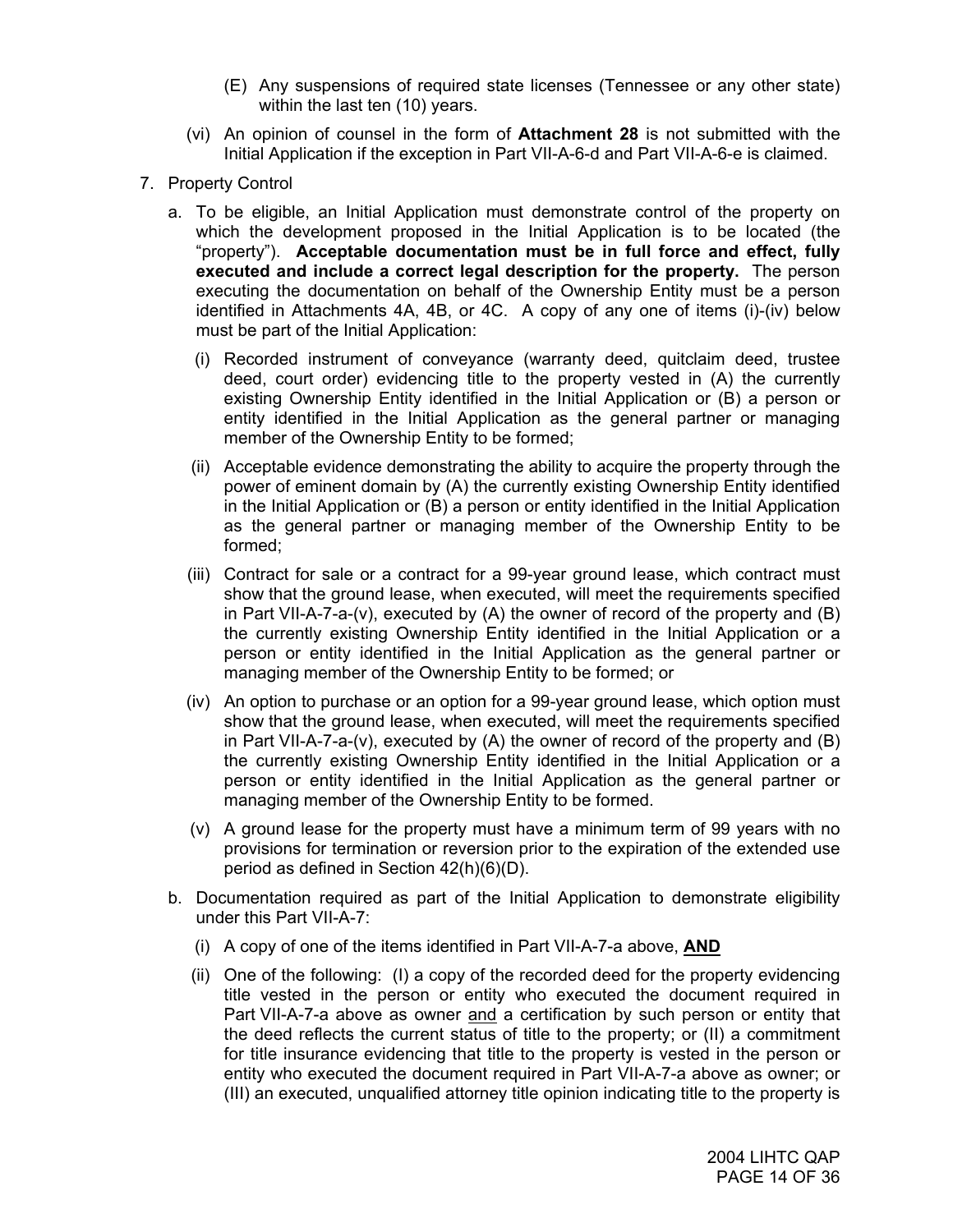- (E) Any suspensions of required state licenses (Tennessee or any other state) within the last ten (10) years.
- (vi) An opinion of counsel in the form of **Attachment 28** is not submitted with the Initial Application if the exception in Part VII-A-6-d and Part VII-A-6-e is claimed.
- 7. Property Control
	- a. To be eligible, an Initial Application must demonstrate control of the property on which the development proposed in the Initial Application is to be located (the "property"). **Acceptable documentation must be in full force and effect, fully executed and include a correct legal description for the property.** The person executing the documentation on behalf of the Ownership Entity must be a person identified in Attachments 4A, 4B, or 4C. A copy of any one of items (i)-(iv) below must be part of the Initial Application:
		- (i) Recorded instrument of conveyance (warranty deed, quitclaim deed, trustee deed, court order) evidencing title to the property vested in (A) the currently existing Ownership Entity identified in the Initial Application or (B) a person or entity identified in the Initial Application as the general partner or managing member of the Ownership Entity to be formed;
		- (ii) Acceptable evidence demonstrating the ability to acquire the property through the power of eminent domain by (A) the currently existing Ownership Entity identified in the Initial Application or (B) a person or entity identified in the Initial Application as the general partner or managing member of the Ownership Entity to be formed;
		- (iii) Contract for sale or a contract for a 99-year ground lease, which contract must show that the ground lease, when executed, will meet the requirements specified in Part VII-A-7-a-(v), executed by (A) the owner of record of the property and (B) the currently existing Ownership Entity identified in the Initial Application or a person or entity identified in the Initial Application as the general partner or managing member of the Ownership Entity to be formed; or
		- (iv) An option to purchase or an option for a 99-year ground lease, which option must show that the ground lease, when executed, will meet the requirements specified in Part VII-A-7-a-(v), executed by (A) the owner of record of the property and (B) the currently existing Ownership Entity identified in the Initial Application or a person or entity identified in the Initial Application as the general partner or managing member of the Ownership Entity to be formed.
		- (v) A ground lease for the property must have a minimum term of 99 years with no provisions for termination or reversion prior to the expiration of the extended use period as defined in Section 42(h)(6)(D).
	- b. Documentation required as part of the Initial Application to demonstrate eligibility under this Part VII-A-7:
		- (i) A copy of one of the items identified in Part VII-A-7-a above, **AND**
		- (ii) One of the following: (I) a copy of the recorded deed for the property evidencing title vested in the person or entity who executed the document required in Part VII-A-7-a above as owner and a certification by such person or entity that the deed reflects the current status of title to the property; or (II) a commitment for title insurance evidencing that title to the property is vested in the person or entity who executed the document required in Part VII-A-7-a above as owner; or (III) an executed, unqualified attorney title opinion indicating title to the property is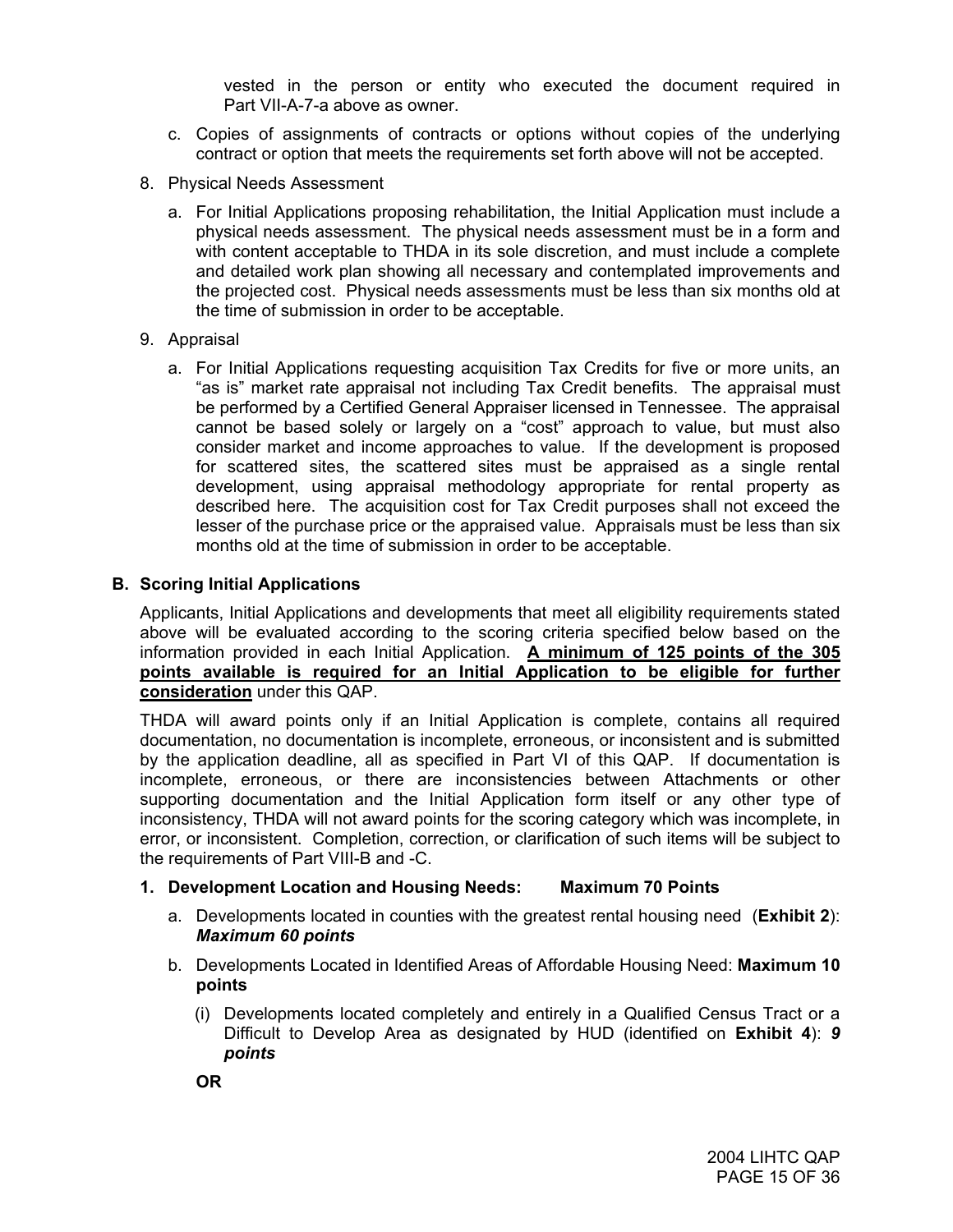vested in the person or entity who executed the document required in Part VII-A-7-a above as owner.

- c. Copies of assignments of contracts or options without copies of the underlying contract or option that meets the requirements set forth above will not be accepted.
- 8. Physical Needs Assessment
	- a. For Initial Applications proposing rehabilitation, the Initial Application must include a physical needs assessment. The physical needs assessment must be in a form and with content acceptable to THDA in its sole discretion, and must include a complete and detailed work plan showing all necessary and contemplated improvements and the projected cost. Physical needs assessments must be less than six months old at the time of submission in order to be acceptable.
- 9. Appraisal
	- a. For Initial Applications requesting acquisition Tax Credits for five or more units, an "as is" market rate appraisal not including Tax Credit benefits. The appraisal must be performed by a Certified General Appraiser licensed in Tennessee. The appraisal cannot be based solely or largely on a "cost" approach to value, but must also consider market and income approaches to value. If the development is proposed for scattered sites, the scattered sites must be appraised as a single rental development, using appraisal methodology appropriate for rental property as described here. The acquisition cost for Tax Credit purposes shall not exceed the lesser of the purchase price or the appraised value. Appraisals must be less than six months old at the time of submission in order to be acceptable.

## **B. Scoring Initial Applications**

Applicants, Initial Applications and developments that meet all eligibility requirements stated above will be evaluated according to the scoring criteria specified below based on the information provided in each Initial Application. **A minimum of 125 points of the 305 points available is required for an Initial Application to be eligible for further consideration** under this QAP.

THDA will award points only if an Initial Application is complete, contains all required documentation, no documentation is incomplete, erroneous, or inconsistent and is submitted by the application deadline, all as specified in Part VI of this QAP. If documentation is incomplete, erroneous, or there are inconsistencies between Attachments or other supporting documentation and the Initial Application form itself or any other type of inconsistency, THDA will not award points for the scoring category which was incomplete, in error, or inconsistent. Completion, correction, or clarification of such items will be subject to the requirements of Part VIII-B and -C.

## **1. Development Location and Housing Needs: Maximum 70 Points**

- a. Developments located in counties with the greatest rental housing need (**Exhibit 2**): *Maximum 60 points*
- b. Developments Located in Identified Areas of Affordable Housing Need: **Maximum 10 points** 
	- (i) Developments located completely and entirely in a Qualified Census Tract or a Difficult to Develop Area as designated by HUD (identified on **Exhibit 4**): *9 points*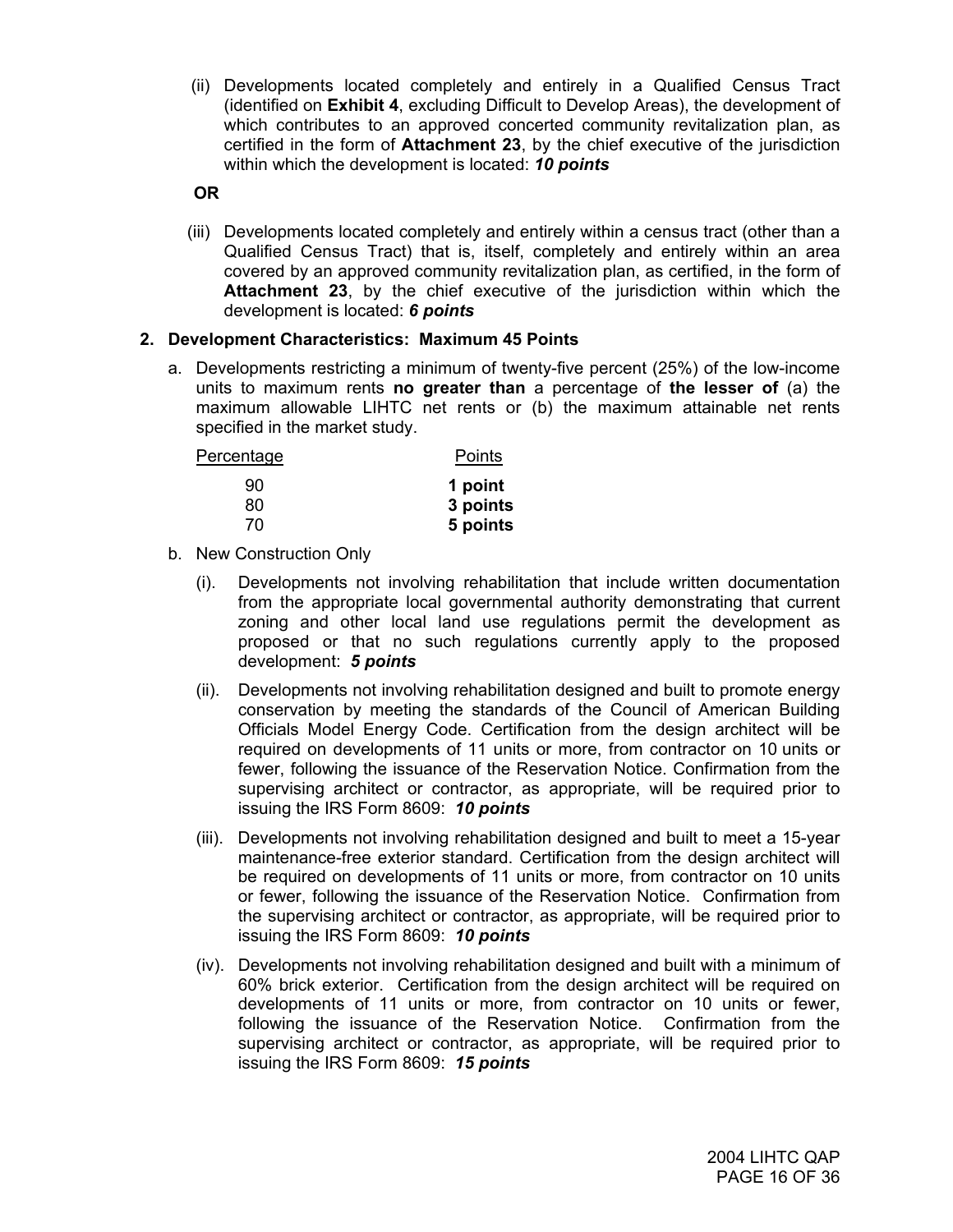(ii) Developments located completely and entirely in a Qualified Census Tract (identified on **Exhibit 4**, excluding Difficult to Develop Areas), the development of which contributes to an approved concerted community revitalization plan, as certified in the form of **Attachment 23**, by the chief executive of the jurisdiction within which the development is located: *10 points*

**OR**

 (iii) Developments located completely and entirely within a census tract (other than a Qualified Census Tract) that is, itself, completely and entirely within an area covered by an approved community revitalization plan, as certified, in the form of **Attachment 23**, by the chief executive of the jurisdiction within which the development is located: *6 points*

## **2. Development Characteristics: Maximum 45 Points**

a. Developments restricting a minimum of twenty-five percent (25%) of the low-income units to maximum rents **no greater than** a percentage of **the lesser of** (a) the maximum allowable LIHTC net rents or (b) the maximum attainable net rents specified in the market study.

| Percentage | Points   |
|------------|----------|
| 90         | 1 point  |
| 80         | 3 points |
| 7٨         | 5 points |

- b. New Construction Only
	- (i). Developments not involving rehabilitation that include written documentation from the appropriate local governmental authority demonstrating that current zoning and other local land use regulations permit the development as proposed or that no such regulations currently apply to the proposed development: *5 points*
	- (ii). Developments not involving rehabilitation designed and built to promote energy conservation by meeting the standards of the Council of American Building Officials Model Energy Code. Certification from the design architect will be required on developments of 11 units or more, from contractor on 10 units or fewer, following the issuance of the Reservation Notice. Confirmation from the supervising architect or contractor, as appropriate, will be required prior to issuing the IRS Form 8609: *10 points*
	- (iii). Developments not involving rehabilitation designed and built to meet a 15-year maintenance-free exterior standard. Certification from the design architect will be required on developments of 11 units or more, from contractor on 10 units or fewer, following the issuance of the Reservation Notice. Confirmation from the supervising architect or contractor, as appropriate, will be required prior to issuing the IRS Form 8609: *10 points*
	- (iv). Developments not involving rehabilitation designed and built with a minimum of 60% brick exterior. Certification from the design architect will be required on developments of 11 units or more, from contractor on 10 units or fewer, following the issuance of the Reservation Notice. Confirmation from the supervising architect or contractor, as appropriate, will be required prior to issuing the IRS Form 8609: *15 points*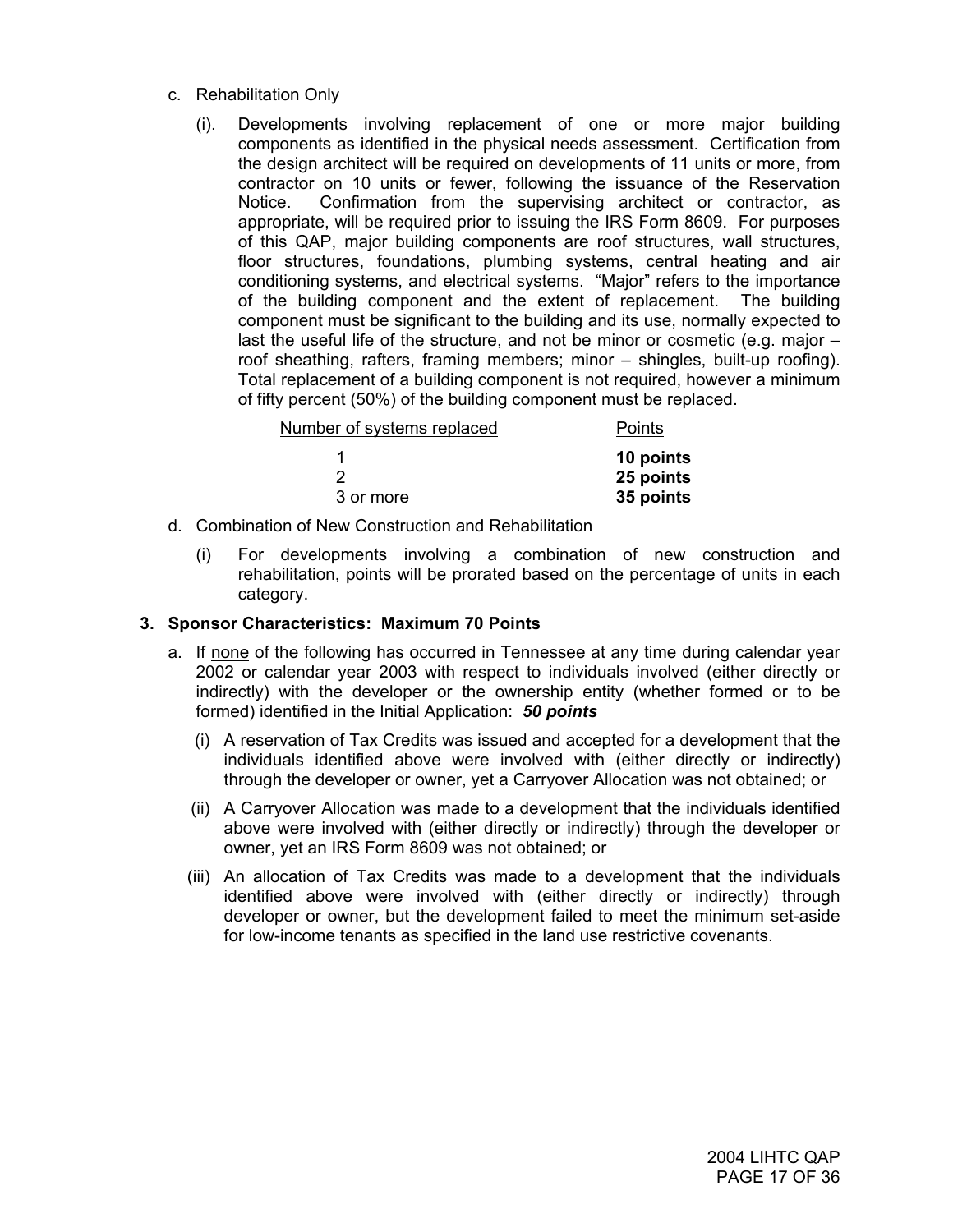- c. Rehabilitation Only
	- (i). Developments involving replacement of one or more major building components as identified in the physical needs assessment. Certification from the design architect will be required on developments of 11 units or more, from contractor on 10 units or fewer, following the issuance of the Reservation Notice. Confirmation from the supervising architect or contractor, as appropriate, will be required prior to issuing the IRS Form 8609. For purposes of this QAP, major building components are roof structures, wall structures, floor structures, foundations, plumbing systems, central heating and air conditioning systems, and electrical systems. "Major" refers to the importance of the building component and the extent of replacement. The building component must be significant to the building and its use, normally expected to last the useful life of the structure, and not be minor or cosmetic (e.g. major – roof sheathing, rafters, framing members; minor – shingles, built-up roofing). Total replacement of a building component is not required, however a minimum of fifty percent (50%) of the building component must be replaced.

| Number of systems replaced | Points    |
|----------------------------|-----------|
|                            | 10 points |
|                            | 25 points |
| 3 or more                  | 35 points |

- d. Combination of New Construction and Rehabilitation
	- (i) For developments involving a combination of new construction and rehabilitation, points will be prorated based on the percentage of units in each category.

#### **3. Sponsor Characteristics: Maximum 70 Points**

- a. If none of the following has occurred in Tennessee at any time during calendar year 2002 or calendar year 2003 with respect to individuals involved (either directly or indirectly) with the developer or the ownership entity (whether formed or to be formed) identified in the Initial Application: *50 points*
	- (i) A reservation of Tax Credits was issued and accepted for a development that the individuals identified above were involved with (either directly or indirectly) through the developer or owner, yet a Carryover Allocation was not obtained; or
	- (ii) A Carryover Allocation was made to a development that the individuals identified above were involved with (either directly or indirectly) through the developer or owner, yet an IRS Form 8609 was not obtained; or
	- (iii) An allocation of Tax Credits was made to a development that the individuals identified above were involved with (either directly or indirectly) through developer or owner, but the development failed to meet the minimum set-aside for low-income tenants as specified in the land use restrictive covenants.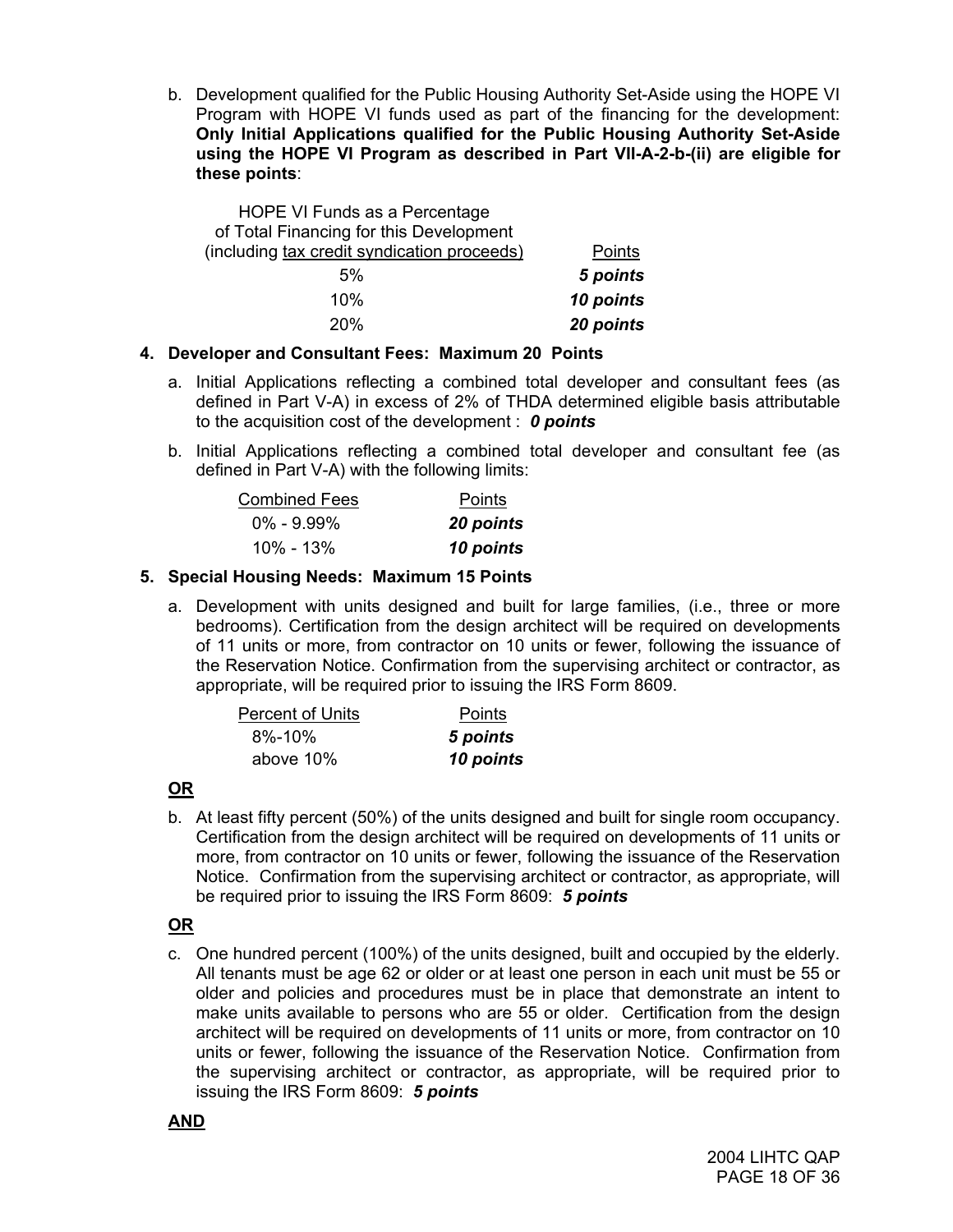b. Development qualified for the Public Housing Authority Set-Aside using the HOPE VI Program with HOPE VI funds used as part of the financing for the development: **Only Initial Applications qualified for the Public Housing Authority Set-Aside using the HOPE VI Program as described in Part VII-A-2-b-(ii) are eligible for these points**:

| HOPE VI Funds as a Percentage               |           |
|---------------------------------------------|-----------|
| of Total Financing for this Development     |           |
| (including tax credit syndication proceeds) | Points    |
| 5%                                          | 5 points  |
| 10%                                         | 10 points |
| 20%                                         | 20 points |

## **4. Developer and Consultant Fees: Maximum 20 Points**

- a. Initial Applications reflecting a combined total developer and consultant fees (as defined in Part V-A) in excess of 2% of THDA determined eligible basis attributable to the acquisition cost of the development : *0 points*
- b. Initial Applications reflecting a combined total developer and consultant fee (as defined in Part V-A) with the following limits:

| <b>Combined Fees</b> | Points    |
|----------------------|-----------|
| $0\% - 9.99\%$       | 20 points |
| 10% - 13%            | 10 points |

## **5. Special Housing Needs: Maximum 15 Points**

a. Development with units designed and built for large families, (i.e., three or more bedrooms). Certification from the design architect will be required on developments of 11 units or more, from contractor on 10 units or fewer, following the issuance of the Reservation Notice. Confirmation from the supervising architect or contractor, as appropriate, will be required prior to issuing the IRS Form 8609.

| <b>Percent of Units</b> | Points    |
|-------------------------|-----------|
| $8\% - 10\%$            | 5 points  |
| above 10%               | 10 points |

## **OR**

b. At least fifty percent (50%) of the units designed and built for single room occupancy. Certification from the design architect will be required on developments of 11 units or more, from contractor on 10 units or fewer, following the issuance of the Reservation Notice. Confirmation from the supervising architect or contractor, as appropriate, will be required prior to issuing the IRS Form 8609: *5 points* 

## **OR**

c. One hundred percent (100%) of the units designed, built and occupied by the elderly. All tenants must be age 62 or older or at least one person in each unit must be 55 or older and policies and procedures must be in place that demonstrate an intent to make units available to persons who are 55 or older. Certification from the design architect will be required on developments of 11 units or more, from contractor on 10 units or fewer, following the issuance of the Reservation Notice. Confirmation from the supervising architect or contractor, as appropriate, will be required prior to issuing the IRS Form 8609: *5 points*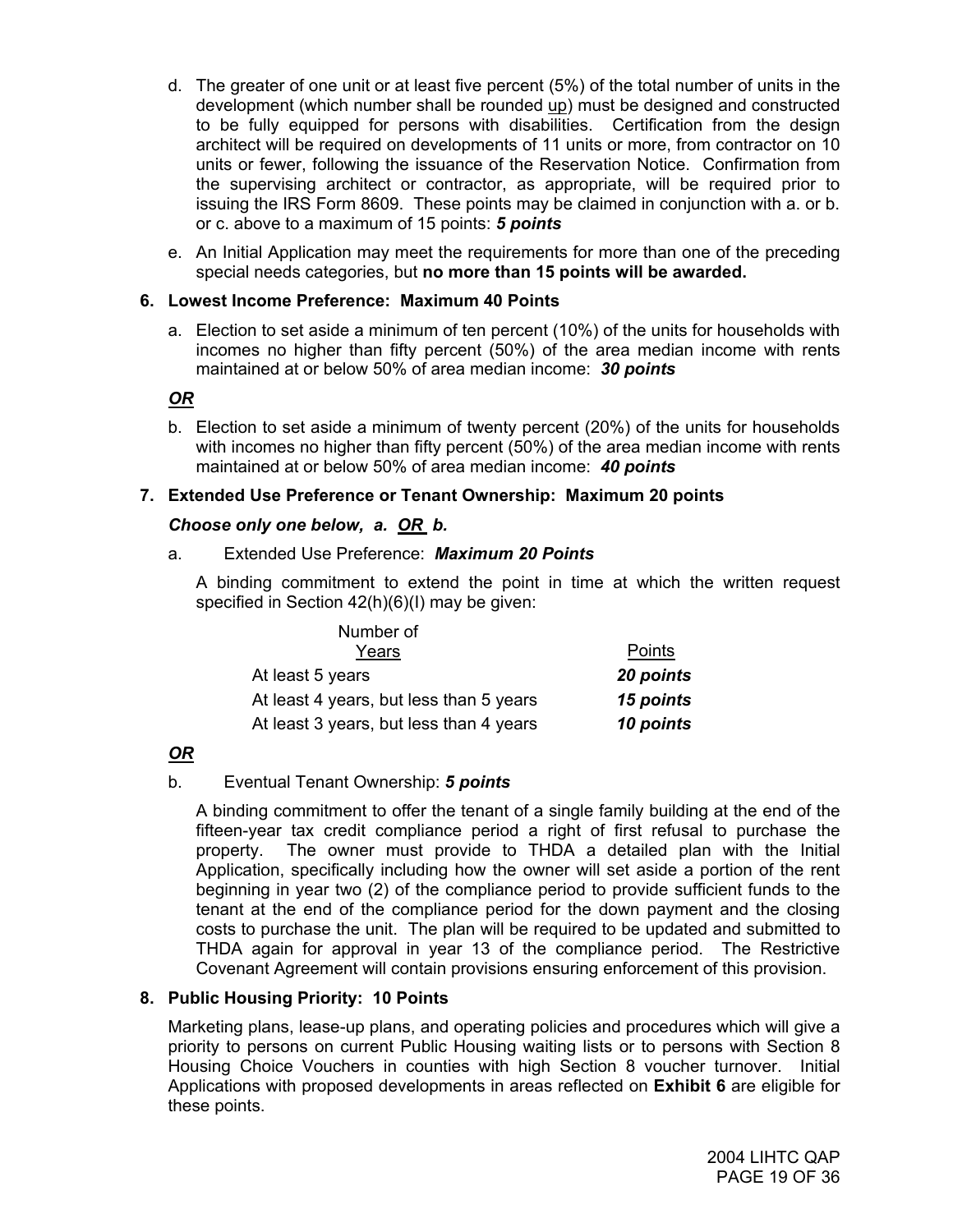- d. The greater of one unit or at least five percent (5%) of the total number of units in the development (which number shall be rounded up) must be designed and constructed to be fully equipped for persons with disabilities. Certification from the design architect will be required on developments of 11 units or more, from contractor on 10 units or fewer, following the issuance of the Reservation Notice. Confirmation from the supervising architect or contractor, as appropriate, will be required prior to issuing the IRS Form 8609. These points may be claimed in conjunction with a. or b. or c. above to a maximum of 15 points: *5 points*
- e. An Initial Application may meet the requirements for more than one of the preceding special needs categories, but **no more than 15 points will be awarded.**

## **6. Lowest Income Preference: Maximum 40 Points**

a. Election to set aside a minimum of ten percent (10%) of the units for households with incomes no higher than fifty percent (50%) of the area median income with rents maintained at or below 50% of area median income: *30 points*

## *OR*

b. Election to set aside a minimum of twenty percent (20%) of the units for households with incomes no higher than fifty percent (50%) of the area median income with rents maintained at or below 50% of area median income: *40 points*

## **7. Extended Use Preference or Tenant Ownership: Maximum 20 points**

#### *Choose only one below, a. OR b.*

#### a. Extended Use Preference: *Maximum 20 Points*

A binding commitment to extend the point in time at which the written request specified in Section 42(h)(6)(I) may be given:

| Number of                               |           |
|-----------------------------------------|-----------|
| Years                                   | Points    |
| At least 5 years                        | 20 points |
| At least 4 years, but less than 5 years | 15 points |
| At least 3 years, but less than 4 years | 10 points |

## *OR*

## b. Eventual Tenant Ownership: *5 points*

A binding commitment to offer the tenant of a single family building at the end of the fifteen-year tax credit compliance period a right of first refusal to purchase the property. The owner must provide to THDA a detailed plan with the Initial Application, specifically including how the owner will set aside a portion of the rent beginning in year two (2) of the compliance period to provide sufficient funds to the tenant at the end of the compliance period for the down payment and the closing costs to purchase the unit. The plan will be required to be updated and submitted to THDA again for approval in year 13 of the compliance period. The Restrictive Covenant Agreement will contain provisions ensuring enforcement of this provision.

#### **8. Public Housing Priority: 10 Points**

Marketing plans, lease-up plans, and operating policies and procedures which will give a priority to persons on current Public Housing waiting lists or to persons with Section 8 Housing Choice Vouchers in counties with high Section 8 voucher turnover. Initial Applications with proposed developments in areas reflected on **Exhibit 6** are eligible for these points.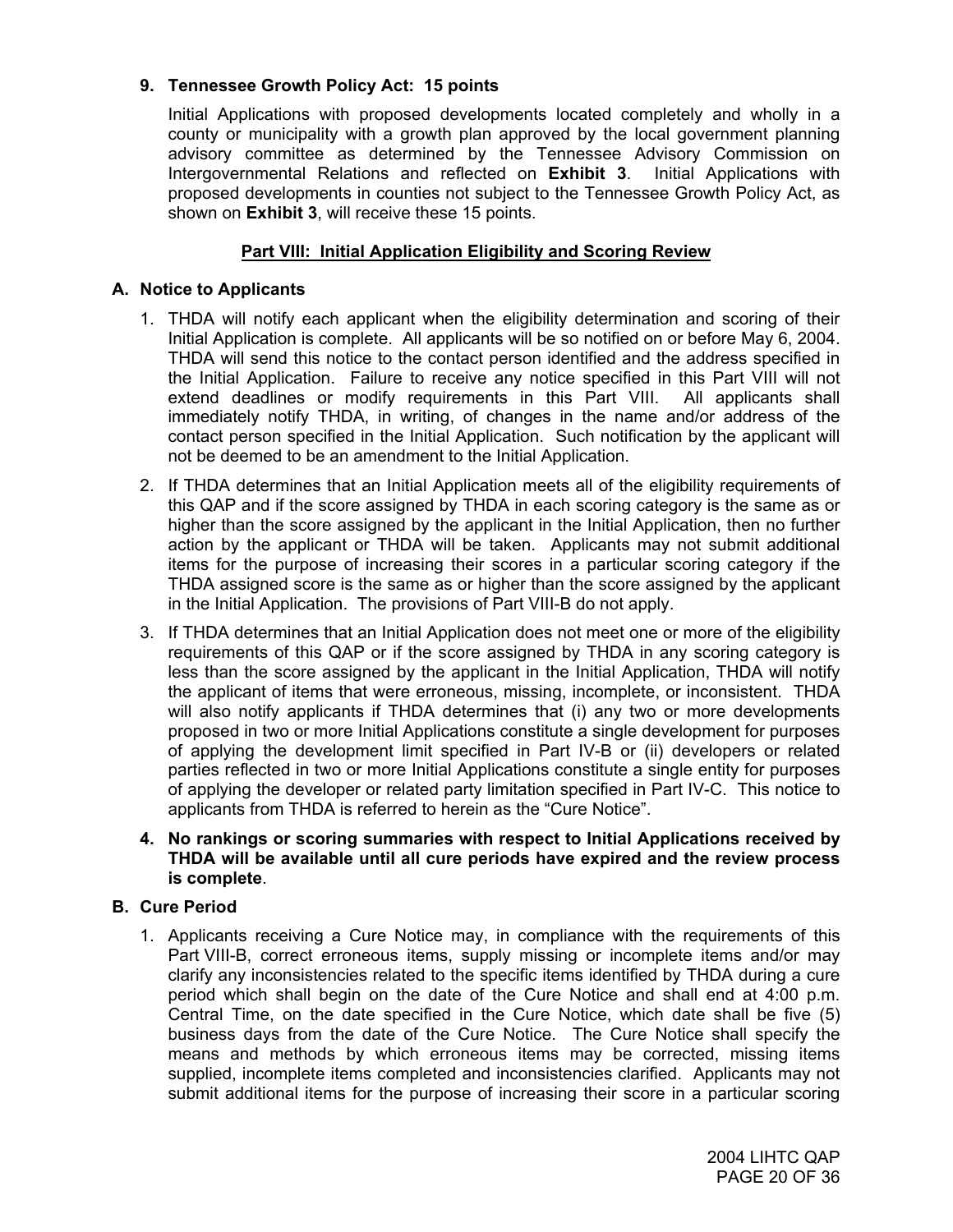## **9. Tennessee Growth Policy Act: 15 points**

Initial Applications with proposed developments located completely and wholly in a county or municipality with a growth plan approved by the local government planning advisory committee as determined by the Tennessee Advisory Commission on Intergovernmental Relations and reflected on **Exhibit 3**. Initial Applications with proposed developments in counties not subject to the Tennessee Growth Policy Act, as shown on **Exhibit 3**, will receive these 15 points.

## **Part VIII: Initial Application Eligibility and Scoring Review**

#### **A. Notice to Applicants**

- 1. THDA will notify each applicant when the eligibility determination and scoring of their Initial Application is complete. All applicants will be so notified on or before May 6, 2004. THDA will send this notice to the contact person identified and the address specified in the Initial Application. Failure to receive any notice specified in this Part VIII will not extend deadlines or modify requirements in this Part VIII. All applicants shall immediately notify THDA, in writing, of changes in the name and/or address of the contact person specified in the Initial Application. Such notification by the applicant will not be deemed to be an amendment to the Initial Application.
- 2. If THDA determines that an Initial Application meets all of the eligibility requirements of this QAP and if the score assigned by THDA in each scoring category is the same as or higher than the score assigned by the applicant in the Initial Application, then no further action by the applicant or THDA will be taken. Applicants may not submit additional items for the purpose of increasing their scores in a particular scoring category if the THDA assigned score is the same as or higher than the score assigned by the applicant in the Initial Application. The provisions of Part VIII-B do not apply.
- 3. If THDA determines that an Initial Application does not meet one or more of the eligibility requirements of this QAP or if the score assigned by THDA in any scoring category is less than the score assigned by the applicant in the Initial Application, THDA will notify the applicant of items that were erroneous, missing, incomplete, or inconsistent. THDA will also notify applicants if THDA determines that (i) any two or more developments proposed in two or more Initial Applications constitute a single development for purposes of applying the development limit specified in Part IV-B or (ii) developers or related parties reflected in two or more Initial Applications constitute a single entity for purposes of applying the developer or related party limitation specified in Part IV-C. This notice to applicants from THDA is referred to herein as the "Cure Notice".
- **4. No rankings or scoring summaries with respect to Initial Applications received by THDA will be available until all cure periods have expired and the review process is complete**.

## **B. Cure Period**

1. Applicants receiving a Cure Notice may, in compliance with the requirements of this Part VIII-B, correct erroneous items, supply missing or incomplete items and/or may clarify any inconsistencies related to the specific items identified by THDA during a cure period which shall begin on the date of the Cure Notice and shall end at 4:00 p.m. Central Time, on the date specified in the Cure Notice, which date shall be five (5) business days from the date of the Cure Notice. The Cure Notice shall specify the means and methods by which erroneous items may be corrected, missing items supplied, incomplete items completed and inconsistencies clarified. Applicants may not submit additional items for the purpose of increasing their score in a particular scoring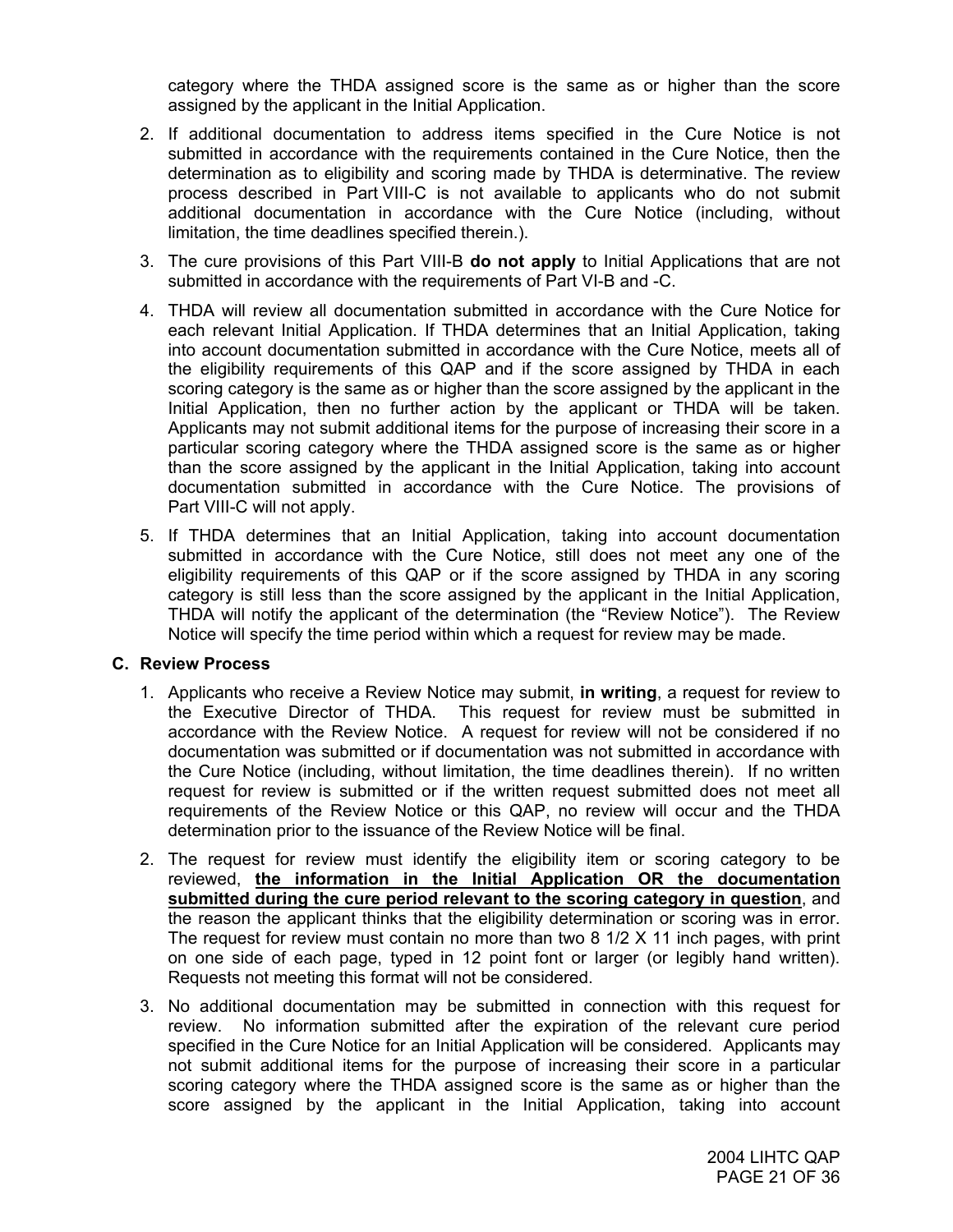category where the THDA assigned score is the same as or higher than the score assigned by the applicant in the Initial Application.

- 2. If additional documentation to address items specified in the Cure Notice is not submitted in accordance with the requirements contained in the Cure Notice, then the determination as to eligibility and scoring made by THDA is determinative. The review process described in Part VIII-C is not available to applicants who do not submit additional documentation in accordance with the Cure Notice (including, without limitation, the time deadlines specified therein.).
- 3. The cure provisions of this Part VIII-B **do not apply** to Initial Applications that are not submitted in accordance with the requirements of Part VI-B and -C.
- 4. THDA will review all documentation submitted in accordance with the Cure Notice for each relevant Initial Application. If THDA determines that an Initial Application, taking into account documentation submitted in accordance with the Cure Notice, meets all of the eligibility requirements of this QAP and if the score assigned by THDA in each scoring category is the same as or higher than the score assigned by the applicant in the Initial Application, then no further action by the applicant or THDA will be taken. Applicants may not submit additional items for the purpose of increasing their score in a particular scoring category where the THDA assigned score is the same as or higher than the score assigned by the applicant in the Initial Application, taking into account documentation submitted in accordance with the Cure Notice. The provisions of Part VIII-C will not apply.
- 5. If THDA determines that an Initial Application, taking into account documentation submitted in accordance with the Cure Notice, still does not meet any one of the eligibility requirements of this QAP or if the score assigned by THDA in any scoring category is still less than the score assigned by the applicant in the Initial Application, THDA will notify the applicant of the determination (the "Review Notice"). The Review Notice will specify the time period within which a request for review may be made.

#### **C. Review Process**

- 1. Applicants who receive a Review Notice may submit, **in writing**, a request for review to the Executive Director of THDA. This request for review must be submitted in accordance with the Review Notice. A request for review will not be considered if no documentation was submitted or if documentation was not submitted in accordance with the Cure Notice (including, without limitation, the time deadlines therein). If no written request for review is submitted or if the written request submitted does not meet all requirements of the Review Notice or this QAP, no review will occur and the THDA determination prior to the issuance of the Review Notice will be final.
- 2. The request for review must identify the eligibility item or scoring category to be reviewed, **the information in the Initial Application OR the documentation submitted during the cure period relevant to the scoring category in question**, and the reason the applicant thinks that the eligibility determination or scoring was in error. The request for review must contain no more than two 8 1/2 X 11 inch pages, with print on one side of each page, typed in 12 point font or larger (or legibly hand written). Requests not meeting this format will not be considered.
- 3. No additional documentation may be submitted in connection with this request for review. No information submitted after the expiration of the relevant cure period specified in the Cure Notice for an Initial Application will be considered. Applicants may not submit additional items for the purpose of increasing their score in a particular scoring category where the THDA assigned score is the same as or higher than the score assigned by the applicant in the Initial Application, taking into account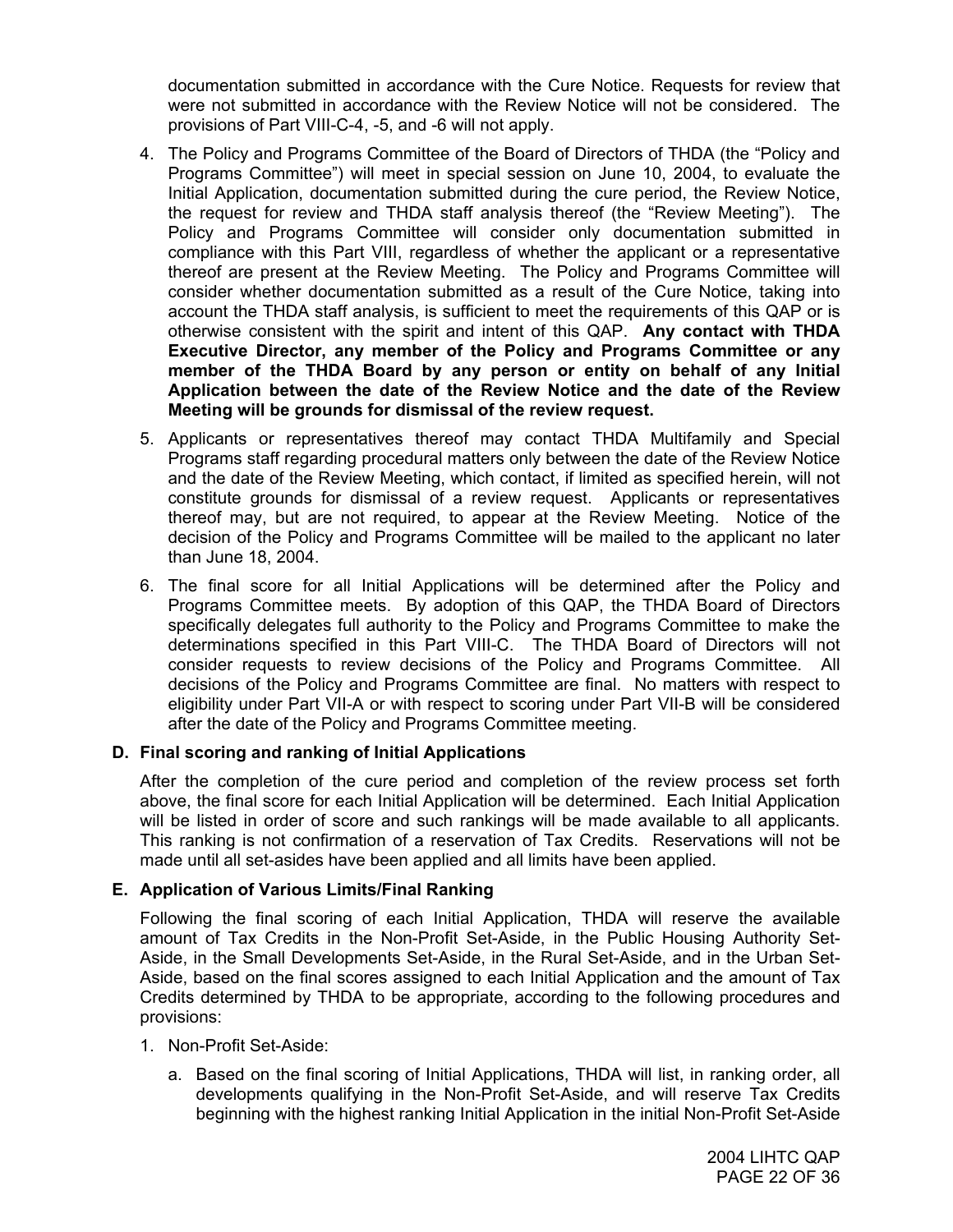documentation submitted in accordance with the Cure Notice. Requests for review that were not submitted in accordance with the Review Notice will not be considered. The provisions of Part VIII-C-4, -5, and -6 will not apply.

- 4. The Policy and Programs Committee of the Board of Directors of THDA (the "Policy and Programs Committee") will meet in special session on June 10, 2004, to evaluate the Initial Application, documentation submitted during the cure period, the Review Notice, the request for review and THDA staff analysis thereof (the "Review Meeting"). The Policy and Programs Committee will consider only documentation submitted in compliance with this Part VIII, regardless of whether the applicant or a representative thereof are present at the Review Meeting. The Policy and Programs Committee will consider whether documentation submitted as a result of the Cure Notice, taking into account the THDA staff analysis, is sufficient to meet the requirements of this QAP or is otherwise consistent with the spirit and intent of this QAP. **Any contact with THDA Executive Director, any member of the Policy and Programs Committee or any member of the THDA Board by any person or entity on behalf of any Initial Application between the date of the Review Notice and the date of the Review Meeting will be grounds for dismissal of the review request.**
- 5. Applicants or representatives thereof may contact THDA Multifamily and Special Programs staff regarding procedural matters only between the date of the Review Notice and the date of the Review Meeting, which contact, if limited as specified herein, will not constitute grounds for dismissal of a review request. Applicants or representatives thereof may, but are not required, to appear at the Review Meeting. Notice of the decision of the Policy and Programs Committee will be mailed to the applicant no later than June 18, 2004.
- 6. The final score for all Initial Applications will be determined after the Policy and Programs Committee meets. By adoption of this QAP, the THDA Board of Directors specifically delegates full authority to the Policy and Programs Committee to make the determinations specified in this Part VIII-C. The THDA Board of Directors will not consider requests to review decisions of the Policy and Programs Committee. All decisions of the Policy and Programs Committee are final. No matters with respect to eligibility under Part VII-A or with respect to scoring under Part VII-B will be considered after the date of the Policy and Programs Committee meeting.

## **D. Final scoring and ranking of Initial Applications**

After the completion of the cure period and completion of the review process set forth above, the final score for each Initial Application will be determined. Each Initial Application will be listed in order of score and such rankings will be made available to all applicants. This ranking is not confirmation of a reservation of Tax Credits. Reservations will not be made until all set-asides have been applied and all limits have been applied.

## **E. Application of Various Limits/Final Ranking**

Following the final scoring of each Initial Application, THDA will reserve the available amount of Tax Credits in the Non-Profit Set-Aside, in the Public Housing Authority Set-Aside, in the Small Developments Set-Aside, in the Rural Set-Aside, and in the Urban Set-Aside, based on the final scores assigned to each Initial Application and the amount of Tax Credits determined by THDA to be appropriate, according to the following procedures and provisions:

- 1. Non-Profit Set-Aside:
	- a. Based on the final scoring of Initial Applications, THDA will list, in ranking order, all developments qualifying in the Non-Profit Set-Aside, and will reserve Tax Credits beginning with the highest ranking Initial Application in the initial Non-Profit Set-Aside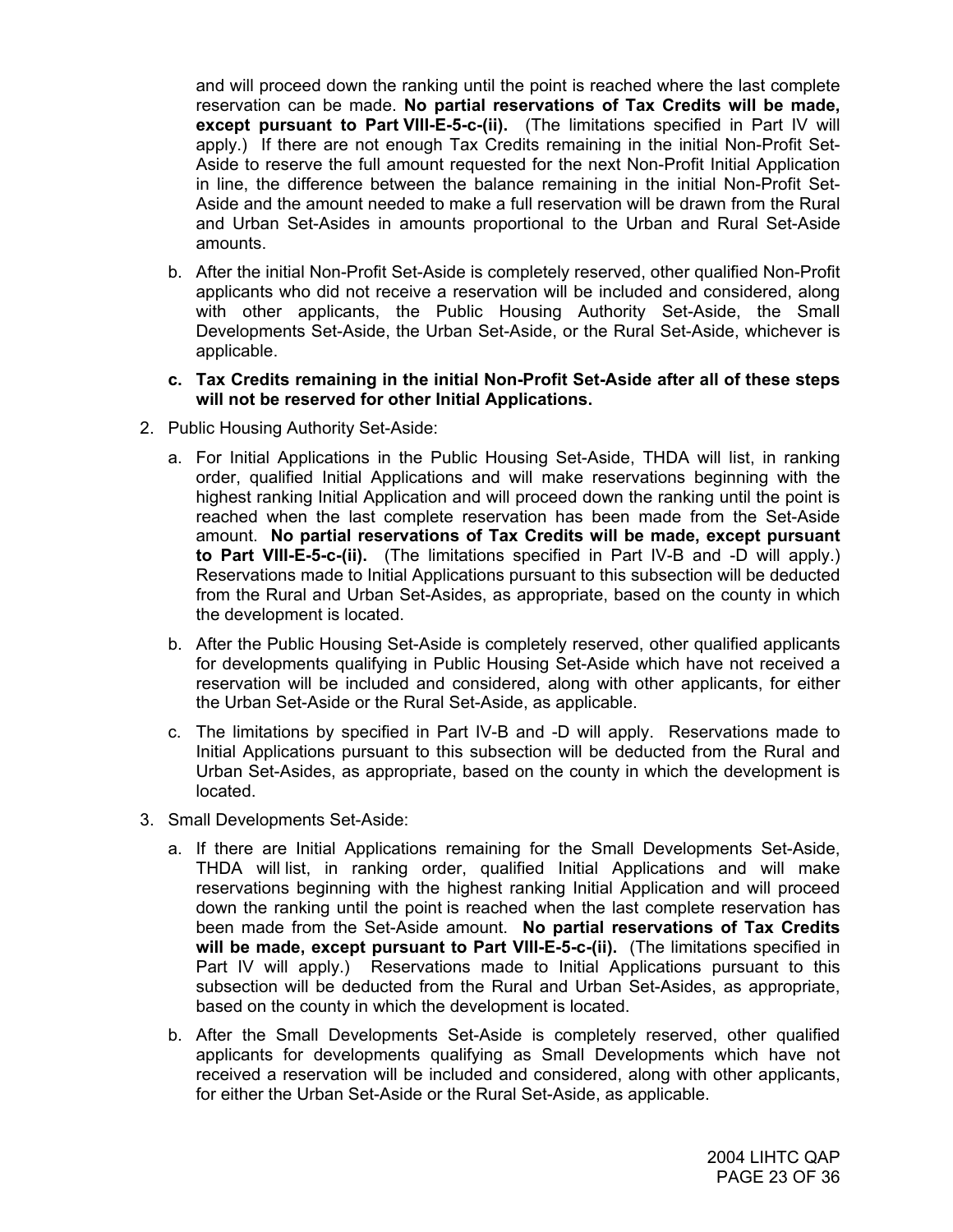and will proceed down the ranking until the point is reached where the last complete reservation can be made. **No partial reservations of Tax Credits will be made, except pursuant to Part VIII-E-5-c-(ii).** (The limitations specified in Part IV will apply.) If there are not enough Tax Credits remaining in the initial Non-Profit Set-Aside to reserve the full amount requested for the next Non-Profit Initial Application in line, the difference between the balance remaining in the initial Non-Profit Set-Aside and the amount needed to make a full reservation will be drawn from the Rural and Urban Set-Asides in amounts proportional to the Urban and Rural Set-Aside amounts.

- b. After the initial Non-Profit Set-Aside is completely reserved, other qualified Non-Profit applicants who did not receive a reservation will be included and considered, along with other applicants, the Public Housing Authority Set-Aside, the Small Developments Set-Aside, the Urban Set-Aside, or the Rural Set-Aside, whichever is applicable.
- **c. Tax Credits remaining in the initial Non-Profit Set-Aside after all of these steps will not be reserved for other Initial Applications.**
- 2. Public Housing Authority Set-Aside:
	- a. For Initial Applications in the Public Housing Set-Aside, THDA will list, in ranking order, qualified Initial Applications and will make reservations beginning with the highest ranking Initial Application and will proceed down the ranking until the point is reached when the last complete reservation has been made from the Set-Aside amount. **No partial reservations of Tax Credits will be made, except pursuant to Part VIII-E-5-c-(ii).** (The limitations specified in Part IV-B and -D will apply.) Reservations made to Initial Applications pursuant to this subsection will be deducted from the Rural and Urban Set-Asides, as appropriate, based on the county in which the development is located.
	- b. After the Public Housing Set-Aside is completely reserved, other qualified applicants for developments qualifying in Public Housing Set-Aside which have not received a reservation will be included and considered, along with other applicants, for either the Urban Set-Aside or the Rural Set-Aside, as applicable.
	- c. The limitations by specified in Part IV-B and -D will apply. Reservations made to Initial Applications pursuant to this subsection will be deducted from the Rural and Urban Set-Asides, as appropriate, based on the county in which the development is located.
- 3. Small Developments Set-Aside:
	- a. If there are Initial Applications remaining for the Small Developments Set-Aside, THDA will list, in ranking order, qualified Initial Applications and will make reservations beginning with the highest ranking Initial Application and will proceed down the ranking until the point is reached when the last complete reservation has been made from the Set-Aside amount. **No partial reservations of Tax Credits will be made, except pursuant to Part VIII-E-5-c-(ii).** (The limitations specified in Part IV will apply.) Reservations made to Initial Applications pursuant to this subsection will be deducted from the Rural and Urban Set-Asides, as appropriate, based on the county in which the development is located.
	- b. After the Small Developments Set-Aside is completely reserved, other qualified applicants for developments qualifying as Small Developments which have not received a reservation will be included and considered, along with other applicants, for either the Urban Set-Aside or the Rural Set-Aside, as applicable.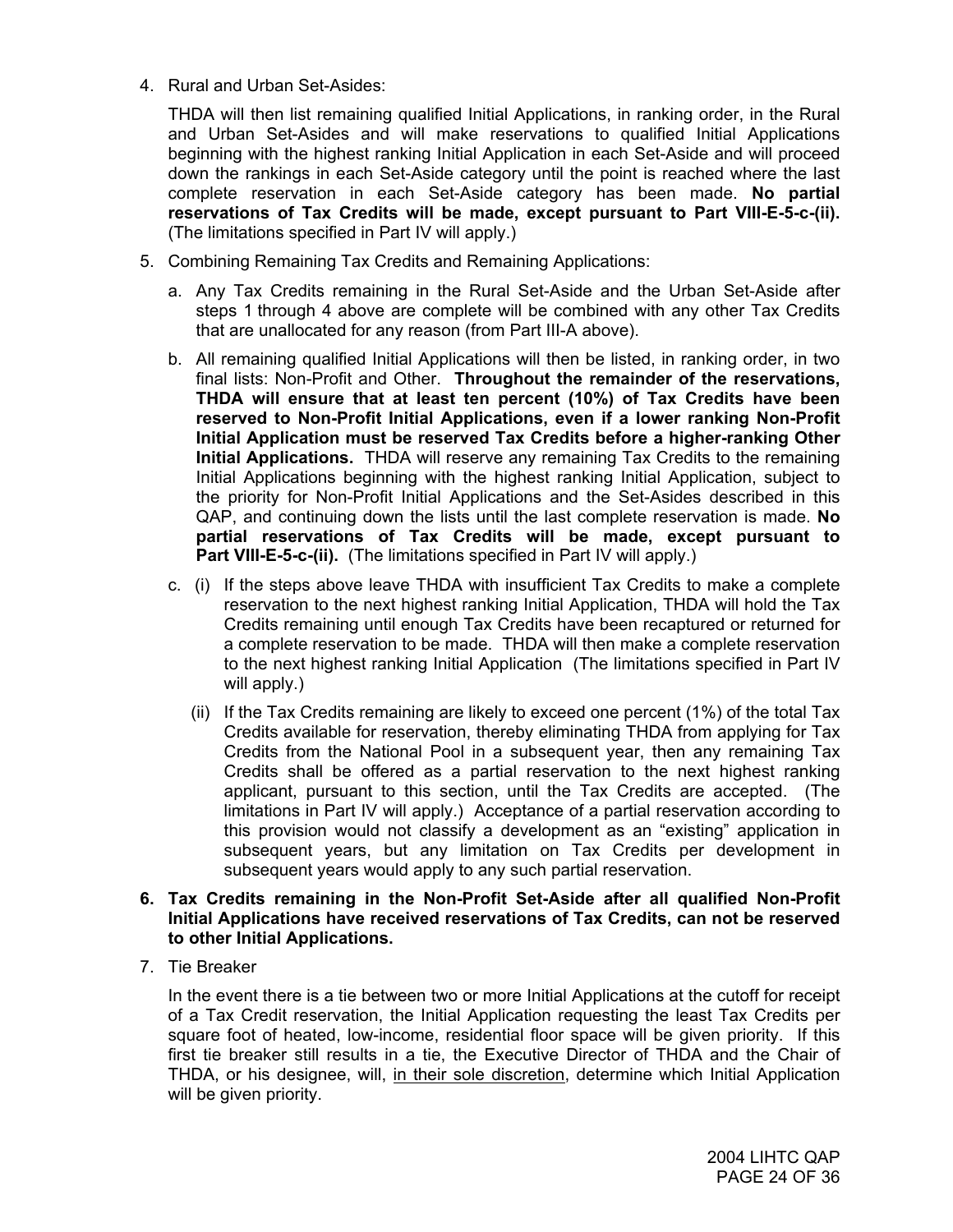4. Rural and Urban Set-Asides:

THDA will then list remaining qualified Initial Applications, in ranking order, in the Rural and Urban Set-Asides and will make reservations to qualified Initial Applications beginning with the highest ranking Initial Application in each Set-Aside and will proceed down the rankings in each Set-Aside category until the point is reached where the last complete reservation in each Set-Aside category has been made. **No partial reservations of Tax Credits will be made, except pursuant to Part VIII-E-5-c-(ii).** (The limitations specified in Part IV will apply.)

- 5. Combining Remaining Tax Credits and Remaining Applications:
	- a. Any Tax Credits remaining in the Rural Set-Aside and the Urban Set-Aside after steps 1 through 4 above are complete will be combined with any other Tax Credits that are unallocated for any reason (from Part III-A above).
	- b. All remaining qualified Initial Applications will then be listed, in ranking order, in two final lists: Non-Profit and Other. **Throughout the remainder of the reservations, THDA will ensure that at least ten percent (10%) of Tax Credits have been reserved to Non-Profit Initial Applications, even if a lower ranking Non-Profit Initial Application must be reserved Tax Credits before a higher-ranking Other Initial Applications.** THDA will reserve any remaining Tax Credits to the remaining Initial Applications beginning with the highest ranking Initial Application, subject to the priority for Non-Profit Initial Applications and the Set-Asides described in this QAP, and continuing down the lists until the last complete reservation is made. **No partial reservations of Tax Credits will be made, except pursuant to Part VIII-E-5-c-(ii).** (The limitations specified in Part IV will apply.)
	- c. (i) If the steps above leave THDA with insufficient Tax Credits to make a complete reservation to the next highest ranking Initial Application, THDA will hold the Tax Credits remaining until enough Tax Credits have been recaptured or returned for a complete reservation to be made. THDA will then make a complete reservation to the next highest ranking Initial Application (The limitations specified in Part IV will apply.)
		- (ii) If the Tax Credits remaining are likely to exceed one percent (1%) of the total Tax Credits available for reservation, thereby eliminating THDA from applying for Tax Credits from the National Pool in a subsequent year, then any remaining Tax Credits shall be offered as a partial reservation to the next highest ranking applicant, pursuant to this section, until the Tax Credits are accepted. (The limitations in Part IV will apply.) Acceptance of a partial reservation according to this provision would not classify a development as an "existing" application in subsequent years, but any limitation on Tax Credits per development in subsequent years would apply to any such partial reservation.

#### **6. Tax Credits remaining in the Non-Profit Set-Aside after all qualified Non-Profit Initial Applications have received reservations of Tax Credits, can not be reserved to other Initial Applications.**

7. Tie Breaker

In the event there is a tie between two or more Initial Applications at the cutoff for receipt of a Tax Credit reservation, the Initial Application requesting the least Tax Credits per square foot of heated, low-income, residential floor space will be given priority. If this first tie breaker still results in a tie, the Executive Director of THDA and the Chair of THDA, or his designee, will, in their sole discretion, determine which Initial Application will be given priority.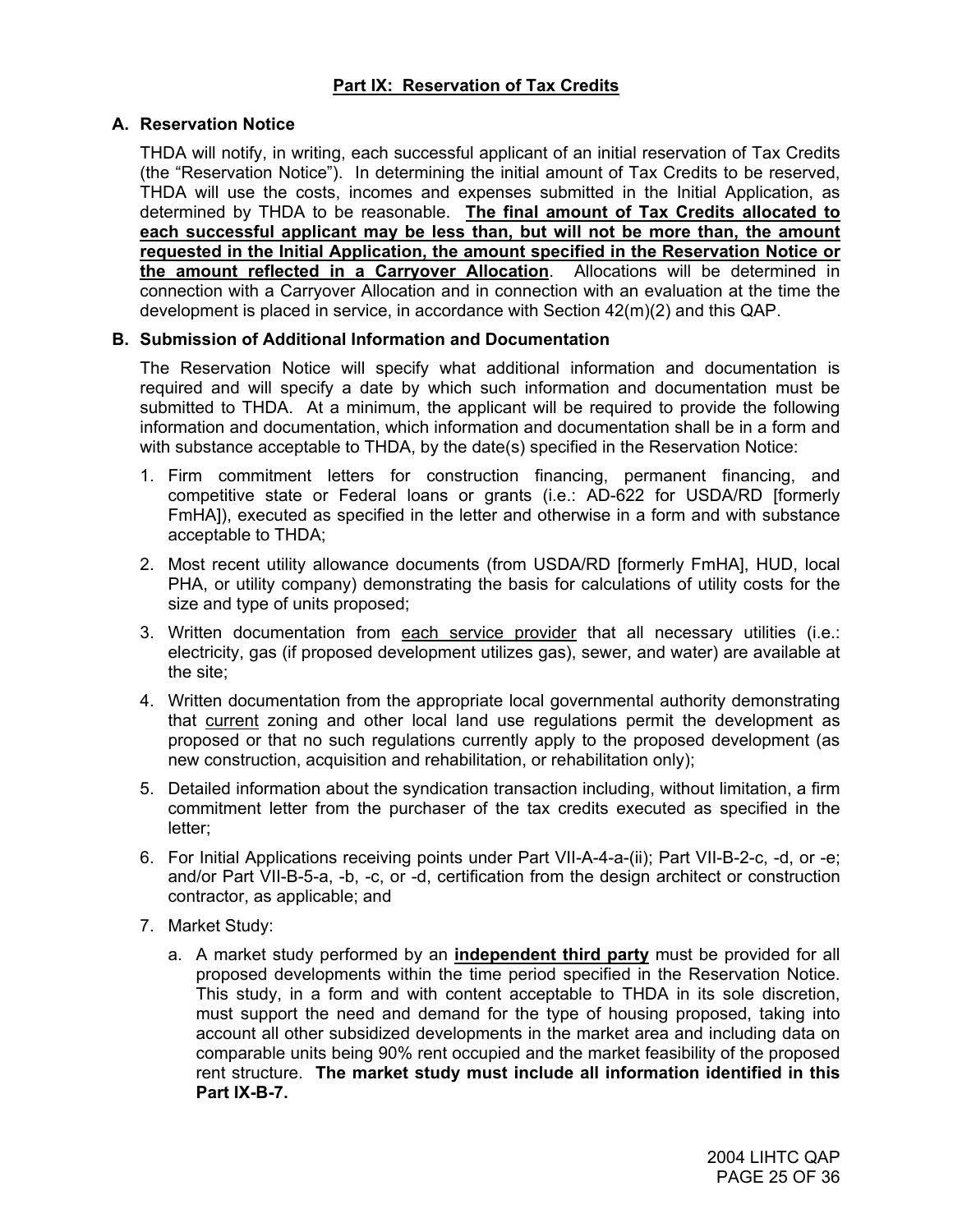## **A. Reservation Notice**

THDA will notify, in writing, each successful applicant of an initial reservation of Tax Credits (the "Reservation Notice"). In determining the initial amount of Tax Credits to be reserved, THDA will use the costs, incomes and expenses submitted in the Initial Application, as determined by THDA to be reasonable. **The final amount of Tax Credits allocated to each successful applicant may be less than, but will not be more than, the amount requested in the Initial Application, the amount specified in the Reservation Notice or the amount reflected in a Carryover Allocation**. Allocations will be determined in connection with a Carryover Allocation and in connection with an evaluation at the time the development is placed in service, in accordance with Section 42(m)(2) and this QAP.

## **B. Submission of Additional Information and Documentation**

The Reservation Notice will specify what additional information and documentation is required and will specify a date by which such information and documentation must be submitted to THDA. At a minimum, the applicant will be required to provide the following information and documentation, which information and documentation shall be in a form and with substance acceptable to THDA, by the date(s) specified in the Reservation Notice:

- 1. Firm commitment letters for construction financing, permanent financing, and competitive state or Federal loans or grants (i.e.: AD-622 for USDA/RD [formerly FmHA]), executed as specified in the letter and otherwise in a form and with substance acceptable to THDA;
- 2. Most recent utility allowance documents (from USDA/RD [formerly FmHA], HUD, local PHA, or utility company) demonstrating the basis for calculations of utility costs for the size and type of units proposed;
- 3. Written documentation from each service provider that all necessary utilities (i.e.: electricity, gas (if proposed development utilizes gas), sewer, and water) are available at the site;
- 4. Written documentation from the appropriate local governmental authority demonstrating that current zoning and other local land use regulations permit the development as proposed or that no such regulations currently apply to the proposed development (as new construction, acquisition and rehabilitation, or rehabilitation only);
- 5. Detailed information about the syndication transaction including, without limitation, a firm commitment letter from the purchaser of the tax credits executed as specified in the letter;
- 6. For Initial Applications receiving points under Part VII-A-4-a-(ii); Part VII-B-2-c, -d, or -e; and/or Part VII-B-5-a, -b, -c, or -d, certification from the design architect or construction contractor, as applicable; and
- 7. Market Study:
	- a. A market study performed by an **independent third party** must be provided for all proposed developments within the time period specified in the Reservation Notice. This study, in a form and with content acceptable to THDA in its sole discretion, must support the need and demand for the type of housing proposed, taking into account all other subsidized developments in the market area and including data on comparable units being 90% rent occupied and the market feasibility of the proposed rent structure. **The market study must include all information identified in this Part IX-B-7.**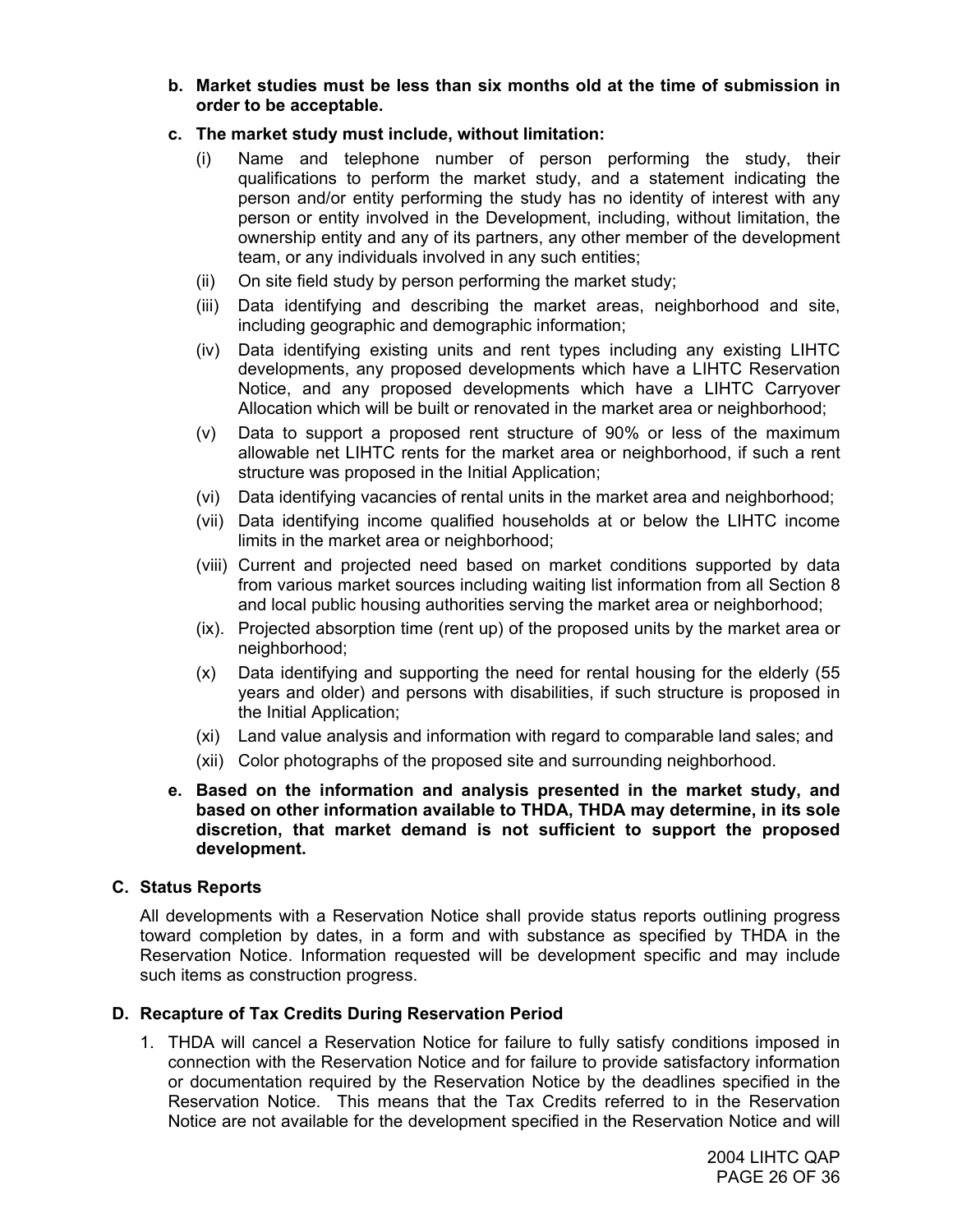**b. Market studies must be less than six months old at the time of submission in order to be acceptable.** 

## **c. The market study must include, without limitation:**

- (i) Name and telephone number of person performing the study, their qualifications to perform the market study, and a statement indicating the person and/or entity performing the study has no identity of interest with any person or entity involved in the Development, including, without limitation, the ownership entity and any of its partners, any other member of the development team, or any individuals involved in any such entities;
- (ii) On site field study by person performing the market study;
- (iii) Data identifying and describing the market areas, neighborhood and site, including geographic and demographic information;
- (iv) Data identifying existing units and rent types including any existing LIHTC developments, any proposed developments which have a LIHTC Reservation Notice, and any proposed developments which have a LIHTC Carryover Allocation which will be built or renovated in the market area or neighborhood;
- (v) Data to support a proposed rent structure of 90% or less of the maximum allowable net LIHTC rents for the market area or neighborhood, if such a rent structure was proposed in the Initial Application;
- (vi) Data identifying vacancies of rental units in the market area and neighborhood;
- (vii) Data identifying income qualified households at or below the LIHTC income limits in the market area or neighborhood;
- (viii) Current and projected need based on market conditions supported by data from various market sources including waiting list information from all Section 8 and local public housing authorities serving the market area or neighborhood;
- (ix). Projected absorption time (rent up) of the proposed units by the market area or neighborhood;
- (x) Data identifying and supporting the need for rental housing for the elderly (55 years and older) and persons with disabilities, if such structure is proposed in the Initial Application;
- (xi) Land value analysis and information with regard to comparable land sales; and
- (xii) Color photographs of the proposed site and surrounding neighborhood.
- **e. Based on the information and analysis presented in the market study, and based on other information available to THDA, THDA may determine, in its sole discretion, that market demand is not sufficient to support the proposed development.**

#### **C. Status Reports**

All developments with a Reservation Notice shall provide status reports outlining progress toward completion by dates, in a form and with substance as specified by THDA in the Reservation Notice. Information requested will be development specific and may include such items as construction progress.

#### **D. Recapture of Tax Credits During Reservation Period**

1. THDA will cancel a Reservation Notice for failure to fully satisfy conditions imposed in connection with the Reservation Notice and for failure to provide satisfactory information or documentation required by the Reservation Notice by the deadlines specified in the Reservation Notice. This means that the Tax Credits referred to in the Reservation Notice are not available for the development specified in the Reservation Notice and will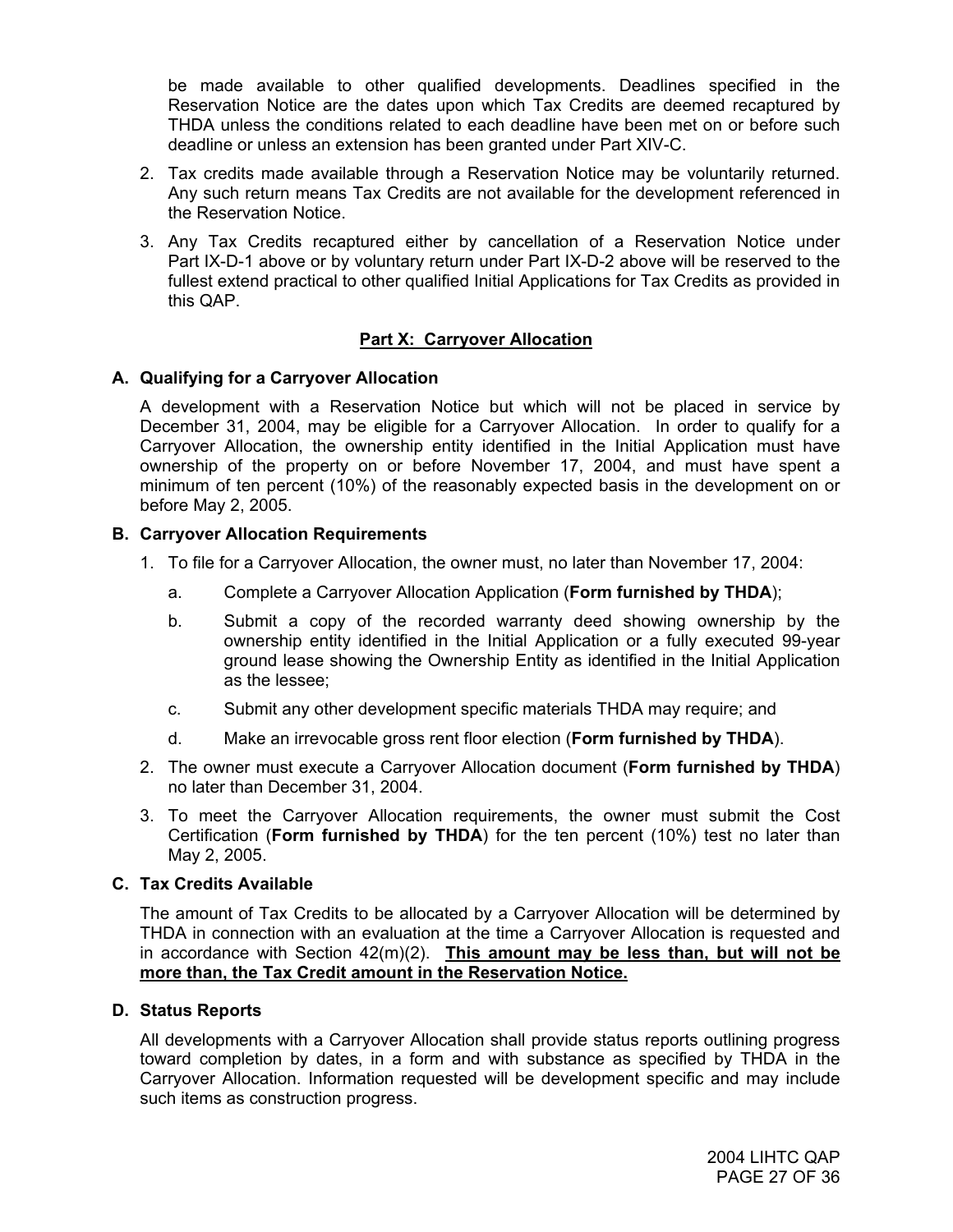be made available to other qualified developments. Deadlines specified in the Reservation Notice are the dates upon which Tax Credits are deemed recaptured by THDA unless the conditions related to each deadline have been met on or before such deadline or unless an extension has been granted under Part XIV-C.

- 2. Tax credits made available through a Reservation Notice may be voluntarily returned. Any such return means Tax Credits are not available for the development referenced in the Reservation Notice.
- 3. Any Tax Credits recaptured either by cancellation of a Reservation Notice under Part IX-D-1 above or by voluntary return under Part IX-D-2 above will be reserved to the fullest extend practical to other qualified Initial Applications for Tax Credits as provided in this QAP.

## **Part X: Carryover Allocation**

## **A. Qualifying for a Carryover Allocation**

A development with a Reservation Notice but which will not be placed in service by December 31, 2004, may be eligible for a Carryover Allocation. In order to qualify for a Carryover Allocation, the ownership entity identified in the Initial Application must have ownership of the property on or before November 17, 2004, and must have spent a minimum of ten percent (10%) of the reasonably expected basis in the development on or before May 2, 2005.

#### **B. Carryover Allocation Requirements**

- 1. To file for a Carryover Allocation, the owner must, no later than November 17, 2004:
	- a. Complete a Carryover Allocation Application (**Form furnished by THDA**);
	- b. Submit a copy of the recorded warranty deed showing ownership by the ownership entity identified in the Initial Application or a fully executed 99-year ground lease showing the Ownership Entity as identified in the Initial Application as the lessee;
	- c. Submit any other development specific materials THDA may require; and
	- d. Make an irrevocable gross rent floor election (**Form furnished by THDA**).
- 2. The owner must execute a Carryover Allocation document (**Form furnished by THDA**) no later than December 31, 2004.
- 3. To meet the Carryover Allocation requirements, the owner must submit the Cost Certification (**Form furnished by THDA**) for the ten percent (10%) test no later than May 2, 2005.

## **C. Tax Credits Available**

The amount of Tax Credits to be allocated by a Carryover Allocation will be determined by THDA in connection with an evaluation at the time a Carryover Allocation is requested and in accordance with Section 42(m)(2). **This amount may be less than, but will not be more than, the Tax Credit amount in the Reservation Notice.**

## **D. Status Reports**

All developments with a Carryover Allocation shall provide status reports outlining progress toward completion by dates, in a form and with substance as specified by THDA in the Carryover Allocation. Information requested will be development specific and may include such items as construction progress.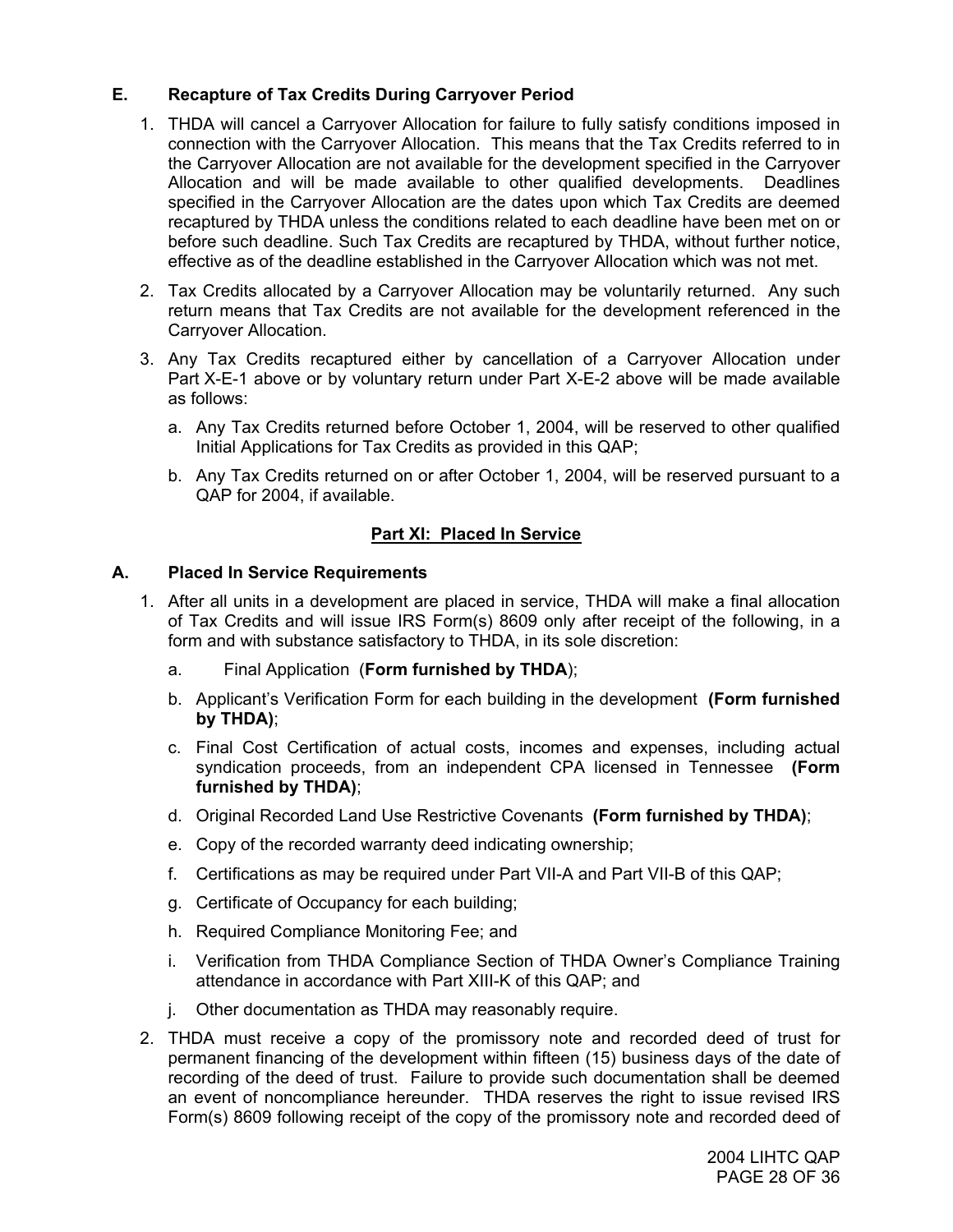## **E. Recapture of Tax Credits During Carryover Period**

- 1. THDA will cancel a Carryover Allocation for failure to fully satisfy conditions imposed in connection with the Carryover Allocation. This means that the Tax Credits referred to in the Carryover Allocation are not available for the development specified in the Carryover Allocation and will be made available to other qualified developments. Deadlines specified in the Carryover Allocation are the dates upon which Tax Credits are deemed recaptured by THDA unless the conditions related to each deadline have been met on or before such deadline. Such Tax Credits are recaptured by THDA, without further notice, effective as of the deadline established in the Carryover Allocation which was not met.
- 2. Tax Credits allocated by a Carryover Allocation may be voluntarily returned. Any such return means that Tax Credits are not available for the development referenced in the Carryover Allocation.
- 3. Any Tax Credits recaptured either by cancellation of a Carryover Allocation under Part X-E-1 above or by voluntary return under Part X-E-2 above will be made available as follows:
	- a. Any Tax Credits returned before October 1, 2004, will be reserved to other qualified Initial Applications for Tax Credits as provided in this QAP;
	- b. Any Tax Credits returned on or after October 1, 2004, will be reserved pursuant to a QAP for 2004, if available.

## **Part XI: Placed In Service**

## **A. Placed In Service Requirements**

- 1. After all units in a development are placed in service, THDA will make a final allocation of Tax Credits and will issue IRS Form(s) 8609 only after receipt of the following, in a form and with substance satisfactory to THDA, in its sole discretion:
	- a. Final Application (**Form furnished by THDA**);
	- b. Applicant's Verification Form for each building in the development **(Form furnished by THDA)**;
	- c. Final Cost Certification of actual costs, incomes and expenses, including actual syndication proceeds, from an independent CPA licensed in Tennessee **(Form furnished by THDA)**;
	- d. Original Recorded Land Use Restrictive Covenants **(Form furnished by THDA)**;
	- e. Copy of the recorded warranty deed indicating ownership;
	- f. Certifications as may be required under Part VII-A and Part VII-B of this QAP;
	- g. Certificate of Occupancy for each building;
	- h. Required Compliance Monitoring Fee; and
	- i. Verification from THDA Compliance Section of THDA Owner's Compliance Training attendance in accordance with Part XIII-K of this QAP; and
	- j. Other documentation as THDA may reasonably require.
- 2. THDA must receive a copy of the promissory note and recorded deed of trust for permanent financing of the development within fifteen (15) business days of the date of recording of the deed of trust. Failure to provide such documentation shall be deemed an event of noncompliance hereunder. THDA reserves the right to issue revised IRS Form(s) 8609 following receipt of the copy of the promissory note and recorded deed of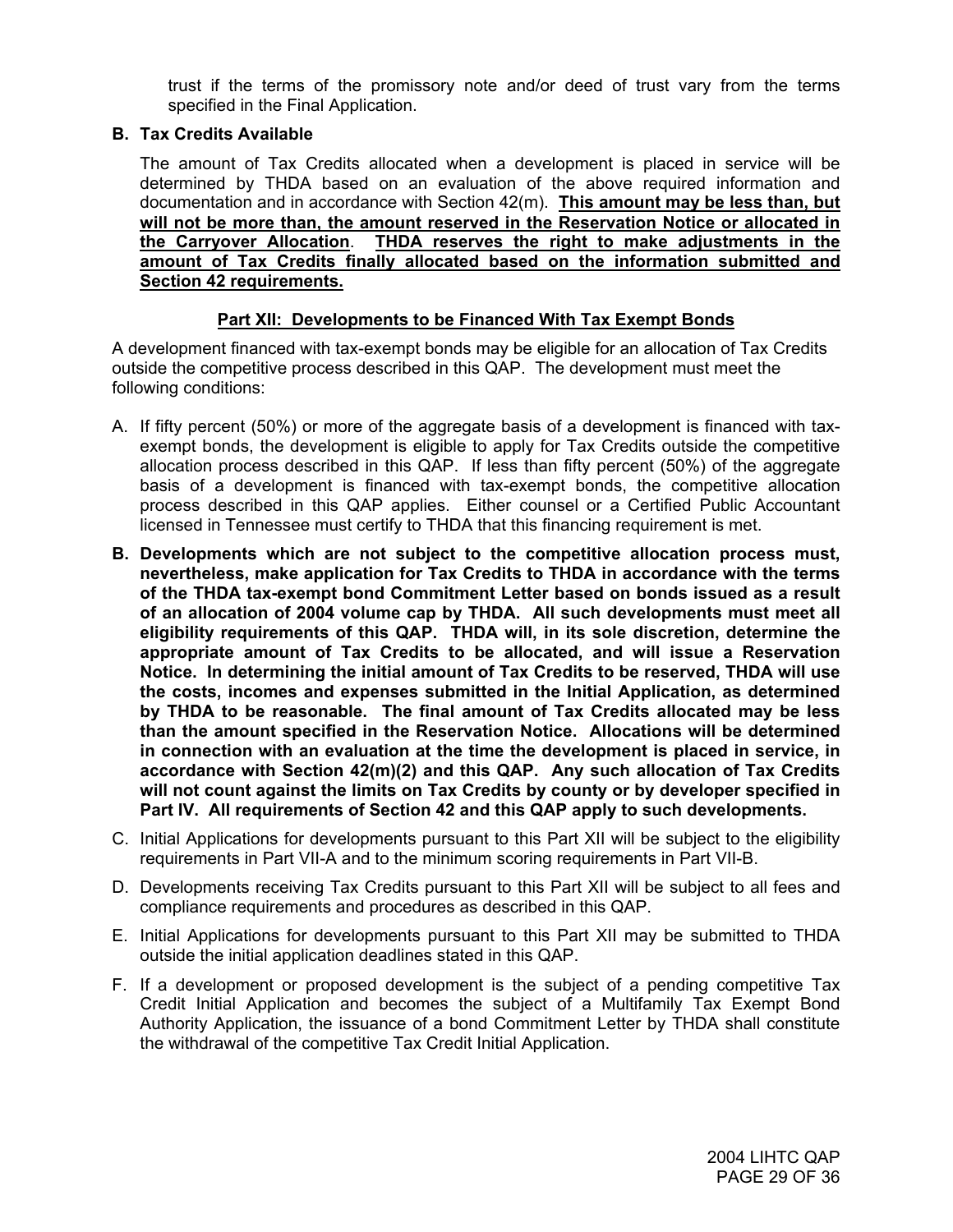trust if the terms of the promissory note and/or deed of trust vary from the terms specified in the Final Application.

#### **B. Tax Credits Available**

The amount of Tax Credits allocated when a development is placed in service will be determined by THDA based on an evaluation of the above required information and documentation and in accordance with Section 42(m). **This amount may be less than, but will not be more than, the amount reserved in the Reservation Notice or allocated in the Carryover Allocation**. **THDA reserves the right to make adjustments in the amount of Tax Credits finally allocated based on the information submitted and Section 42 requirements.**

## **Part XII: Developments to be Financed With Tax Exempt Bonds**

A development financed with tax-exempt bonds may be eligible for an allocation of Tax Credits outside the competitive process described in this QAP. The development must meet the following conditions:

- A. If fifty percent (50%) or more of the aggregate basis of a development is financed with taxexempt bonds, the development is eligible to apply for Tax Credits outside the competitive allocation process described in this QAP. If less than fifty percent (50%) of the aggregate basis of a development is financed with tax-exempt bonds, the competitive allocation process described in this QAP applies. Either counsel or a Certified Public Accountant licensed in Tennessee must certify to THDA that this financing requirement is met.
- **B. Developments which are not subject to the competitive allocation process must, nevertheless, make application for Tax Credits to THDA in accordance with the terms of the THDA tax-exempt bond Commitment Letter based on bonds issued as a result of an allocation of 2004 volume cap by THDA. All such developments must meet all eligibility requirements of this QAP. THDA will, in its sole discretion, determine the appropriate amount of Tax Credits to be allocated, and will issue a Reservation Notice. In determining the initial amount of Tax Credits to be reserved, THDA will use the costs, incomes and expenses submitted in the Initial Application, as determined by THDA to be reasonable. The final amount of Tax Credits allocated may be less than the amount specified in the Reservation Notice. Allocations will be determined in connection with an evaluation at the time the development is placed in service, in accordance with Section 42(m)(2) and this QAP. Any such allocation of Tax Credits will not count against the limits on Tax Credits by county or by developer specified in Part IV. All requirements of Section 42 and this QAP apply to such developments.**
- C. Initial Applications for developments pursuant to this Part XII will be subject to the eligibility requirements in Part VII-A and to the minimum scoring requirements in Part VII-B.
- D. Developments receiving Tax Credits pursuant to this Part XII will be subject to all fees and compliance requirements and procedures as described in this QAP.
- E. Initial Applications for developments pursuant to this Part XII may be submitted to THDA outside the initial application deadlines stated in this QAP.
- F. If a development or proposed development is the subject of a pending competitive Tax Credit Initial Application and becomes the subject of a Multifamily Tax Exempt Bond Authority Application, the issuance of a bond Commitment Letter by THDA shall constitute the withdrawal of the competitive Tax Credit Initial Application.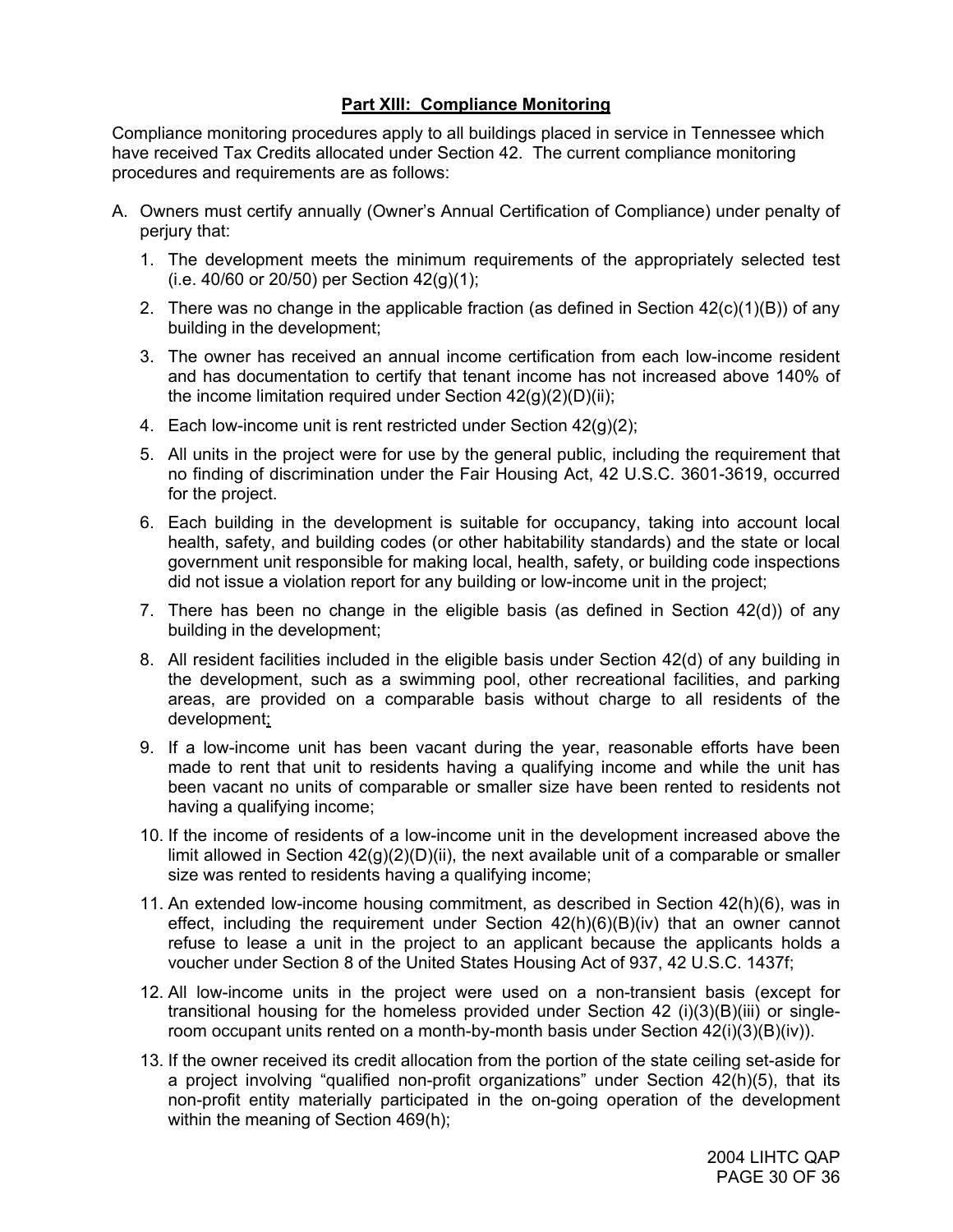## **Part XIII: Compliance Monitoring**

Compliance monitoring procedures apply to all buildings placed in service in Tennessee which have received Tax Credits allocated under Section 42. The current compliance monitoring procedures and requirements are as follows:

- A. Owners must certify annually (Owner's Annual Certification of Compliance) under penalty of perjury that:
	- 1. The development meets the minimum requirements of the appropriately selected test (i.e. 40/60 or 20/50) per Section 42(g)(1);
	- 2. There was no change in the applicable fraction (as defined in Section 42(c)(1)(B)) of any building in the development;
	- 3. The owner has received an annual income certification from each low-income resident and has documentation to certify that tenant income has not increased above 140% of the income limitation required under Section  $42(q)(2)(D)(ii)$ ;
	- 4. Each low-income unit is rent restricted under Section 42(g)(2);
	- 5. All units in the project were for use by the general public, including the requirement that no finding of discrimination under the Fair Housing Act, 42 U.S.C. 3601-3619, occurred for the project.
	- 6. Each building in the development is suitable for occupancy, taking into account local health, safety, and building codes (or other habitability standards) and the state or local government unit responsible for making local, health, safety, or building code inspections did not issue a violation report for any building or low-income unit in the project;
	- 7. There has been no change in the eligible basis (as defined in Section 42(d)) of any building in the development;
	- 8. All resident facilities included in the eligible basis under Section 42(d) of any building in the development, such as a swimming pool, other recreational facilities, and parking areas, are provided on a comparable basis without charge to all residents of the development;
	- 9. If a low-income unit has been vacant during the year, reasonable efforts have been made to rent that unit to residents having a qualifying income and while the unit has been vacant no units of comparable or smaller size have been rented to residents not having a qualifying income;
	- 10. If the income of residents of a low-income unit in the development increased above the limit allowed in Section  $42(g)(2)(D)(ii)$ , the next available unit of a comparable or smaller size was rented to residents having a qualifying income;
	- 11. An extended low-income housing commitment, as described in Section 42(h)(6), was in effect, including the requirement under Section 42(h)(6)(B)(iv) that an owner cannot refuse to lease a unit in the project to an applicant because the applicants holds a voucher under Section 8 of the United States Housing Act of 937, 42 U.S.C. 1437f;
	- 12. All low-income units in the project were used on a non-transient basis (except for transitional housing for the homeless provided under Section 42 (i)(3)(B)(iii) or singleroom occupant units rented on a month-by-month basis under Section 42(i)(3)(B)(iv)).
	- 13. If the owner received its credit allocation from the portion of the state ceiling set-aside for a project involving "qualified non-profit organizations" under Section 42(h)(5), that its non-profit entity materially participated in the on-going operation of the development within the meaning of Section 469(h);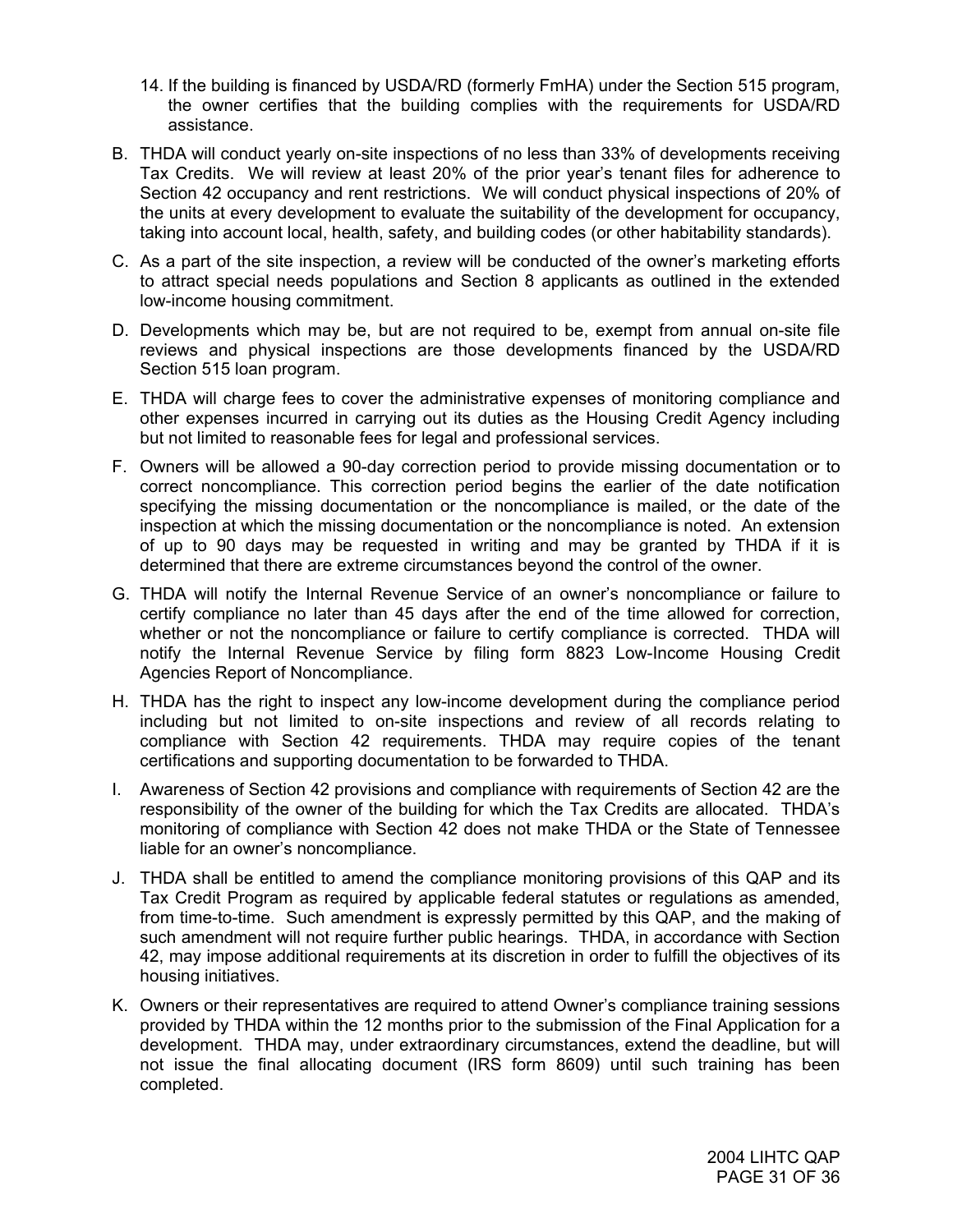- 14. If the building is financed by USDA/RD (formerly FmHA) under the Section 515 program, the owner certifies that the building complies with the requirements for USDA/RD assistance.
- B. THDA will conduct yearly on-site inspections of no less than 33% of developments receiving Tax Credits. We will review at least 20% of the prior year's tenant files for adherence to Section 42 occupancy and rent restrictions. We will conduct physical inspections of 20% of the units at every development to evaluate the suitability of the development for occupancy, taking into account local, health, safety, and building codes (or other habitability standards).
- C. As a part of the site inspection, a review will be conducted of the owner's marketing efforts to attract special needs populations and Section 8 applicants as outlined in the extended low-income housing commitment.
- D. Developments which may be, but are not required to be, exempt from annual on-site file reviews and physical inspections are those developments financed by the USDA/RD Section 515 loan program.
- E. THDA will charge fees to cover the administrative expenses of monitoring compliance and other expenses incurred in carrying out its duties as the Housing Credit Agency including but not limited to reasonable fees for legal and professional services.
- F. Owners will be allowed a 90-day correction period to provide missing documentation or to correct noncompliance. This correction period begins the earlier of the date notification specifying the missing documentation or the noncompliance is mailed, or the date of the inspection at which the missing documentation or the noncompliance is noted. An extension of up to 90 days may be requested in writing and may be granted by THDA if it is determined that there are extreme circumstances beyond the control of the owner.
- G. THDA will notify the Internal Revenue Service of an owner's noncompliance or failure to certify compliance no later than 45 days after the end of the time allowed for correction, whether or not the noncompliance or failure to certify compliance is corrected. THDA will notify the Internal Revenue Service by filing form 8823 Low-Income Housing Credit Agencies Report of Noncompliance.
- H. THDA has the right to inspect any low-income development during the compliance period including but not limited to on-site inspections and review of all records relating to compliance with Section 42 requirements. THDA may require copies of the tenant certifications and supporting documentation to be forwarded to THDA.
- I. Awareness of Section 42 provisions and compliance with requirements of Section 42 are the responsibility of the owner of the building for which the Tax Credits are allocated. THDA's monitoring of compliance with Section 42 does not make THDA or the State of Tennessee liable for an owner's noncompliance.
- J. THDA shall be entitled to amend the compliance monitoring provisions of this QAP and its Tax Credit Program as required by applicable federal statutes or regulations as amended, from time-to-time. Such amendment is expressly permitted by this QAP, and the making of such amendment will not require further public hearings. THDA, in accordance with Section 42, may impose additional requirements at its discretion in order to fulfill the objectives of its housing initiatives.
- K. Owners or their representatives are required to attend Owner's compliance training sessions provided by THDA within the 12 months prior to the submission of the Final Application for a development. THDA may, under extraordinary circumstances, extend the deadline, but will not issue the final allocating document (IRS form 8609) until such training has been completed.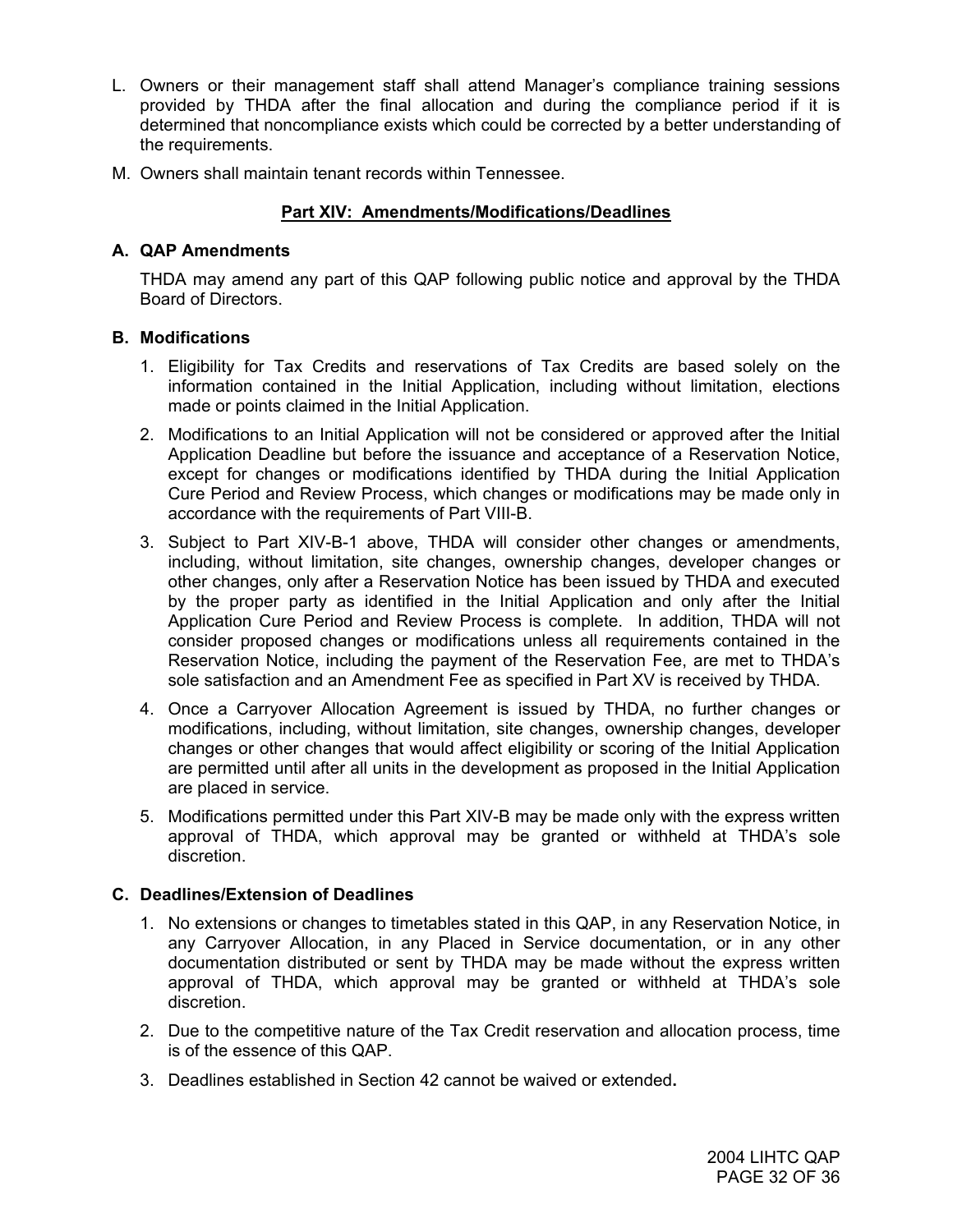- L. Owners or their management staff shall attend Manager's compliance training sessions provided by THDA after the final allocation and during the compliance period if it is determined that noncompliance exists which could be corrected by a better understanding of the requirements.
- M. Owners shall maintain tenant records within Tennessee.

## **Part XIV: Amendments/Modifications/Deadlines**

## **A. QAP Amendments**

THDA may amend any part of this QAP following public notice and approval by the THDA Board of Directors.

#### **B. Modifications**

- 1. Eligibility for Tax Credits and reservations of Tax Credits are based solely on the information contained in the Initial Application, including without limitation, elections made or points claimed in the Initial Application.
- 2. Modifications to an Initial Application will not be considered or approved after the Initial Application Deadline but before the issuance and acceptance of a Reservation Notice, except for changes or modifications identified by THDA during the Initial Application Cure Period and Review Process, which changes or modifications may be made only in accordance with the requirements of Part VIII-B.
- 3. Subject to Part XIV-B-1 above, THDA will consider other changes or amendments, including, without limitation, site changes, ownership changes, developer changes or other changes, only after a Reservation Notice has been issued by THDA and executed by the proper party as identified in the Initial Application and only after the Initial Application Cure Period and Review Process is complete. In addition, THDA will not consider proposed changes or modifications unless all requirements contained in the Reservation Notice, including the payment of the Reservation Fee, are met to THDA's sole satisfaction and an Amendment Fee as specified in Part XV is received by THDA.
- 4. Once a Carryover Allocation Agreement is issued by THDA, no further changes or modifications, including, without limitation, site changes, ownership changes, developer changes or other changes that would affect eligibility or scoring of the Initial Application are permitted until after all units in the development as proposed in the Initial Application are placed in service.
- 5. Modifications permitted under this Part XIV-B may be made only with the express written approval of THDA, which approval may be granted or withheld at THDA's sole discretion.

## **C. Deadlines/Extension of Deadlines**

- 1. No extensions or changes to timetables stated in this QAP, in any Reservation Notice, in any Carryover Allocation, in any Placed in Service documentation, or in any other documentation distributed or sent by THDA may be made without the express written approval of THDA, which approval may be granted or withheld at THDA's sole discretion.
- 2. Due to the competitive nature of the Tax Credit reservation and allocation process, time is of the essence of this QAP.
- 3. Deadlines established in Section 42 cannot be waived or extended**.**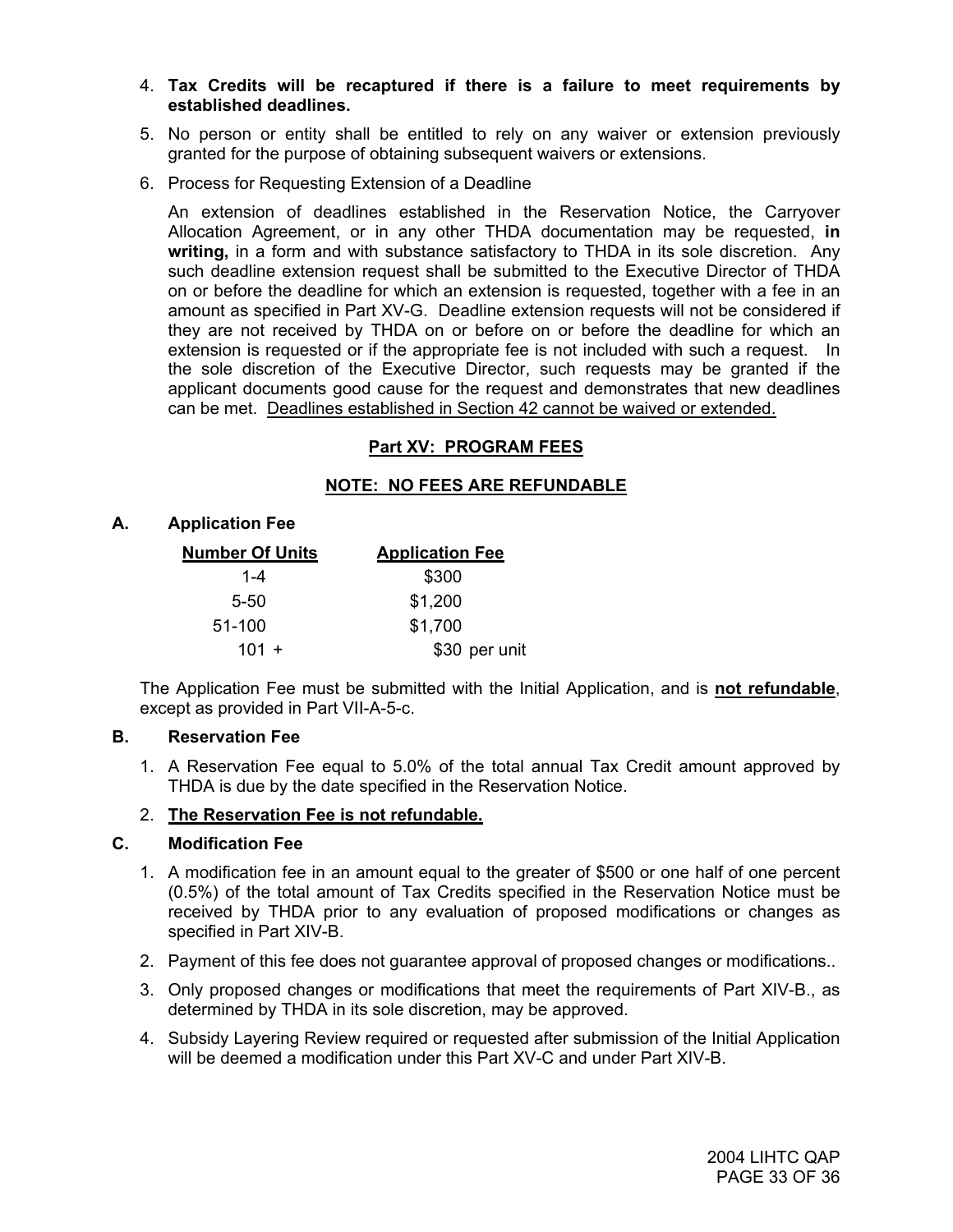- 4. **Tax Credits will be recaptured if there is a failure to meet requirements by established deadlines.**
- 5. No person or entity shall be entitled to rely on any waiver or extension previously granted for the purpose of obtaining subsequent waivers or extensions.
- 6. Process for Requesting Extension of a Deadline

 An extension of deadlines established in the Reservation Notice, the Carryover Allocation Agreement, or in any other THDA documentation may be requested, **in writing,** in a form and with substance satisfactory to THDA in its sole discretion. Any such deadline extension request shall be submitted to the Executive Director of THDA on or before the deadline for which an extension is requested, together with a fee in an amount as specified in Part XV-G. Deadline extension requests will not be considered if they are not received by THDA on or before on or before the deadline for which an extension is requested or if the appropriate fee is not included with such a request. In the sole discretion of the Executive Director, such requests may be granted if the applicant documents good cause for the request and demonstrates that new deadlines can be met. Deadlines established in Section 42 cannot be waived or extended.

## **Part XV: PROGRAM FEES**

## **NOTE: NO FEES ARE REFUNDABLE**

#### **A. Application Fee**

| <b>Number Of Units</b> | <b>Application Fee</b> |
|------------------------|------------------------|
| $1 - 4$                | \$300                  |
| $5 - 50$               | \$1,200                |
| 51-100                 | \$1,700                |
| $101 +$                | \$30 per unit          |

The Application Fee must be submitted with the Initial Application, and is **not refundable**, except as provided in Part VII-A-5-c.

#### **B. Reservation Fee**

1. A Reservation Fee equal to 5.0% of the total annual Tax Credit amount approved by THDA is due by the date specified in the Reservation Notice.

#### 2. **The Reservation Fee is not refundable.**

#### **C. Modification Fee**

- 1. A modification fee in an amount equal to the greater of \$500 or one half of one percent (0.5%) of the total amount of Tax Credits specified in the Reservation Notice must be received by THDA prior to any evaluation of proposed modifications or changes as specified in Part XIV-B.
- 2. Payment of this fee does not guarantee approval of proposed changes or modifications..
- 3. Only proposed changes or modifications that meet the requirements of Part XIV-B., as determined by THDA in its sole discretion, may be approved.
- 4. Subsidy Layering Review required or requested after submission of the Initial Application will be deemed a modification under this Part XV-C and under Part XIV-B.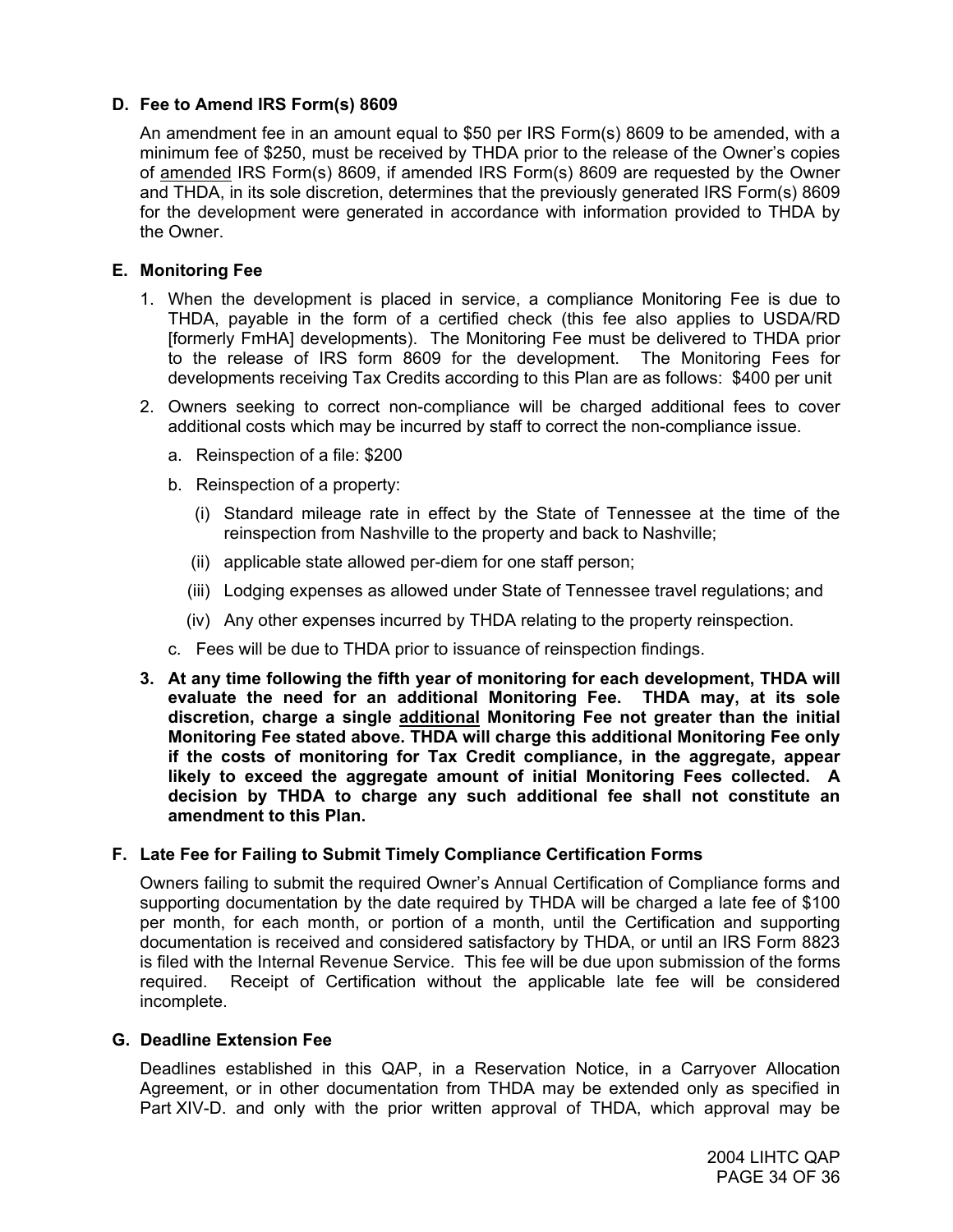## **D. Fee to Amend IRS Form(s) 8609**

An amendment fee in an amount equal to \$50 per IRS Form(s) 8609 to be amended, with a minimum fee of \$250, must be received by THDA prior to the release of the Owner's copies of amended IRS Form(s) 8609, if amended IRS Form(s) 8609 are requested by the Owner and THDA, in its sole discretion, determines that the previously generated IRS Form(s) 8609 for the development were generated in accordance with information provided to THDA by the Owner.

## **E. Monitoring Fee**

- 1. When the development is placed in service, a compliance Monitoring Fee is due to THDA, payable in the form of a certified check (this fee also applies to USDA/RD [formerly FmHA] developments). The Monitoring Fee must be delivered to THDA prior to the release of IRS form 8609 for the development. The Monitoring Fees for developments receiving Tax Credits according to this Plan are as follows: \$400 per unit
- 2. Owners seeking to correct non-compliance will be charged additional fees to cover additional costs which may be incurred by staff to correct the non-compliance issue.
	- a. Reinspection of a file: \$200
	- b. Reinspection of a property:
		- (i) Standard mileage rate in effect by the State of Tennessee at the time of the reinspection from Nashville to the property and back to Nashville;
		- (ii) applicable state allowed per-diem for one staff person;
		- (iii) Lodging expenses as allowed under State of Tennessee travel regulations; and
		- (iv) Any other expenses incurred by THDA relating to the property reinspection.
	- c. Fees will be due to THDA prior to issuance of reinspection findings.
- **3. At any time following the fifth year of monitoring for each development, THDA will evaluate the need for an additional Monitoring Fee. THDA may, at its sole discretion, charge a single additional Monitoring Fee not greater than the initial Monitoring Fee stated above. THDA will charge this additional Monitoring Fee only if the costs of monitoring for Tax Credit compliance, in the aggregate, appear likely to exceed the aggregate amount of initial Monitoring Fees collected. A decision by THDA to charge any such additional fee shall not constitute an amendment to this Plan.**

## **F. Late Fee for Failing to Submit Timely Compliance Certification Forms**

Owners failing to submit the required Owner's Annual Certification of Compliance forms and supporting documentation by the date required by THDA will be charged a late fee of \$100 per month, for each month, or portion of a month, until the Certification and supporting documentation is received and considered satisfactory by THDA, or until an IRS Form 8823 is filed with the Internal Revenue Service. This fee will be due upon submission of the forms required. Receipt of Certification without the applicable late fee will be considered incomplete.

## **G. Deadline Extension Fee**

Deadlines established in this QAP, in a Reservation Notice, in a Carryover Allocation Agreement, or in other documentation from THDA may be extended only as specified in Part XIV-D. and only with the prior written approval of THDA, which approval may be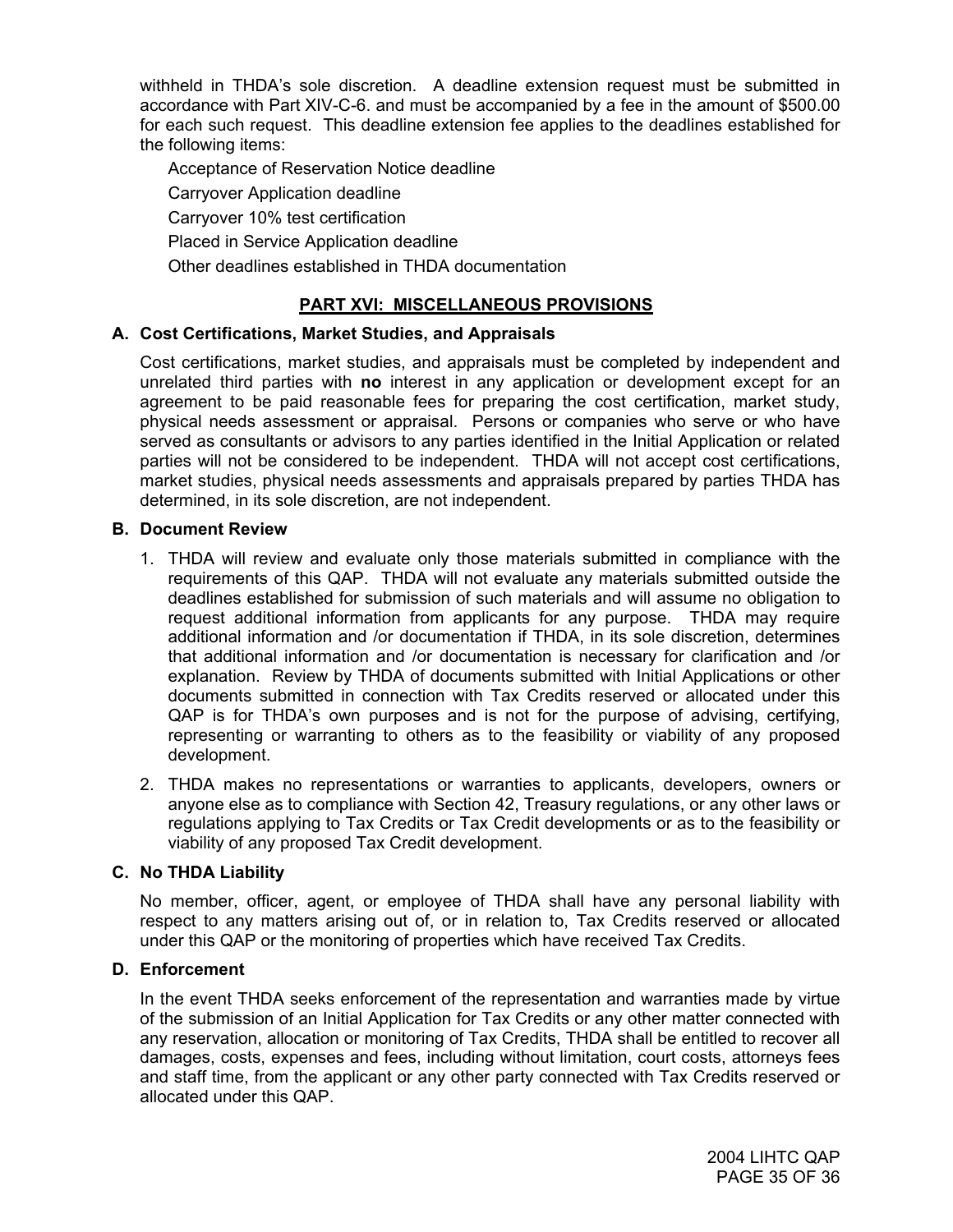withheld in THDA's sole discretion. A deadline extension request must be submitted in accordance with Part XIV-C-6. and must be accompanied by a fee in the amount of \$500.00 for each such request. This deadline extension fee applies to the deadlines established for the following items:

Acceptance of Reservation Notice deadline Carryover Application deadline Carryover 10% test certification

Placed in Service Application deadline

Other deadlines established in THDA documentation

## **PART XVI: MISCELLANEOUS PROVISIONS**

## **A. Cost Certifications, Market Studies, and Appraisals**

Cost certifications, market studies, and appraisals must be completed by independent and unrelated third parties with **no** interest in any application or development except for an agreement to be paid reasonable fees for preparing the cost certification, market study, physical needs assessment or appraisal. Persons or companies who serve or who have served as consultants or advisors to any parties identified in the Initial Application or related parties will not be considered to be independent. THDA will not accept cost certifications, market studies, physical needs assessments and appraisals prepared by parties THDA has determined, in its sole discretion, are not independent.

## **B. Document Review**

- 1. THDA will review and evaluate only those materials submitted in compliance with the requirements of this QAP. THDA will not evaluate any materials submitted outside the deadlines established for submission of such materials and will assume no obligation to request additional information from applicants for any purpose. THDA may require additional information and /or documentation if THDA, in its sole discretion, determines that additional information and /or documentation is necessary for clarification and /or explanation. Review by THDA of documents submitted with Initial Applications or other documents submitted in connection with Tax Credits reserved or allocated under this QAP is for THDA's own purposes and is not for the purpose of advising, certifying, representing or warranting to others as to the feasibility or viability of any proposed development.
- 2. THDA makes no representations or warranties to applicants, developers, owners or anyone else as to compliance with Section 42, Treasury regulations, or any other laws or regulations applying to Tax Credits or Tax Credit developments or as to the feasibility or viability of any proposed Tax Credit development.

## **C. No THDA Liability**

No member, officer, agent, or employee of THDA shall have any personal liability with respect to any matters arising out of, or in relation to, Tax Credits reserved or allocated under this QAP or the monitoring of properties which have received Tax Credits.

## **D. Enforcement**

In the event THDA seeks enforcement of the representation and warranties made by virtue of the submission of an Initial Application for Tax Credits or any other matter connected with any reservation, allocation or monitoring of Tax Credits, THDA shall be entitled to recover all damages, costs, expenses and fees, including without limitation, court costs, attorneys fees and staff time, from the applicant or any other party connected with Tax Credits reserved or allocated under this QAP.